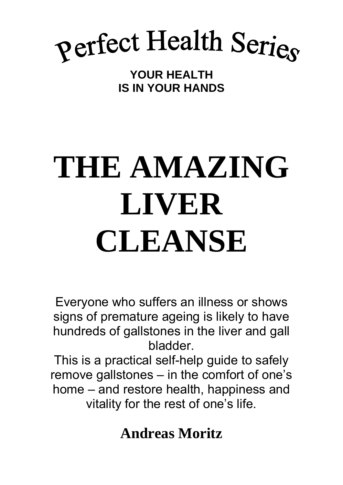

**YOUR HEALTH IS IN YOUR HANDS** 

# **THE AMAZING LIVER CLEANSE**

Everyone who suffers an illness or shows signs of premature ageing is likely to have hundreds of gallstones in the liver and gall bladder.

This is a practical self-help guide to safely remove gallstones – in the comfort of one's home – and restore health, happiness and vitality for the rest of one's life.

# **Andreas Moritz**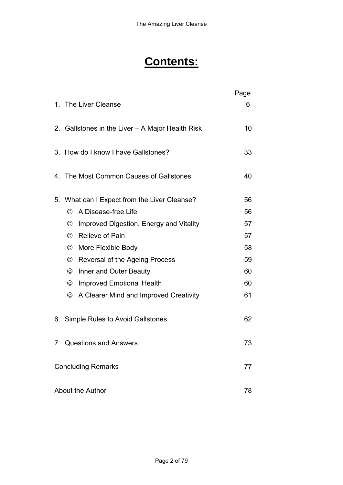# **Contents:**

| 1. The Liver Cleanse                              | Page<br>6 |
|---------------------------------------------------|-----------|
| 2. Gallstones in the Liver – A Major Health Risk  | 10        |
| 3. How do I know I have Gallstones?               | 33        |
| 4. The Most Common Causes of Gallstones           | 40        |
| 5. What can I Expect from the Liver Cleanse?      | 56        |
| A Disease-free Life<br>$\odot$                    | 56        |
| Improved Digestion, Energy and Vitality<br>☺      | 57        |
| <b>Relieve of Pain</b><br>$\odot$                 | 57        |
| More Flexible Body<br>$\odot$                     | 58        |
| $\odot$<br>Reversal of the Ageing Process         | 59        |
| $\odot$<br>Inner and Outer Beauty                 | 60        |
| <b>Improved Emotional Health</b><br>$\odot$       | 60        |
| A Clearer Mind and Improved Creativity<br>$\odot$ | 61        |
| 6. Simple Rules to Avoid Gallstones               | 62        |
| 7. Questions and Answers                          | 73        |
| <b>Concluding Remarks</b>                         | 77        |
| <b>About the Author</b>                           | 78        |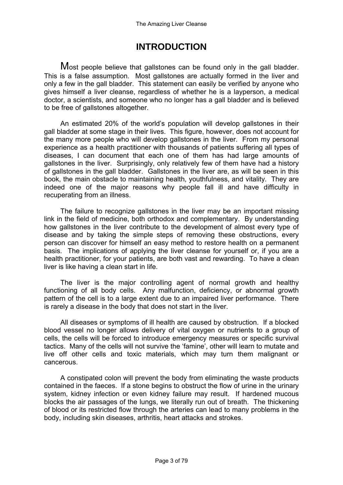# **INTRODUCTION**

Most people believe that gallstones can be found only in the gall bladder. This is a false assumption. Most gallstones are actually formed in the liver and only a few in the gall bladder. This statement can easily be verified by anyone who gives himself a liver cleanse, regardless of whether he is a layperson, a medical doctor, a scientists, and someone who no longer has a gall bladder and is believed to be free of gallstones altogether.

An estimated 20% of the world's population will develop gallstones in their gall bladder at some stage in their lives. This figure, however, does not account for the many more people who will develop gallstones in the liver. From my personal experience as a health practitioner with thousands of patients suffering all types of diseases, I can document that each one of them has had large amounts of gallstones in the liver. Surprisingly, only relatively few of them have had a history of gallstones in the gall bladder. Gallstones in the liver are, as will be seen in this book, the main obstacle to maintaining health, youthfulness, and vitality. They are indeed one of the major reasons why people fall ill and have difficulty in recuperating from an illness.

The failure to recognize gallstones in the liver may be an important missing link in the field of medicine, both orthodox and complementary. By understanding how gallstones in the liver contribute to the development of almost every type of disease and by taking the simple steps of removing these obstructions, every person can discover for himself an easy method to restore health on a permanent basis. The implications of applying the liver cleanse for yourself or, if you are a health practitioner, for your patients, are both vast and rewarding. To have a clean liver is like having a clean start in life.

The liver is the major controlling agent of normal growth and healthy functioning of all body cells. Any malfunction, deficiency, or abnormal growth pattern of the cell is to a large extent due to an impaired liver performance. There is rarely a disease in the body that does not start in the liver.

All diseases or symptoms of ill health are caused by obstruction. If a blocked blood vessel no longer allows delivery of vital oxygen or nutrients to a group of cells, the cells will be forced to introduce emergency measures or specific survival tactics. Many of the cells will not survive the 'famine', other will learn to mutate and live off other cells and toxic materials, which may turn them malignant or cancerous.

A constipated colon will prevent the body from eliminating the waste products contained in the faeces. If a stone begins to obstruct the flow of urine in the urinary system, kidney infection or even kidney failure may result. If hardened mucous blocks the air passages of the lungs, we literally run out of breath. The thickening of blood or its restricted flow through the arteries can lead to many problems in the body, including skin diseases, arthritis, heart attacks and strokes.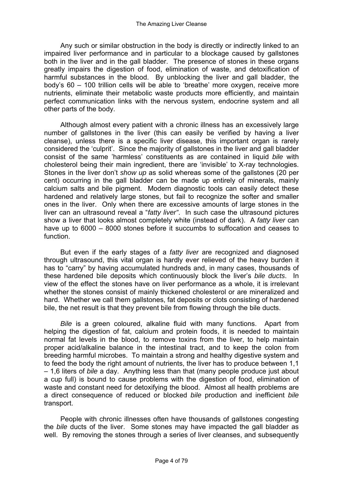Any such or similar obstruction in the body is directly or indirectly linked to an impaired liver performance and in particular to a blockage caused by gallstones both in the liver and in the gall bladder. The presence of stones in these organs greatly impairs the digestion of food, elimination of waste, and detoxification of harmful substances in the blood. By unblocking the liver and gall bladder, the body's 60 – 100 trillion cells will be able to 'breathe' more oxygen, receive more nutrients, eliminate their metabolic waste products more efficiently, and maintain perfect communication links with the nervous system, endocrine system and all other parts of the body.

Although almost every patient with a chronic illness has an excessively large number of gallstones in the liver (this can easily be verified by having a liver cleanse), unless there is a specific liver disease, this important organ is rarely considered the 'culprit'. Since the majority of gallstones in the liver and gall bladder consist of the same 'harmless' constituents as are contained in liquid *bile* with cholesterol being their main ingredient, there are 'invisible' to X-ray technologies. Stones in the liver don't *show up* as solid whereas some of the gallstones (20 per cent) occurring in the gall bladder can be made up entirely of minerals, mainly calcium salts and bile pigment. Modern diagnostic tools can easily detect these hardened and relatively large stones, but fail to recognize the softer and smaller ones in the liver. Only when there are excessive amounts of large stones in the liver can an ultrasound reveal a "*fatty liver"*. In such case the ultrasound pictures show a liver that looks almost completely white (instead of dark). A *fatty liver* can have up to 6000 – 8000 stones before it succumbs to suffocation and ceases to function.

But even if the early stages of a *fatty liver* are recognized and diagnosed through ultrasound, this vital organ is hardly ever relieved of the heavy burden it has to "carry" by having accumulated hundreds and, in many cases, thousands of these hardened bile deposits which continuously block the liver's *bile ducts*. In view of the effect the stones have on liver performance as a whole, it is irrelevant whether the stones consist of mainly thickened cholesterol or are mineralized and hard. Whether we call them gallstones, fat deposits or clots consisting of hardened bile, the net result is that they prevent bile from flowing through the bile ducts.

*Bile* is a green coloured, alkaline fluid with many functions. Apart from helping the digestion of fat, calcium and protein foods, it is needed to maintain normal fat levels in the blood, to remove toxins from the liver, to help maintain proper acid/alkaline balance in the intestinal tract, and to keep the colon from breeding harmful microbes. To maintain a strong and healthy digestive system and to feed the body the right amount of nutrients, the liver has to produce between 1,1 – 1,6 liters of *bile* a day. Anything less than that (many people produce just about a cup full) is bound to cause problems with the digestion of food, elimination of waste and constant need for detoxifying the blood. Almost all health problems are a direct consequence of reduced or blocked *bile* production and inefficient *bile* transport.

People with chronic illnesses often have thousands of gallstones congesting the *bile* ducts of the liver. Some stones may have impacted the gall bladder as well. By removing the stones through a series of liver cleanses, and subsequently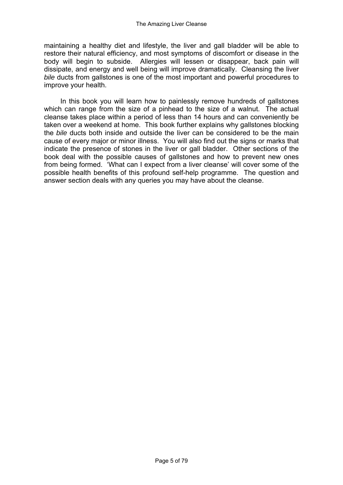maintaining a healthy diet and lifestyle, the liver and gall bladder will be able to restore their natural efficiency, and most symptoms of discomfort or disease in the body will begin to subside. Allergies will lessen or disappear, back pain will dissipate, and energy and well being will improve dramatically. Cleansing the liver *bile* ducts from gallstones is one of the most important and powerful procedures to improve your health.

In this book you will learn how to painlessly remove hundreds of gallstones which can range from the size of a pinhead to the size of a walnut. The actual cleanse takes place within a period of less than 14 hours and can conveniently be taken over a weekend at home. This book further explains why gallstones blocking the *bile* ducts both inside and outside the liver can be considered to be the main cause of every major or minor illness. You will also find out the signs or marks that indicate the presence of stones in the liver or gall bladder. Other sections of the book deal with the possible causes of gallstones and how to prevent new ones from being formed. 'What can I expect from a liver cleanse' will cover some of the possible health benefits of this profound self-help programme. The question and answer section deals with any queries you may have about the cleanse.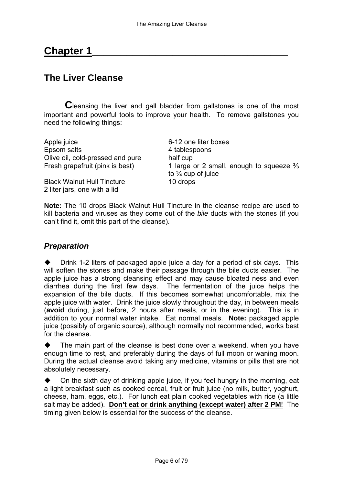# **Chapter 1\_\_\_\_\_\_\_\_\_\_\_\_\_\_\_\_\_\_\_\_\_\_\_\_\_\_\_\_\_\_\_\_\_\_**

# **The Liver Cleanse**

**C**leansing the liver and gall bladder from gallstones is one of the most important and powerful tools to improve your health. To remove gallstones you need the following things:

| Apple juice                       | 6-12 one liter boxes                                                                 |
|-----------------------------------|--------------------------------------------------------------------------------------|
| Epsom salts                       | 4 tablespoons                                                                        |
| Olive oil, cold-pressed and pure  | half cup                                                                             |
| Fresh grapefruit (pink is best)   | 1 large or 2 small, enough to squeeze $\frac{2}{3}$<br>to $\frac{3}{4}$ cup of juice |
| <b>Black Walnut Hull Tincture</b> | 10 drops                                                                             |
| 2 liter jars, one with a lid      |                                                                                      |

**Note:** The 10 drops Black Walnut Hull Tincture in the cleanse recipe are used to kill bacteria and viruses as they come out of the *bile* ducts with the stones (if you can't find it, omit this part of the cleanse).

#### *Preparation*

 Drink 1-2 liters of packaged apple juice a day for a period of six days. This will soften the stones and make their passage through the bile ducts easier. The apple juice has a strong cleansing effect and may cause bloated ness and even diarrhea during the first few days. The fermentation of the juice helps the expansion of the bile ducts. If this becomes somewhat uncomfortable, mix the apple juice with water. Drink the juice slowly throughout the day, in between meals (**avoid** during, just before, 2 hours after meals, or in the evening). This is in addition to your normal water intake. Eat normal meals. **Note:** packaged apple juice (possibly of organic source), although normally not recommended, works best for the cleanse.

 The main part of the cleanse is best done over a weekend, when you have enough time to rest, and preferably during the days of full moon or waning moon. During the actual cleanse avoid taking any medicine, vitamins or pills that are not absolutely necessary.

 On the sixth day of drinking apple juice, if you feel hungry in the morning, eat a light breakfast such as cooked cereal, fruit or fruit juice (no milk, butter, yoghurt, cheese, ham, eggs, etc.). For lunch eat plain cooked vegetables with rice (a little salt may be added). **Don't eat or drink anything (except water) after 2 PM**! The timing given below is essential for the success of the cleanse.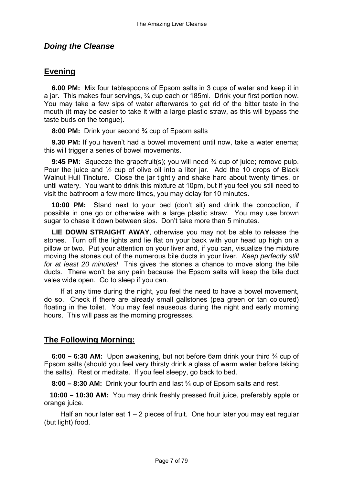#### *Doing the Cleanse*

#### **Evening**

 **6.00 PM:** Mix four tablespoons of Epsom salts in 3 cups of water and keep it in a jar. This makes four servings, ¾ cup each or 185ml. Drink your first portion now. You may take a few sips of water afterwards to get rid of the bitter taste in the mouth (it may be easier to take it with a large plastic straw, as this will bypass the taste buds on the tongue).

 **8:00 PM:** Drink your second ¾ cup of Epsom salts

 **9.30 PM:** If you haven't had a bowel movement until now, take a water enema; this will trigger a series of bowel movements.

**9:45 PM:** Squeeze the grapefruit(s); you will need  $\frac{3}{4}$  cup of juice; remove pulp. Pour the juice and ½ cup of olive oil into a liter jar. Add the 10 drops of Black Walnut Hull Tincture. Close the jar tightly and shake hard about twenty times, or until watery. You want to drink this mixture at 10pm, but if you feel you still need to visit the bathroom a few more times, you may delay for 10 minutes.

 **10:00 PM:** Stand next to your bed (don't sit) and drink the concoction, if possible in one go or otherwise with a large plastic straw. You may use brown sugar to chase it down between sips. Don't take more than 5 minutes.

 **LIE DOWN STRAIGHT AWAY**, otherwise you may not be able to release the stones. Turn off the lights and lie flat on your back with your head up high on a pillow or two. Put your attention on your liver and, if you can, visualize the mixture moving the stones out of the numerous bile ducts in your liver. *Keep perfectly still for at least 20 minutes!* This gives the stones a chance to move along the bile ducts. There won't be any pain because the Epsom salts will keep the bile duct vales wide open. Go to sleep if you can.

If at any time during the night, you feel the need to have a bowel movement, do so. Check if there are already small gallstones (pea green or tan coloured) floating in the toilet. You may feel nauseous during the night and early morning hours. This will pass as the morning progresses.

#### **The Following Morning:**

 **6:00 – 6:30 AM:** Upon awakening, but not before 6am drink your third ¾ cup of Epsom salts (should you feel very thirsty drink a glass of warm water before taking the salts). Rest or meditate. If you feel sleepy, go back to bed.

 **8:00 – 8:30 AM:** Drink your fourth and last ¾ cup of Epsom salts and rest.

 **10:00 – 10:30 AM:** You may drink freshly pressed fruit juice, preferably apple or orange juice.

Half an hour later eat  $1 - 2$  pieces of fruit. One hour later you may eat regular (but light) food.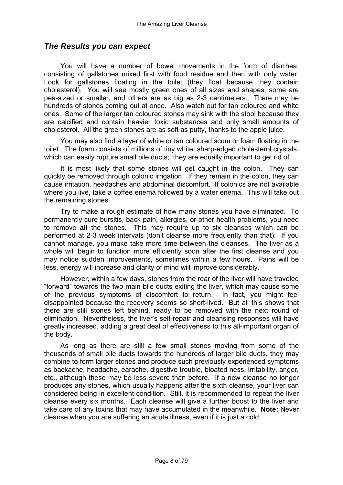#### *The Results you can expect*

You will have a number of bowel movements in the form of diarrhea, consisting of gallstones mixed first with food residue and then with only water. Look for gallstones floating in the toilet (they float because they contain cholesterol). You will see mostly green ones of all sizes and shapes, some are pea-sized or smaller, and others are as big as 2-3 centimeters. There may be hundreds of stones coming out at once. Also watch out for tan coloured and white ones. Some of the larger tan coloured stones may sink with the stool because they are calcified and contain heavier toxic substances and only small amounts of cholesterol. All the green stones are as soft as putty, thanks to the apple juice.

You may also find a layer of white or tan coloured scum or foam floating in the toilet. The foam consists of millions of tiny white, sharp-edged cholesterol crystals, which can easily rupture small bile ducts; they are equally important to get rid of.

It is most likely that some stones will get caught in the colon. They can quickly be removed through colonic irrigation. If they remain in the colon, they can cause irritation, headaches and abdominal discomfort. If colonics are not available where you live, take a coffee enema followed by a water enema. This will take out the remaining stones.

Try to make a rough estimate of how many stones you have eliminated. To permanently cure bursitis, back pain, allergies, or other health problems, you need to remove **all** the stones. This may require up to six cleanses which can be performed at 2-3 week intervals (don't cleanse more frequently than that). If you cannot manage, you make take more time between the cleanses. The liver as a whole will begin to function more efficiently soon after the first cleanse and you may notice sudden improvements, sometimes within a few hours. Pains will be less, energy will increase and clarity of mind will improve considerably.

However, within a few days, stones from the rear of the liver will have traveled "forward" towards the two main bile ducts exiting the liver, which may cause some of the previous symptoms of discomfort to return. In fact, you might feel disappointed because the recovery seems so short-lived. But all this shows that there are still stones left behind, ready to be removed with the next round of elimination. Nevertheless, the liver's self-repair and cleansing responses will have greatly increased, adding a great deal of effectiveness to this all-important organ of the body.

As long as there are still a few small stones moving from some of the thousands of small bile ducts towards the hundreds of larger bile ducts, they may combine to form larger stones and produce such previously experienced symptoms as backache, headache, earache, digestive trouble, bloated ness, irritability, anger, etc., although these may be less severe than before. If a new cleanse no longer produces any stones, which usually happens after the sixth cleanse, your liver can considered being in excellent condition. Still, it is recommended to repeat the liver cleanse every six months. Each cleanse will give a further boost to the liver and take care of any toxins that may have accumulated in the meanwhile. **Note:** Never cleanse when you are suffering an acute illness, even if it is just a cold.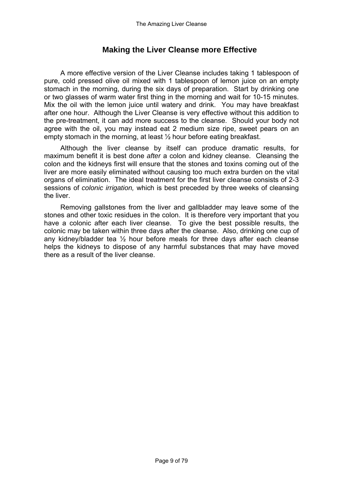#### **Making the Liver Cleanse more Effective**

A more effective version of the Liver Cleanse includes taking 1 tablespoon of pure, cold pressed olive oil mixed with 1 tablespoon of lemon juice on an empty stomach in the morning, during the six days of preparation. Start by drinking one or two glasses of warm water first thing in the morning and wait for 10-15 minutes. Mix the oil with the lemon juice until watery and drink. You may have breakfast after one hour. Although the Liver Cleanse is very effective without this addition to the pre-treatment, it can add more success to the cleanse. Should your body not agree with the oil, you may instead eat 2 medium size ripe, sweet pears on an empty stomach in the morning, at least ½ hour before eating breakfast.

Although the liver cleanse by itself can produce dramatic results, for maximum benefit it is best done *after* a colon and kidney cleanse. Cleansing the colon and the kidneys first will ensure that the stones and toxins coming out of the liver are more easily eliminated without causing too much extra burden on the vital organs of elimination. The ideal treatment for the first liver cleanse consists of 2-3 sessions of *colonic irrigation,* which is best preceded by three weeks of cleansing the liver.

Removing gallstones from the liver and gallbladder may leave some of the stones and other toxic residues in the colon. It is therefore very important that you have a colonic after each liver cleanse. To give the best possible results, the colonic may be taken within three days after the cleanse. Also, drinking one cup of any kidney/bladder tea ½ hour before meals for three days after each cleanse helps the kidneys to dispose of any harmful substances that may have moved there as a result of the liver cleanse.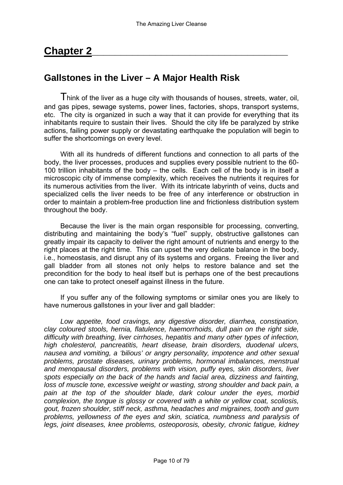# **Chapter 2\_\_\_\_\_\_\_\_\_\_\_\_\_\_\_\_\_\_\_\_\_\_\_\_\_\_\_\_\_\_\_\_\_\_**

# **Gallstones in the Liver – A Major Health Risk**

Think of the liver as a huge city with thousands of houses, streets, water, oil, and gas pipes, sewage systems, power lines, factories, shops, transport systems, etc. The city is organized in such a way that it can provide for everything that its inhabitants require to sustain their lives. Should the city life be paralyzed by strike actions, failing power supply or devastating earthquake the population will begin to suffer the shortcomings on every level.

With all its hundreds of different functions and connection to all parts of the body, the liver processes, produces and supplies every possible nutrient to the 60- 100 trillion inhabitants of the body – the cells. Each cell of the body is in itself a microscopic city of immense complexity, which receives the nutrients it requires for its numerous activities from the liver. With its intricate labyrinth of veins, ducts and specialized cells the liver needs to be free of any interference or obstruction in order to maintain a problem-free production line and frictionless distribution system throughout the body.

Because the liver is the main organ responsible for processing, converting, distributing and maintaining the body's "fuel" supply, obstructive gallstones can greatly impair its capacity to deliver the right amount of nutrients and energy to the right places at the right time. This can upset the very delicate balance in the body, i.e., homeostasis, and disrupt any of its systems and organs. Freeing the liver and gall bladder from all stones not only helps to restore balance and set the precondition for the body to heal itself but is perhaps one of the best precautions one can take to protect oneself against illness in the future.

If you suffer any of the following symptoms or similar ones you are likely to have numerous gallstones in your liver and gall bladder:

*Low appetite, food cravings, any digestive disorder, diarrhea, constipation, clay coloured stools, hernia, flatulence, haemorrhoids, dull pain on the right side, difficulty with breathing, liver cirrhoses, hepatitis and many other types of infection, high cholesterol, pancreatitis, heart disease, brain disorders, duodenal ulcers, nausea and vomiting, a 'bilious' or angry personality, impotence and other sexual problems, prostate diseases, urinary problems, hormonal imbalances, menstrual and menopausal disorders, problems with vision, puffy eyes, skin disorders, liver spots especially on the back of the hands and facial area, dizziness and fainting, loss of muscle tone, excessive weight or wasting, strong shoulder and back pain, a pain at the top of the shoulder blade, dark colour under the eyes, morbid complexion, the tongue is glossy or covered with a white or yellow coat, scoliosis, gout, frozen shoulder, stiff neck, asthma, headaches and migraines, tooth and gum problems, yellowness of the eyes and skin, sciatica, numbness and paralysis of legs, joint diseases, knee problems, osteoporosis, obesity, chronic fatigue, kidney*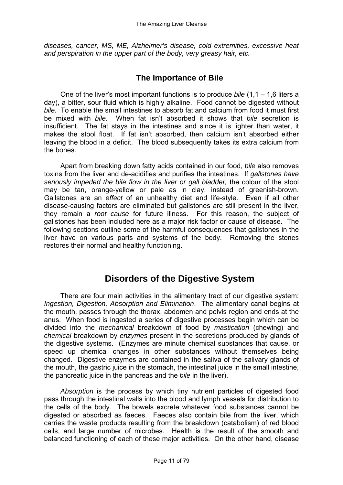*diseases, cancer, MS, ME, Alzheimer's disease, cold extremities, excessive heat and perspiration in the upper part of the body, very greasy hair, etc.*

#### **The Importance of Bile**

One of the liver's most important functions is to produce *bile* (1,1 – 1,6 liters a day), a bitter, sour fluid which is highly alkaline. Food cannot be digested without *bile.* To enable the small intestines to absorb fat and calcium from food it must first be mixed with *bile*. When fat isn't absorbed it shows that *bile* secretion is insufficient. The fat stays in the intestines and since it is lighter than water, it makes the stool float. If fat isn't absorbed, then calcium isn't absorbed either leaving the blood in a deficit. The blood subsequently takes its extra calcium from the bones.

Apart from breaking down fatty acids contained in our food, *bile* also removes toxins from the liver and de-acidifies and purifies the intestines. If *gallstones have seriously impeded the bile flow in the liver or gall bladder,* the colour of the stool may be tan, orange-yellow or pale as in clay, instead of greenish-brown. Gallstones are an *effect* of an unhealthy diet and life-style. Even if all other disease-causing factors are eliminated but gallstones are still present in the liver, they remain a *root cause* for future illness. For this reason, the subject of gallstones has been included here as a major risk factor or cause of disease. The following sections outline some of the harmful consequences that gallstones in the liver have on various parts and systems of the body. Removing the stones restores their normal and healthy functioning.

# **Disorders of the Digestive System**

There are four main activities in the alimentary tract of our digestive system: *Ingestion, Digestion, Absorption and Elimination*. The alimentary canal begins at the mouth, passes through the thorax, abdomen and pelvis region and ends at the anus. When food is ingested a series of digestive processes begin which can be divided into the *mechanical* breakdown of food by *mastication* (chewing) and *chemical* breakdown by *enzymes* present in the secretions produced by glands of the digestive systems. (Enzymes are minute chemical substances that cause, or speed up chemical changes in other substances without themselves being changed. Digestive enzymes are contained in the saliva of the salivary glands of the mouth, the gastric juice in the stomach, the intestinal juice in the small intestine, the pancreatic juice in the pancreas and the *bile* in the liver).

*Absorption* is the process by which tiny nutrient particles of digested food pass through the intestinal walls into the blood and lymph vessels for distribution to the cells of the body. The bowels excrete whatever food substances cannot be digested or absorbed as faeces. Faeces also contain bile from the liver, which carries the waste products resulting from the breakdown (catabolism) of red blood cells, and large number of microbes. Health is the result of the smooth and balanced functioning of each of these major activities. On the other hand, disease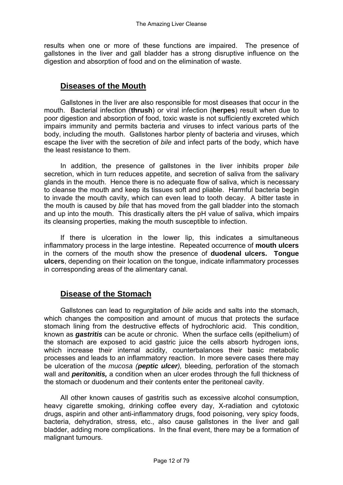results when one or more of these functions are impaired. The presence of gallstones in the liver and gall bladder has a strong disruptive influence on the digestion and absorption of food and on the elimination of waste.

#### **Diseases of the Mouth**

Gallstones in the liver are also responsible for most diseases that occur in the mouth. Bacterial infection (**thrush**) or viral infection (**herpes**) result when due to poor digestion and absorption of food, toxic waste is not sufficiently excreted which impairs immunity and permits bacteria and viruses to infect various parts of the body, including the mouth. Gallstones harbor plenty of bacteria and viruses, which escape the liver with the secretion of *bile* and infect parts of the body, which have the least resistance to them.

In addition, the presence of gallstones in the liver inhibits proper *bile* secretion, which in turn reduces appetite, and secretion of saliva from the salivary glands in the mouth. Hence there is no adequate flow of saliva, which is necessary to cleanse the mouth and keep its tissues soft and pliable. Harmful bacteria begin to invade the mouth cavity, which can even lead to tooth decay. A bitter taste in the mouth is caused by *bile* that has moved from the gall bladder into the stomach and up into the mouth. This drastically alters the pH value of saliva, which impairs its cleansing properties, making the mouth susceptible to infection.

If there is ulceration in the lower lip, this indicates a simultaneous inflammatory process in the large intestine. Repeated occurrence of **mouth ulcers** in the corners of the mouth show the presence of **duodenal ulcers. Tongue ulcers**, depending on their location on the tongue, indicate inflammatory processes in corresponding areas of the alimentary canal.

#### **Disease of the Stomach**

Gallstones can lead to regurgitation of *bile* acids and salts into the stomach, which changes the composition and amount of mucus that protects the surface stomach lining from the destructive effects of hydrochloric acid. This condition, known as *gastritis* can be acute or chronic. When the surface cells (epithelium) of the stomach are exposed to acid gastric juice the cells absorb hydrogen ions, which increase their internal acidity, counterbalances their basic metabolic processes and leads to an inflammatory reaction. In more severe cases there may be ulceration of the *mucosa (peptic ulcer),* bleeding, perforation of the stomach wall and *peritonitis,* a condition when an ulcer erodes through the full thickness of the stomach or duodenum and their contents enter the peritoneal cavity.

All other known causes of gastritis such as excessive alcohol consumption, heavy cigarette smoking, drinking coffee every day, X-radiation and cytotoxic drugs, aspirin and other anti-inflammatory drugs, food poisoning, very spicy foods, bacteria, dehydration, stress, etc., also cause gallstones in the liver and gall bladder, adding more complications. In the final event, there may be a formation of malignant tumours.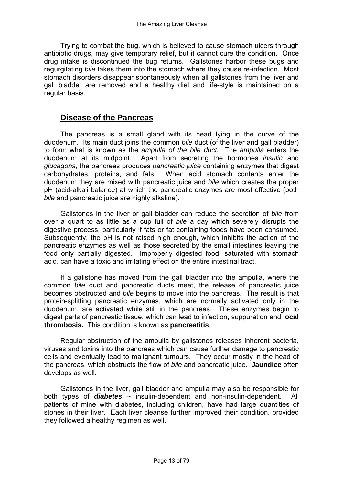Trying to combat the bug, which is believed to cause stomach ulcers through antibiotic drugs, may give temporary relief, but it cannot cure the condition. Once drug intake is discontinued the bug returns. Gallstones harbor these bugs and regurgitating *bile* takes them into the stomach where they cause re-infection. Most stomach disorders disappear spontaneously when all gallstones from the liver and gall bladder are removed and a healthy diet and life-style is maintained on a regular basis.

#### **Disease of the Pancreas**

The pancreas is a small gland with its head lying in the curve of the duodenum. Its main duct joins the common *bile* duct (of the liver and gall bladder) to form what is known as the *ampulla of the bile duct.* The *ampulla* enters the duodenum at its midpoint. Apart from secreting the hormones *insulin* and *glucagons*, the pancreas produces *pancreatic juice* containing enzymes that digest carbohydrates, proteins, and fats. When acid stomach contents enter the duodenum they are mixed with pancreatic juice and *bile* which creates the proper pH (acid-alkali balance) at which the pancreatic enzymes are most effective (both *bile* and pancreatic juice are highly alkaline).

Gallstones in the liver or gall bladder can reduce the secretion of *bile* from over a quart to as little as a cup full of *bile* a day which severely disrupts the digestive process; particularly if fats or fat containing foods have been consumed. Subsequently, the pH is not raised high enough, which inhibits the action of the pancreatic enzymes as well as those secreted by the small intestines leaving the food only partially digested. Improperly digested food, saturated with stomach acid, can have a toxic and irritating effect on the entire intestinal tract.

If a gallstone has moved from the gall bladder into the ampulla, where the common *bile* duct and pancreatic ducts meet, the release of pancreatic juice becomes obstructed and *bile* begins to move into the pancreas. The result is that protein-splitting pancreatic enzymes, which are normally activated only in the duodenum, are activated while still in the pancreas. These enzymes begin to digest parts of pancreatic tissue, which can lead to infection, suppuration and **local thrombosis.** This condition is known as **pancreatitis**.

Regular obstruction of the ampulla by gallstones releases inherent bacteria, viruses and toxins into the pancreas which can cause further damage to pancreatic cells and eventually lead to malignant tumours. They occur mostly in the head of the pancreas, which obstructs the flow of *bile* and pancreatic juice. **Jaundice** often develops as well.

Gallstones in the liver, gall bladder and ampulla may also be responsible for both types of *diabetes* ~ insulin-dependent and non-insulin-dependent. All patients of mine with diabetes, including children, have had large quantities of stones in their liver. Each liver cleanse further improved their condition, provided they followed a healthy regimen as well.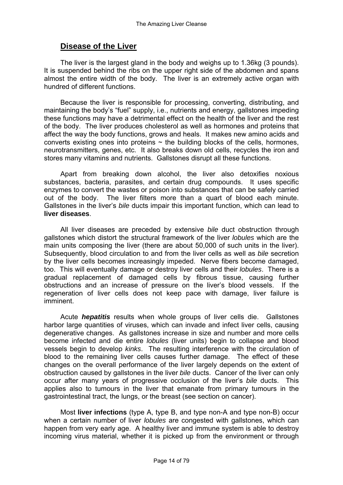#### **Disease of the Liver**

The liver is the largest gland in the body and weighs up to 1.36kg (3 pounds). It is suspended behind the ribs on the upper right side of the abdomen and spans almost the entire width of the body. The liver is an extremely active organ with hundred of different functions.

Because the liver is responsible for processing, converting, distributing, and maintaining the body's "fuel" supply, i.e., nutrients and energy, gallstones impeding these functions may have a detrimental effect on the health of the liver and the rest of the body. The liver produces cholesterol as well as hormones and proteins that affect the way the body functions, grows and heals. It makes new amino acids and converts existing ones into proteins  $\sim$  the building blocks of the cells, hormones, neurotransmitters, genes, etc. It also breaks down old cells, recycles the iron and stores many vitamins and nutrients. Gallstones disrupt all these functions.

Apart from breaking down alcohol, the liver also detoxifies noxious substances, bacteria, parasites, and certain drug compounds. It uses specific enzymes to convert the wastes or poison into substances that can be safely carried out of the body. The liver filters more than a quart of blood each minute. Gallstones in the liver's *bile* ducts impair this important function, which can lead to **liver diseases**.

All liver diseases are preceded by extensive *bile* duct obstruction through gallstones which distort the structural framework of the liver *lobules* which are the main units composing the liver (there are about 50,000 of such units in the liver). Subsequently, blood circulation to and from the liver cells as well as *bile* secretion by the liver cells becomes increasingly impeded. Nerve fibers become damaged, too. This will eventually damage or destroy liver cells and their *lobules*. There is a gradual replacement of damaged cells by fibrous tissue, causing further obstructions and an increase of pressure on the liver's blood vessels. If the regeneration of liver cells does not keep pace with damage, liver failure is imminent.

Acute *hepatitis* results when whole groups of liver cells die. Gallstones harbor large quantities of viruses, which can invade and infect liver cells, causing degenerative changes. As gallstones increase in size and number and more cells become infected and die entire *lobules* (liver units) begin to collapse and blood vessels begin to develop *kinks*. The resulting interference with the circulation of blood to the remaining liver cells causes further damage. The effect of these changes on the overall performance of the liver largely depends on the extent of obstruction caused by gallstones in the liver *bile* ducts. Cancer of the liver can only occur after many years of progressive occlusion of the liver's *bile* ducts. This applies also to tumours in the liver that emanate from primary tumours in the gastrointestinal tract, the lungs, or the breast (see section on cancer).

Most **liver infections** (type A, type B, and type non-A and type non-B) occur when a certain number of liver *lobules* are congested with gallstones, which can happen from very early age. A healthy liver and immune system is able to destroy incoming virus material, whether it is picked up from the environment or through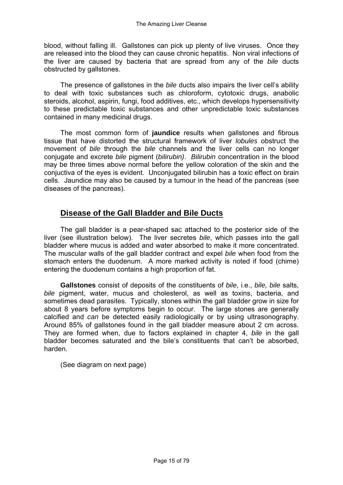blood, without falling ill. Gallstones can pick up plenty of live viruses. Once they are released into the blood they can cause chronic hepatitis. Non viral infections of the liver are caused by bacteria that are spread from any of the *bile* ducts obstructed by gallstones.

The presence of gallstones in the *bile* ducts also impairs the liver cell's ability to deal with toxic substances such as chloroform, cytotoxic drugs, anabolic steroids, alcohol, aspirin, fungi, food additives, etc., which develops hypersensitivity to these predictable toxic substances and other unpredictable toxic substances contained in many medicinal drugs.

The most common form of **jaundice** results when gallstones and fibrous tissue that have distorted the structural framework of liver *lobules* obstruct the movement of *bile* through the *bile* channels and the liver cells can no longer conjugate and excrete *bile* pigment (*bilirubin)*. *Bilirubin* concentration in the blood may be three times above normal before the yellow coloration of the skin and the conjuctiva of the eyes is evident. Unconjugated bilirubin has a toxic effect on brain cells. Jaundice may also be caused by a tumour in the head of the pancreas (see diseases of the pancreas).

#### **Disease of the Gall Bladder and Bile Ducts**

The gall bladder is a pear-shaped sac attached to the posterior side of the liver (see illustration below). The liver secretes *bile*, which passes into the gall bladder where mucus is added and water absorbed to make it more concentrated. The muscular walls of the gall bladder contract and expel *bile* when food from the stomach enters the duodenum. A more marked activity is noted if food (chime) entering the duodenum contains a high proportion of fat.

**Gallstones** consist of deposits of the constituents of *bile*, i.e., *bile, bile* salts, *bile* pigment, water, mucus and cholesterol, as well as toxins, bacteria, and sometimes dead parasites. Typically, stones within the gall bladder grow in size for about 8 years before symptoms begin to occur. The large stones are generally calcified and *can* be detected easily radiologically or by using ultrasonography. Around 85% of gallstones found in the gall bladder measure about 2 cm across. They are formed when, due to factors explained in chapter 4, *bile* in the gall bladder becomes saturated and the bile's constituents that can't be absorbed, harden.

(See diagram on next page)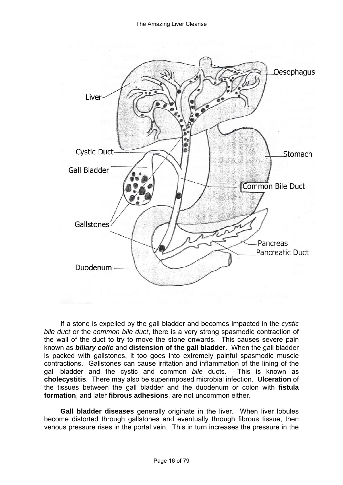

If a stone is expelled by the gall bladder and becomes impacted in the *cystic bile duct* or the *common bile duct*, there is a very strong spasmodic contraction of the wall of the duct to try to move the stone onwards. This causes severe pain known as *biliary colic* and **distension of the gall bladder**. When the gall bladder is packed with gallstones, it too goes into extremely painful spasmodic muscle contractions. Gallstones can cause irritation and inflammation of the lining of the gall bladder and the cystic and common *bile* ducts. This is known as **cholecystitis**. There may also be superimposed microbial infection. **Ulceration** of the tissues between the gall bladder and the duodenum or colon with **fistula formation**, and later **fibrous adhesions**, are not uncommon either.

**Gall bladder diseases** generally originate in the liver. When liver lobules become distorted through gallstones and eventually through fibrous tissue, then venous pressure rises in the portal vein. This in turn increases the pressure in the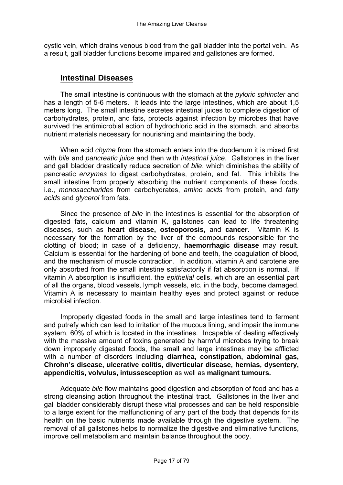cystic vein, which drains venous blood from the gall bladder into the portal vein. As a result, gall bladder functions become impaired and gallstones are formed.

#### **Intestinal Diseases**

The small intestine is continuous with the stomach at the *pyloric sphincter* and has a length of 5-6 meters. It leads into the large intestines, which are about 1,5 meters long. The small intestine secretes intestinal juices to complete digestion of carbohydrates, protein, and fats, protects against infection by microbes that have survived the antimicrobial action of hydrochloric acid in the stomach, and absorbs nutrient materials necessary for nourishing and maintaining the body.

When acid *chyme* from the stomach enters into the duodenum it is mixed first with *bile* and *pancreatic juice* and then with *intestinal juice*. Gallstones in the liver and gall bladder drastically reduce secretion of *bile*, which diminishes the ability of pancreatic *enzymes* to digest carbohydrates, protein, and fat. This inhibits the small intestine from properly absorbing the nutrient components of these foods, i.e., *monosaccharides* from carbohydrates, *amino acids* from protein, and *fatty acids* and *glycerol* from fats.

Since the presence of *bile* in the intestines is essential for the absorption of digested fats, calcium and vitamin K, gallstones can lead to life threatening diseases, such as **heart disease, osteoporosis,** and **cancer**. Vitamin K is necessary for the formation by the liver of the compounds responsible for the clotting of blood; in case of a deficiency, **haemorrhagic disease** may result. Calcium is essential for the hardening of bone and teeth, the coagulation of blood, and the mechanism of muscle contraction. In addition, vitamin A and carotene are only absorbed from the small intestine satisfactorily if fat absorption is normal. If vitamin A absorption is insufficient, the *epithelial* cells, which are an essential part of all the organs, blood vessels, lymph vessels, etc. in the body, become damaged. Vitamin A is necessary to maintain healthy eyes and protect against or reduce microbial infection.

Improperly digested foods in the small and large intestines tend to ferment and putrefy which can lead to irritation of the mucous lining, and impair the immune system, 60% of which is located in the intestines. Incapable of dealing effectively with the massive amount of toxins generated by harmful microbes trying to break down improperly digested foods, the small and large intestines may be afflicted with a number of disorders including **diarrhea, constipation, abdominal gas, Chrohn's disease, ulcerative colitis, diverticular disease, hernias, dysentery, appendicitis, volvulus, intussesception** as well as **malignant tumours.**

Adequate *bile* flow maintains good digestion and absorption of food and has a strong cleansing action throughout the intestinal tract. Gallstones in the liver and gall bladder considerably disrupt these vital processes and can be held responsible to a large extent for the malfunctioning of any part of the body that depends for its health on the basic nutrients made available through the digestive system. The removal of all gallstones helps to normalize the digestive and eliminative functions, improve cell metabolism and maintain balance throughout the body.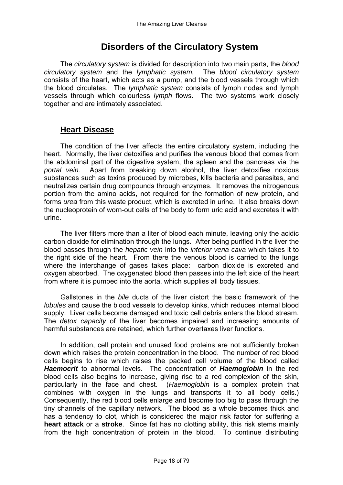#### **Disorders of the Circulatory System**

The *circulatory system* is divided for description into two main parts, the *blood circulatory system* and the *lymphatic system.* The *blood circulatory system* consists of the heart, which acts as a pump, and the blood vessels through which the blood circulates. The *lymphatic system* consists of lymph nodes and lymph vessels through which colourless *lymph* flows. The two systems work closely together and are intimately associated.

#### **Heart Disease**

The condition of the liver affects the entire circulatory system, including the heart. Normally, the liver detoxifies and purifies the venous blood that comes from the abdominal part of the digestive system, the spleen and the pancreas via the *portal vein*. Apart from breaking down alcohol, the liver detoxifies noxious substances such as toxins produced by microbes, kills bacteria and parasites, and neutralizes certain drug compounds through enzymes. It removes the nitrogenous portion from the amino acids, not required for the formation of new protein, and forms *urea* from this waste product, which is excreted in urine. It also breaks down the nucleoprotein of worn-out cells of the body to form uric acid and excretes it with urine.

The liver filters more than a liter of blood each minute, leaving only the acidic carbon dioxide for elimination through the lungs. After being purified in the liver the blood passes through the *hepatic vein* into the *inferior vena cava* which takes it to the right side of the heart. From there the venous blood is carried to the lungs where the interchange of gases takes place: carbon dioxide is excreted and oxygen absorbed. The oxygenated blood then passes into the left side of the heart from where it is pumped into the aorta, which supplies all body tissues.

Gallstones in the *bile* ducts of the liver distort the basic framework of the *lobules* and cause the blood vessels to develop kinks, which reduces internal blood supply. Liver cells become damaged and toxic cell debris enters the blood stream. The *detox capacity* of the liver becomes impaired and increasing amounts of harmful substances are retained, which further overtaxes liver functions.

In addition, cell protein and unused food proteins are not sufficiently broken down which raises the protein concentration in the blood. The number of red blood cells begins to rise which raises the packed cell volume of the blood called *Haemocrit* to abnormal levels. The concentration of *Haemoglobin* in the red blood cells also begins to increase, giving rise to a red complexion of the skin, particularly in the face and chest. (*Haemoglobin* is a complex protein that combines with oxygen in the lungs and transports it to all body cells.) Consequently, the red blood cells enlarge and become too big to pass through the tiny channels of the capillary network. The blood as a whole becomes thick and has a tendency to clot, which is considered the major risk factor for suffering a **heart attack** or a **stroke**. Since fat has no clotting ability, this risk stems mainly from the high concentration of protein in the blood. To continue distributing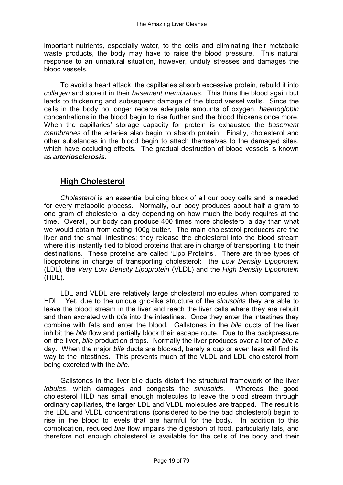important nutrients, especially water, to the cells and eliminating their metabolic waste products, the body may have to raise the blood pressure. This natural response to an unnatural situation, however, unduly stresses and damages the blood vessels.

To avoid a heart attack, the capillaries absorb excessive protein, rebuild it into *collagen* and store it in their *basement membranes*. This thins the blood again but leads to thickening and subsequent damage of the blood vessel walls. Since the cells in the body no longer receive adequate amounts of oxygen, *haemoglobin*  concentrations in the blood begin to rise further and the blood thickens once more. When the capillaries' storage capacity for protein is exhausted the *basement membranes* of the arteries also begin to absorb protein. Finally, cholesterol and other substances in the blood begin to attach themselves to the damaged sites, which have occluding effects. The gradual destruction of blood vessels is known as *arteriosclerosis*.

#### **High Cholesterol**

*Cholesterol* is an essential building block of all our body cells and is needed for every metabolic process. Normally, our body produces about half a gram to one gram of cholesterol a day depending on how much the body requires at the time. Overall, our body can produce 400 times more cholesterol a day than what we would obtain from eating 100g butter. The main cholesterol producers are the liver and the small intestines; they release the cholesterol into the blood stream where it is instantly tied to blood proteins that are in charge of transporting it to their destinations. These proteins are called 'Lipo Proteins'. There are three types of lipoproteins in charge of transporting cholesterol: the *Low Density Lipoprotein*  (LDL)*,* the *Very Low Density Lipoprotein* (VLDL) and the *High Density Lipoprotein*  (HDL).

LDL and VLDL are relatively large cholesterol molecules when compared to HDL. Yet, due to the unique grid-like structure of the *sinusoids* they are able to leave the blood stream in the liver and reach the liver cells where they are rebuilt and then excreted with *bile* into the intestines. Once they enter the intestines they combine with fats and enter the blood. Gallstones in the *bile* ducts of the liver inhibit the *bile* flow and partially block their escape route. Due to the backpressure on the liver, *bile* production drops. Normally the liver produces over a liter of *bile* a day. When the major *bile* ducts are blocked, barely a cup or even less will find its way to the intestines. This prevents much of the VLDL and LDL cholesterol from being excreted with the *bile*.

Gallstones in the liver bile ducts distort the structural framework of the liver *lobules*, which damages and congests the *sinusoids*. Whereas the good cholesterol HLD has small enough molecules to leave the blood stream through ordinary capillaries, the larger LDL and VLDL molecules are trapped. The result is the LDL and VLDL concentrations (considered to be the bad cholesterol) begin to rise in the blood to levels that are harmful for the body. In addition to this complication, reduced *bile* flow impairs the digestion of food, particularly fats, and therefore not enough cholesterol is available for the cells of the body and their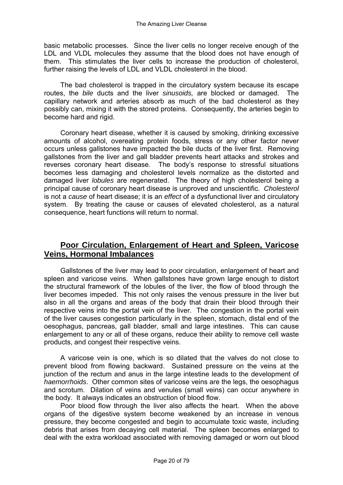basic metabolic processes. Since the liver cells no longer receive enough of the LDL and VLDL molecules they assume that the blood does not have enough of them. This stimulates the liver cells to increase the production of cholesterol, further raising the levels of LDL and VLDL cholesterol in the blood.

The bad cholesterol is trapped in the circulatory system because its escape routes, the *bile* ducts and the liver *sinusoids,* are blocked or damaged. The capillary network and arteries absorb as much of the bad cholesterol as they possibly can, mixing it with the stored proteins. Consequently, the arteries begin to become hard and rigid.

Coronary heart disease, whether it is caused by smoking, drinking excessive amounts of alcohol, overeating protein foods, stress or any other factor never occurs unless gallstones have impacted the bile ducts of the liver first. Removing gallstones from the liver and gall bladder prevents heart attacks and strokes and reverses coronary heart disease. The body's response to stressful situations becomes less damaging and cholesterol levels normalize as the distorted and damaged liver *lobules* are regenerated. The theory of high cholesterol being a principal cause of coronary heart disease is unproved and unscientific. *Cholesterol* is not a *cause* of heart disease; it is an *effect* of a dysfunctional liver and circulatory system. By treating the cause or causes of elevated cholesterol, as a natural consequence, heart functions will return to normal.

#### **Poor Circulation, Enlargement of Heart and Spleen, Varicose Veins, Hormonal Imbalances**

Gallstones of the liver may lead to poor circulation, enlargement of heart and spleen and varicose veins. When gallstones have grown large enough to distort the structural framework of the lobules of the liver, the flow of blood through the liver becomes impeded. This not only raises the venous pressure in the liver but also in all the organs and areas of the body that drain their blood through their respective veins into the portal vein of the liver. The congestion in the portal vein of the liver causes congestion particularly in the spleen, stomach, distal end of the oesophagus, pancreas, gall bladder, small and large intestines. This can cause enlargement to any or all of these organs, reduce their ability to remove cell waste products, and congest their respective veins.

A varicose vein is one, which is so dilated that the valves do not close to prevent blood from flowing backward. Sustained pressure on the veins at the junction of the rectum and anus in the large intestine leads to the development of *haemorrhoids*. Other common sites of varicose veins are the legs, the oesophagus and scrotum. Dilation of veins and venules (small veins) can occur anywhere in the body. It always indicates an obstruction of blood flow.

Poor blood flow through the liver also affects the heart. When the above organs of the digestive system become weakened by an increase in venous pressure, they become congested and begin to accumulate toxic waste, including debris that arises from decaying cell material. The spleen becomes enlarged to deal with the extra workload associated with removing damaged or worn out blood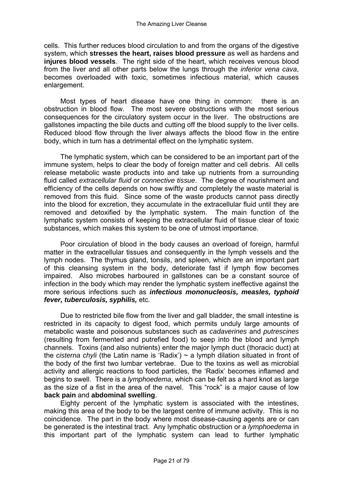cells. This further reduces blood circulation to and from the organs of the digestive system, which **stresses the heart, raises blood pressure** as well as hardens and **injures blood vessels**. The right side of the heart, which receives venous blood from the liver and all other parts below the lungs through the *inferior vena cava*, becomes overloaded with toxic, sometimes infectious material, which causes enlargement.

Most types of heart disease have one thing in common: there is an obstruction in blood flow. The most severe obstructions with the most serious consequences for the circulatory system occur in the liver. The obstructions are gallstones impacting the bile ducts and cutting off the blood supply to the liver cells. Reduced blood flow through the liver always affects the blood flow in the entire body, which in turn has a detrimental effect on the lymphatic system.

The lymphatic system, which can be considered to be an important part of the immune system, helps to clear the body of foreign matter and cell debris. All cells release metabolic waste products into and take up nutrients from a surrounding fluid called *extracellular fluid* or *connective tissue*. The degree of nourishment and efficiency of the cells depends on how swiftly and completely the waste material is removed from this fluid. Since some of the waste products cannot pass directly into the blood for excretion, they accumulate in the extracellular fluid until they are removed and detoxified by the lymphatic system. The main function of the lymphatic system consists of keeping the extracellular fluid of tissue clear of toxic substances, which makes this system to be one of utmost importance.

Poor circulation of blood in the body causes an overload of foreign, harmful matter in the extracellular tissues and consequently in the lymph vessels and the lymph nodes. The thymus gland, tonsils, and spleen, which are an important part of this cleansing system in the body, deteriorate fast if lymph flow becomes impaired. Also microbes harboured in gallstones can be a constant source of infection in the body which may render the lymphatic system ineffective against the more serious infections such as *infectious mononucleosis, measles, typhoid fever, tuberculosis, syphilis,* etc.

Due to restricted bile flow from the liver and gall bladder, the small intestine is restricted in its capacity to digest food, which permits unduly large amounts of metabolic waste and poisonous substances such as *cadaverines* and *putrescines* (resulting from fermented and putrefied food) to seep into the blood and lymph channels. Toxins (and also nutrients) enter the major lymph duct (thoracic duct) at the *cisterna chyli* (the Latin name is 'Radix') ~ a lymph dilation situated in front of the body of the first two lumbar vertebrae. Due to the toxins as well as microbial activity and allergic reactions to food particles, the 'Radix' becomes inflamed and begins to swell. There is a *lymphoedema*, which can be felt as a hard knot as large as the size of a fist in the area of the navel. This "rock" is a major cause of low **back pain** and **abdominal swelling**.

Eighty percent of the lymphatic system is associated with the intestines, making this area of the body to be the largest centre of immune activity. This is no coincidence. The part in the body where most disease-causing agents are or can be generated is the intestinal tract. Any lymphatic obstruction or a *lymphoedema* in this important part of the lymphatic system can lead to further lymphatic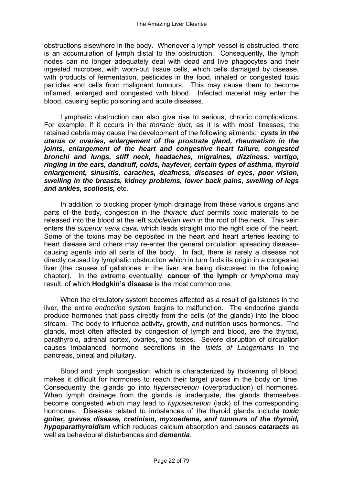obstructions elsewhere in the body. Whenever a lymph vessel is obstructed, there is an accumulation of lymph distal to the obstruction. Consequently, the lymph nodes can no longer adequately deal with dead and live phagocytes and their ingested microbes, with worn-out tissue cells, which cells damaged by disease, with products of fermentation, pesticides in the food, inhaled or congested toxic particles and cells from malignant tumours. This may cause them to become inflamed, enlarged and congested with blood. Infected material may enter the blood, causing septic poisoning and acute diseases.

Lymphatic obstruction can also give rise to serious, chronic complications. For example, if it occurs in the *thoracic duct*, as it is with most illnesses, the retained debris may cause the development of the following ailments: *cysts in the uterus or ovaries, enlargement of the prostrate gland, rheumatism in the joints, enlargement of the heart and congestive heart failure, congested bronchi and lungs, stiff neck, headaches, migraines, dizziness, vertigo, ringing in the ears, dandruff, colds, hayfever, certain types of asthma, thyroid enlargement, sinusitis, earaches, deafness, diseases of eyes, poor vision, swelling in the breasts, kidney problems, lower back pains, swelling of legs and ankles, scoliosis,* etc.

In addition to blocking proper lymph drainage from these various organs and parts of the body, congestion in the *thoracic duct* permits toxic materials to be released into the blood at the left *subclevian vein* in the root of the neck. This vein enters the *superior vena cava,* which leads straight into the right side of the heart. Some of the toxins may be deposited in the heart and heart arteries leading to heart disease and others may re-enter the general circulation spreading diseasecausing agents into all parts of the body. In fact, there is rarely a disease not directly caused by lymphatic obstruction which in turn finds its origin in a congested liver (the causes of gallstones in the liver are being discussed in the following chapter). In the extreme eventuality, **cancer of the lymph** or *lymphoma* may result, of which **Hodgkin's disease** is the most common one.

When the circulatory system becomes affected as a result of gallstones in the liver, the entire *endocrine system* begins to malfunction. The endocrine glands produce hormones that pass directly from the cells (of the glands) into the blood stream. The body to influence activity, growth, and nutrition uses hormones. The glands, most often affected by congestion of lymph and blood, are the thyroid, parathyroid, adrenal cortex, ovaries, and testes. Severe disruption of circulation causes imbalanced hormone secretions in the *Islets of Langerhans* in the pancreas, pineal and pituitary.

Blood and lymph congestion, which is characterized by thickening of blood, makes it difficult for hormones to reach their target places in the body on time. Consequently the glands go into *hypersecretion* (overproduction) of hormones. When lymph drainage from the glands is inadequate, the glands themselves become congested which may lead to *hyposecretion* (lack) of the corresponding hormones. Diseases related to imbalances of the thyroid glands include *toxic goiter, graves disease, cretinism, myxoedema, and tumours of the thyroid, hypoparathyroidism* which reduces calcium absorption and causes *cataracts* as well as behavioural disturbances and *dementia*.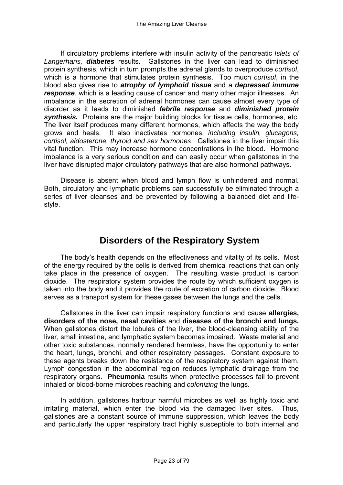If circulatory problems interfere with insulin activity of the pancreatic *Islets of Langerhans, diabetes* results. Gallstones in the liver can lead to diminished protein synthesis, which in turn prompts the adrenal glands to overproduce *cortisol*, which is a hormone that stimulates protein synthesis. Too much *cortisol*, in the blood also gives rise to *atrophy of lymphoid tissue* and a *depressed immune response*, which is a leading cause of cancer and many other major illnesses. An imbalance in the secretion of adrenal hormones can cause almost every type of disorder as it leads to diminished *febrile response* and *diminished protein synthesis.* Proteins are the major building blocks for tissue cells, hormones, etc. The liver itself produces many different hormones, which affects the way the body grows and heals. It also inactivates hormones, *including insulin, glucagons, cortisol, aldosterone, thyroid and sex hormones*. Gallstones in the liver impair this vital function. This may increase hormone concentrations in the blood. Hormone imbalance is a very serious condition and can easily occur when gallstones in the liver have disrupted major circulatory pathways that are also hormonal pathways.

Disease is absent when blood and lymph flow is unhindered and normal. Both, circulatory and lymphatic problems can successfully be eliminated through a series of liver cleanses and be prevented by following a balanced diet and lifestyle.

# **Disorders of the Respiratory System**

The body's health depends on the effectiveness and vitality of its cells. Most of the energy required by the cells is derived from chemical reactions that can only take place in the presence of oxygen. The resulting waste product is carbon dioxide. The respiratory system provides the route by which sufficient oxygen is taken into the body and it provides the route of excretion of carbon dioxide. Blood serves as a transport system for these gases between the lungs and the cells.

Gallstones in the liver can impair respiratory functions and cause **allergies, disorders of the nose, nasal cavities** and **diseases of the bronchi and lungs.** When gallstones distort the lobules of the liver, the blood-cleansing ability of the liver, small intestine, and lymphatic system becomes impaired. Waste material and other toxic substances, normally rendered harmless, have the opportunity to enter the heart, lungs, bronchi, and other respiratory passages. Constant exposure to these agents breaks down the resistance of the respiratory system against them. Lymph congestion in the abdominal region reduces lymphatic drainage from the respiratory organs. **Pheumonia** results when protective processes fail to prevent inhaled or blood-borne microbes reaching and *colonizing* the lungs.

In addition, gallstones harbour harmful microbes as well as highly toxic and irritating material, which enter the blood via the damaged liver sites. Thus, gallstones are a constant source of immune suppression, which leaves the body and particularly the upper respiratory tract highly susceptible to both internal and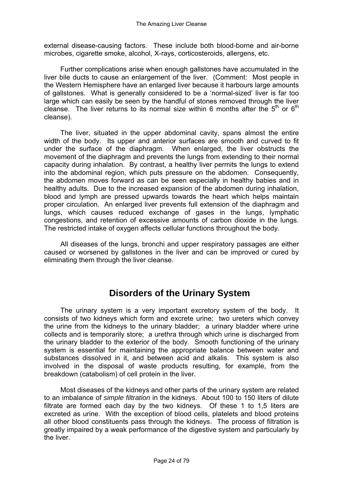external disease-causing factors. These include both blood-borne and air-borne microbes, cigarette smoke, alcohol, X-rays, corticosteroids, allergens, etc.

Further complications arise when enough gallstones have accumulated in the liver bile ducts to cause an enlargement of the liver. (Comment: Most people in the Western Hemisphere have an enlarged liver because it harbours large amounts of gallstones. What is generally considered to be a 'normal-sized' liver is far too large which can easily be seen by the handful of stones removed through the liver cleanse. The liver returns to its normal size within 6 months after the  $5<sup>th</sup>$  or  $6<sup>th</sup>$ cleanse).

The liver, situated in the upper abdominal cavity, spans almost the entire width of the body. Its upper and anterior surfaces are smooth and curved to fit under the surface of the diaphragm. When enlarged, the liver obstructs the movement of the diaphragm and prevents the lungs from extending to their normal capacity during inhalation. By contrast, a healthy liver permits the lungs to extend into the abdominal region, which puts pressure on the abdomen. Consequently, the abdomen moves forward as can be seen especially in healthy babies and in healthy adults. Due to the increased expansion of the abdomen during inhalation, blood and lymph are pressed upwards towards the heart which helps maintain proper circulation. An enlarged liver prevents full extension of the diaphragm and lungs, which causes reduced exchange of gases in the lungs, lymphatic congestions, and retention of excessive amounts of carbon dioxide in the lungs. The restricted intake of oxygen affects cellular functions throughout the body.

All diseases of the lungs, bronchi and upper respiratory passages are either caused or worsened by gallstones in the liver and can be improved or cured by eliminating them through the liver cleanse.

# **Disorders of the Urinary System**

The urinary system is a very important excretory system of the body. It consists of two kidneys which form and excrete urine; two ureters which convey the urine from the kidneys to the urinary bladder; a urinary bladder where urine collects and is temporarily store; a urethra through which urine is discharged from the urinary bladder to the exterior of the body. Smooth functioning of the urinary system is essential for maintaining the appropriate balance between water and substances dissolved in it, and between acid and alkalis. This system is also involved in the disposal of waste products resulting, for example, from the breakdown (catabolism) of cell protein in the liver.

Most diseases of the kidneys and other parts of the urinary system are related to an imbalance of *simple filtration* in the kidneys. About 100 to 150 liters of dilute filtrate are formed each day by the two kidneys. Of these 1 to 1,5 liters are excreted as urine. With the exception of blood cells, platelets and blood proteins all other blood constituents pass through the kidneys. The process of filtration is greatly impaired by a weak performance of the digestive system and particularly by the liver.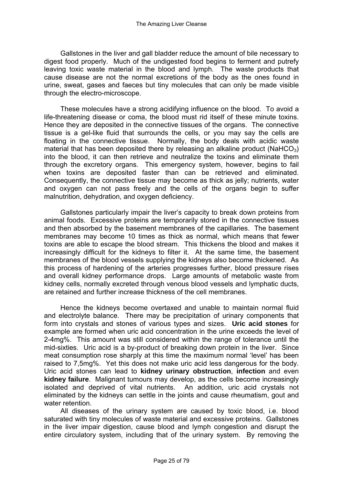Gallstones in the liver and gall bladder reduce the amount of bile necessary to digest food properly. Much of the undigested food begins to ferment and putrefy leaving toxic waste material in the blood and lymph. The waste products that cause disease are not the normal excretions of the body as the ones found in urine, sweat, gases and faeces but tiny molecules that can only be made visible through the electro-microscope.

These molecules have a strong acidifying influence on the blood. To avoid a life-threatening disease or coma, the blood must rid itself of these minute toxins. Hence they are deposited in the connective tissues of the organs. The connective tissue is a gel-like fluid that surrounds the cells, or you may say the cells are floating in the connective tissue. Normally, the body deals with acidic waste material that has been deposited there by releasing an alkaline product (NaHCO<sub>3</sub>) into the blood, it can then retrieve and neutralize the toxins and eliminate them through the excretory organs. This emergency system, however, begins to fail when toxins are deposited faster than can be retrieved and eliminated. Consequently, the connective tissue may become as thick as jelly; nutrients, water and oxygen can not pass freely and the cells of the organs begin to suffer malnutrition, dehydration, and oxygen deficiency.

Gallstones particularly impair the liver's capacity to break down proteins from animal foods. Excessive proteins are temporarily stored in the connective tissues and then absorbed by the basement membranes of the capillaries. The basement membranes may become 10 times as thick as normal, which means that fewer toxins are able to escape the blood stream. This thickens the blood and makes it increasingly difficult for the kidneys to filter it. At the same time, the basement membranes of the blood vessels supplying the kidneys also become thickened. As this process of hardening of the arteries progresses further, blood pressure rises and overall kidney performance drops. Large amounts of metabolic waste from kidney cells, normally excreted through venous blood vessels and lymphatic ducts, are retained and further increase thickness of the cell membranes.

Hence the kidneys become overtaxed and unable to maintain normal fluid and electrolyte balance. There may be precipitation of urinary components that form into crystals and stones of various types and sizes. **Uric acid stones** for example are formed when uric acid concentration in the urine exceeds the level of 2-4mg%. This amount was still considered within the range of tolerance until the mid-sixties. Uric acid is a by-product of breaking down protein in the liver. Since meat consumption rose sharply at this time the maximum normal 'level' has been raised to 7,5mg%. Yet this does not make uric acid less dangerous for the body. Uric acid stones can lead to **kidney urinary obstruction**, **infection** and even **kidney failure**. Malignant tumours may develop, as the cells become increasingly isolated and deprived of vital nutrients. An addition, uric acid crystals not eliminated by the kidneys can settle in the joints and cause rheumatism, gout and water retention.

All diseases of the urinary system are caused by toxic blood, i.e. blood saturated with tiny molecules of waste material and excessive proteins. Gallstones in the liver impair digestion, cause blood and lymph congestion and disrupt the entire circulatory system, including that of the urinary system. By removing the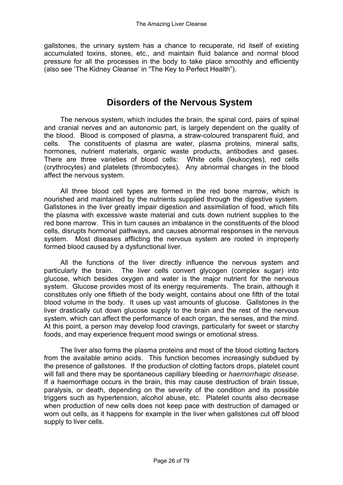gallstones, the urinary system has a chance to recuperate, rid itself of existing accumulated toxins, stones, etc., and maintain fluid balance and normal blood pressure for all the processes in the body to take place smoothly and efficiently (also see 'The Kidney Cleanse' in "The Key to Perfect Health").

#### **Disorders of the Nervous System**

The nervous system, which includes the brain, the spinal cord, pairs of spinal and cranial nerves and an autonomic part, is largely dependent on the quality of the blood. Blood is composed of plasma, a straw-coloured transparent fluid, and cells. The constituents of plasma are water, plasma proteins, mineral salts, hormones, nutrient materials, organic waste products, antibodies and gases. There are three varieties of blood cells: White cells (leukocytes), red cells (crythrocytes) and platelets (thrombocytes). Any abnormal changes in the blood affect the nervous system.

All three blood cell types are formed in the red bone marrow, which is nourished and maintained by the nutrients supplied through the digestive system. Gallstones in the liver greatly impair digestion and assimilation of food, which fills the plasma with excessive waste material and cuts down nutrient supplies to the red bone marrow. This in turn causes an imbalance in the constituents of the blood cells, disrupts hormonal pathways, and causes abnormal responses in the nervous system. Most diseases afflicting the nervous system are rooted in improperly formed blood caused by a dysfunctional liver.

All the functions of the liver directly influence the nervous system and particularly the brain. The liver cells convert glycogen (complex sugar) into glucose, which besides oxygen and water is the major nutrient for the nervous system. Glucose provides most of its energy requirements. The brain, although it constitutes only one fiftieth of the body weight, contains about one fifth of the total blood volume in the body. It uses up vast amounts of glucose. Gallstones in the liver drastically cut down glucose supply to the brain and the rest of the nervous system, which can affect the performance of each organ, the senses, and the mind. At this point, a person may develop food cravings, particularly for sweet or starchy foods, and may experience frequent mood swings or emotional stress.

The liver also forms the plasma proteins and most of the blood clotting factors from the available amino acids. This function becomes increasingly subdued by the presence of gallstones. If the production of clotting factors drops, platelet count will fall and there may be spontaneous capillary bleeding or *haemorrhagic disease*. If a haemorrhage occurs in the brain, this may cause destruction of brain tissue, paralysis, or death, depending on the severity of the condition and its possible triggers such as hypertension, alcohol abuse, etc. Platelet counts also decrease when production of new cells does not keep pace with destruction of damaged or worn out cells, as it happens for example in the liver when gallstones cut off blood supply to liver cells.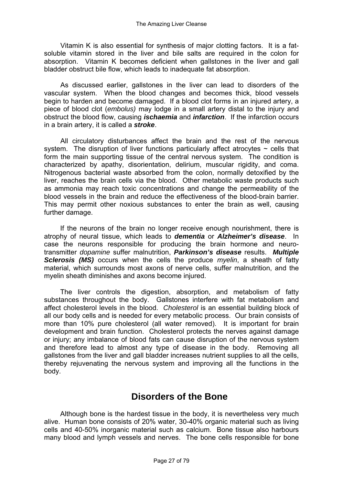Vitamin K is also essential for synthesis of major clotting factors. It is a fatsoluble vitamin stored in the liver and bile salts are required in the colon for absorption. Vitamin K becomes deficient when gallstones in the liver and gall bladder obstruct bile flow, which leads to inadequate fat absorption.

As discussed earlier, gallstones in the liver can lead to disorders of the vascular system. When the blood changes and becomes thick, blood vessels begin to harden and become damaged. If a blood clot forms in an injured artery, a piece of blood clot (*embolus)* may lodge in a small artery distal to the injury and obstruct the blood flow, causing *ischaemia* and *infarction*. If the infarction occurs in a brain artery, it is called a *stroke*.

All circulatory disturbances affect the brain and the rest of the nervous system. The disruption of liver functions particularly affect atrocytes  $\sim$  cells that form the main supporting tissue of the central nervous system. The condition is characterized by apathy, disorientation, delirium, muscular rigidity, and coma. Nitrogenous bacterial waste absorbed from the colon, normally detoxified by the liver, reaches the brain cells via the blood. Other metabolic waste products such as ammonia may reach toxic concentrations and change the permeability of the blood vessels in the brain and reduce the effectiveness of the blood-brain barrier. This may permit other noxious substances to enter the brain as well, causing further damage.

If the neurons of the brain no longer receive enough nourishment, there is atrophy of neural tissue, which leads to *dementia* or *Alzheimer's disease*. In case the neurons responsible for producing the brain hormone and neurotransmitter *dopamine* suffer malnutrition, *Parkinson's disease* results. *Multiple Sclerosis (MS)* occurs when the cells the produce *myelin*, a sheath of fatty material, which surrounds most axons of nerve cells, suffer malnutrition, and the myelin sheath diminishes and axons become injured.

The liver controls the digestion, absorption, and metabolism of fatty substances throughout the body. Gallstones interfere with fat metabolism and affect cholesterol levels in the blood. *Cholesterol* is an essential building block of all our body cells and is needed for every metabolic process. Our brain consists of more than 10% pure cholesterol (all water removed). It is important for brain development and brain function. Cholesterol protects the nerves against damage or injury; any imbalance of blood fats can cause disruption of the nervous system and therefore lead to almost any type of disease in the body. Removing all gallstones from the liver and gall bladder increases nutrient supplies to all the cells, thereby rejuvenating the nervous system and improving all the functions in the body.

# **Disorders of the Bone**

Although bone is the hardest tissue in the body, it is nevertheless very much alive. Human bone consists of 20% water, 30-40% organic material such as living cells and 40-50% inorganic material such as calcium. Bone tissue also harbours many blood and lymph vessels and nerves. The bone cells responsible for bone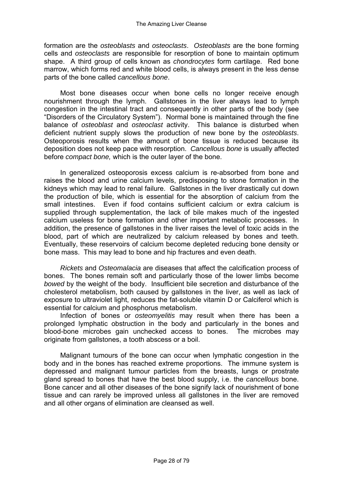formation are the *osteoblasts* and *osteoclasts*. *Osteoblasts* are the bone forming cells and *osteoclasts* are responsible for resorption of bone to maintain optimum shape. A third group of cells known as *chondrocytes* form cartilage. Red bone marrow, which forms red and white blood cells, is always present in the less dense parts of the bone called *cancellous bone*.

Most bone diseases occur when bone cells no longer receive enough nourishment through the lymph. Gallstones in the liver always lead to lymph congestion in the intestinal tract and consequently in other parts of the body (see "Disorders of the Circulatory System"). Normal bone is maintained through the fine balance of *osteoblast* and *osteoclast* activity. This balance is disturbed when deficient nutrient supply slows the production of new bone by the *osteoblasts*. Osteoporosis results when the amount of bone tissue is reduced because its deposition does not keep pace with resorption. *Cancellous bone* is usually affected before *compact bone,* which is the outer layer of the bone.

In generalized osteoporosis excess calcium is re-absorbed from bone and raises the blood and urine calcium levels, predisposing to stone formation in the kidneys which may lead to renal failure. Gallstones in the liver drastically cut down the production of bile, which is essential for the absorption of calcium from the small intestines. Even if food contains sufficient calcium or extra calcium is supplied through supplementation, the lack of bile makes much of the ingested calcium useless for bone formation and other important metabolic processes. In addition, the presence of gallstones in the liver raises the level of toxic acids in the blood, part of which are neutralized by calcium released by bones and teeth. Eventually, these reservoirs of calcium become depleted reducing bone density or bone mass. This may lead to bone and hip fractures and even death.

*Rickets* and *Osteomalacia* are diseases that affect the calcification process of bones. The bones remain soft and particularly those of the lower limbs become *bowed* by the weight of the body. Insufficient bile secretion and disturbance of the cholesterol metabolism, both caused by gallstones in the liver, as well as lack of exposure to ultraviolet light, reduces the fat-soluble vitamin D or Calciferol which is essential for calcium and phosphorus metabolism.

Infection of bones or *osteomyelitis* may result when there has been a prolonged lymphatic obstruction in the body and particularly in the bones and blood-bone microbes gain unchecked access to bones. The microbes may originate from gallstones, a tooth abscess or a boil.

Malignant tumours of the bone can occur when lymphatic congestion in the body and in the bones has reached extreme proportions. The immune system is depressed and malignant tumour particles from the breasts, lungs or prostrate gland spread to bones that have the best blood supply, i.e. the *cancellous* bone. Bone cancer and all other diseases of the bone signify lack of nourishment of bone tissue and can rarely be improved unless all gallstones in the liver are removed and all other organs of elimination are cleansed as well.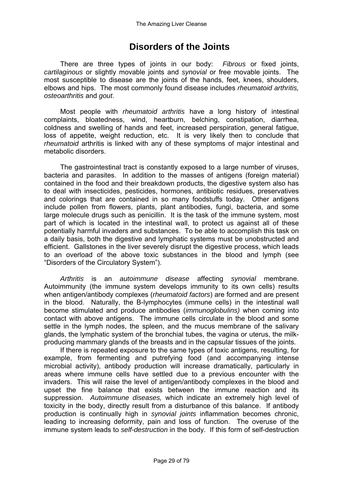#### **Disorders of the Joints**

There are three types of joints in our body: *Fibrous* or fixed joints, *cartilaginous* or slightly movable joints and *synovial* or free movable joints. The most susceptible to disease are the joints of the hands, feet, knees, shoulders, elbows and hips. The most commonly found disease includes *rheumatoid arthritis, osteoarthritis* and *gout*.

Most people with *rheumatoid arthritis* have a long history of intestinal complaints, bloatedness, wind, heartburn, belching, constipation, diarrhea, coldness and swelling of hands and feet, increased perspiration, general fatigue, loss of appetite, weight reduction, etc. It is very likely then to conclude that *rheumatoid* arthritis is linked with any of these symptoms of major intestinal and metabolic disorders.

The gastrointestinal tract is constantly exposed to a large number of viruses, bacteria and parasites. In addition to the masses of antigens (foreign material) contained in the food and their breakdown products, the digestive system also has to deal with insecticides, pesticides, hormones, antibiotic residues, preservatives and colorings that are contained in so many foodstuffs today. Other antigens include pollen from flowers, plants, plant antibodies, fungi, bacteria, and some large molecule drugs such as penicillin. It is the task of the immune system, most part of which is located in the intestinal wall, to protect us against all of these potentially harmful invaders and substances. To be able to accomplish this task on a daily basis, both the digestive and lymphatic systems must be unobstructed and efficient. Gallstones in the liver severely disrupt the digestive process, which leads to an overload of the above toxic substances in the blood and lymph (see "Disorders of the Circulatory System").

*Arthritis* is an *autoimmune disease* affecting *synovial* membrane. Autoimmunity (the immune system develops immunity to its own cells) results when antigen/antibody complexes (*rheumatoid factors*) are formed and are present in the blood. Naturally, the B-lymphocytes (immune cells) in the intestinal wall become stimulated and produce antibodies (*immunoglobulins)* when coming into contact with above antigens. The immune cells circulate in the blood and some settle in the lymph nodes, the spleen, and the mucus membrane of the salivary glands, the lymphatic system of the bronchial tubes, the vagina or uterus, the milkproducing mammary glands of the breasts and in the capsular tissues of the joints.

If there is repeated exposure to the same types of toxic antigens, resulting, for example, from fermenting and putrefying food (and accompanying intense microbial activity), antibody production will increase dramatically, particularly in areas where immune cells have settled due to a previous encounter with the invaders. This will raise the level of antigen/antibody complexes in the blood and upset the fine balance that exists between the immune reaction and its suppression. *Autoimmune diseases,* which indicate an extremely high level of toxicity in the body, directly result from a disturbance of this balance. If antibody production is continually high in *synovial joints* inflammation becomes chronic, leading to increasing deformity, pain and loss of function. The overuse of the immune system leads to *self-destruction* in the body. If this form of self-destruction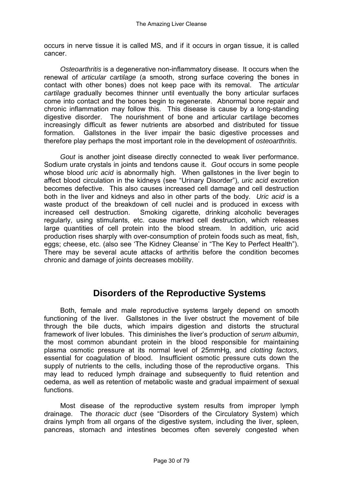occurs in nerve tissue it is called MS, and if it occurs in organ tissue, it is called cancer.

*Osteoarthritis* is a degenerative non-inflammatory disease. It occurs when the renewal of *articular cartilage* (a smooth, strong surface covering the bones in contact with other bones) does not keep pace with its removal. The *articular cartilage* gradually becomes thinner until eventually the bony articular surfaces come into contact and the bones begin to regenerate. Abnormal bone repair and chronic inflammation may follow this. This disease is cause by a long-standing digestive disorder. The nourishment of bone and articular cartilage becomes increasingly difficult as fewer nutrients are absorbed and distributed for tissue formation. Gallstones in the liver impair the basic digestive processes and therefore play perhaps the most important role in the development of *osteoarthritis.*

*Gout* is another joint disease directly connected to weak liver performance. Sodium urate crystals in joints and tendons cause it. *Gout* occurs in some people whose blood *uric acid* is abnormally high. When gallstones in the liver begin to affect blood circulation in the kidneys (see "Urinary Disorder"), *uric acid* excretion becomes defective. This also causes increased cell damage and cell destruction both in the liver and kidneys and also in other parts of the body. *Uric acid* is a waste product of the breakdown of cell nuclei and is produced in excess with increased cell destruction. Smoking cigarette, drinking alcoholic beverages regularly, using stimulants, etc. cause marked cell destruction, which releases large quantities of cell protein into the blood stream. In addition, uric acid production rises sharply with over-consumption of protein foods such as meat, fish, eggs; cheese, etc. (also see 'The Kidney Cleanse' in "The Key to Perfect Health"). There may be several acute attacks of arthritis before the condition becomes chronic and damage of joints decreases mobility.

#### **Disorders of the Reproductive Systems**

Both, female and male reproductive systems largely depend on smooth functioning of the liver. Gallstones in the liver obstruct the movement of bile through the bile ducts, which impairs digestion and distorts the structural framework of liver lobules. This diminishes the liver's production of *serum albumin*, the most common abundant protein in the blood responsible for maintaining plasma osmotic pressure at its normal level of 25mmHg, and *clotting factors*, essential for coagulation of blood. Insufficient osmotic pressure cuts down the supply of nutrients to the cells, including those of the reproductive organs. This may lead to reduced lymph drainage and subsequently to fluid retention and oedema, as well as retention of metabolic waste and gradual impairment of sexual functions.

Most disease of the reproductive system results from improper lymph drainage. The *thoracic duct* (see "Disorders of the Circulatory System) which drains lymph from all organs of the digestive system, including the liver, spleen, pancreas, stomach and intestines becomes often severely congested when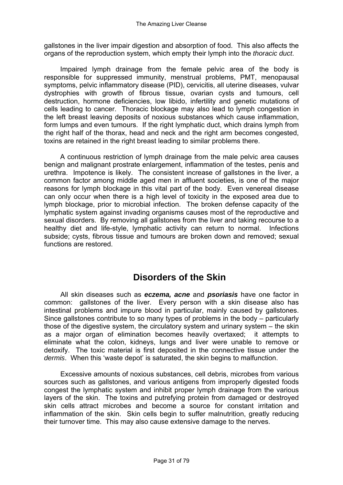gallstones in the liver impair digestion and absorption of food. This also affects the organs of the reproduction system, which empty their lymph into the *thoracic duct*.

Impaired lymph drainage from the female pelvic area of the body is responsible for suppressed immunity, menstrual problems, PMT, menopausal symptoms, pelvic inflammatory disease (PID), cervicitis, all uterine diseases, vulvar dystrophies with growth of fibrous tissue, ovarian cysts and tumours, cell destruction, hormone deficiencies, low libido, infertility and genetic mutations of cells leading to cancer. Thoracic blockage may also lead to lymph congestion in the left breast leaving deposits of noxious substances which cause inflammation, form lumps and even tumours. If the right lymphatic duct, which drains lymph from the right half of the thorax, head and neck and the right arm becomes congested, toxins are retained in the right breast leading to similar problems there.

A continuous restriction of lymph drainage from the male pelvic area causes benign and malignant prostrate enlargement, inflammation of the testes, penis and urethra. Impotence is likely. The consistent increase of gallstones in the liver, a common factor among middle aged men in affluent societies, is one of the major reasons for lymph blockage in this vital part of the body. Even venereal disease can only occur when there is a high level of toxicity in the exposed area due to lymph blockage, prior to microbial infection. The broken defense capacity of the lymphatic system against invading organisms causes most of the reproductive and sexual disorders. By removing all gallstones from the liver and taking recourse to a healthy diet and life-style, lymphatic activity can return to normal. Infections subside; cysts, fibrous tissue and tumours are broken down and removed; sexual functions are restored.

#### **Disorders of the Skin**

All skin diseases such as *eczema, acne* and *psoriasis* have one factor in common: gallstones of the liver. Every person with a skin disease also has intestinal problems and impure blood in particular, mainly caused by gallstones. Since gallstones contribute to so many types of problems in the body – particularly those of the digestive system, the circulatory system and urinary system – the skin as a major organ of elimination becomes heavily overtaxed; it attempts to eliminate what the colon, kidneys, lungs and liver were unable to remove or detoxify. The toxic material is first deposited in the connective tissue under the *dermis*. When this 'waste depot' is saturated, the skin begins to malfunction.

Excessive amounts of noxious substances, cell debris, microbes from various sources such as gallstones, and various antigens from improperly digested foods congest the lymphatic system and inhibit proper lymph drainage from the various layers of the skin. The toxins and putrefying protein from damaged or destroyed skin cells attract microbes and become a source for constant irritation and inflammation of the skin. Skin cells begin to suffer malnutrition, greatly reducing their turnover time. This may also cause extensive damage to the nerves.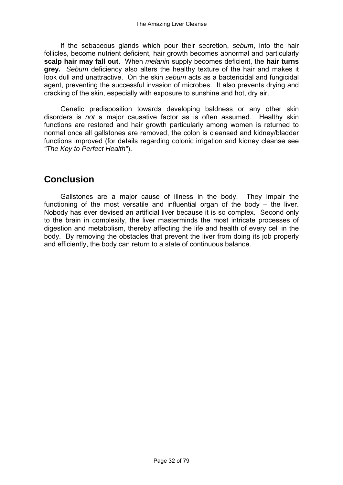If the sebaceous glands which pour their secretion, *sebum*, into the hair follicles, become nutrient deficient, hair growth becomes abnormal and particularly **scalp hair may fall out**. When *melanin* supply becomes deficient, the **hair turns grey.** *Sebum* deficiency also alters the healthy texture of the hair and makes it look dull and unattractive. On the skin *sebum* acts as a bactericidal and fungicidal agent, preventing the successful invasion of microbes. It also prevents drying and cracking of the skin, especially with exposure to sunshine and hot, dry air.

Genetic predisposition towards developing baldness or any other skin disorders is *not* a major causative factor as is often assumed. Healthy skin functions are restored and hair growth particularly among women is returned to normal once all gallstones are removed, the colon is cleansed and kidney/bladder functions improved (for details regarding colonic irrigation and kidney cleanse see *"The Key to Perfect Health"*).

# **Conclusion**

Gallstones are a major cause of illness in the body. They impair the functioning of the most versatile and influential organ of the body – the liver. Nobody has ever devised an artificial liver because it is so complex. Second only to the brain in complexity, the liver masterminds the most intricate processes of digestion and metabolism, thereby affecting the life and health of every cell in the body. By removing the obstacles that prevent the liver from doing its job properly and efficiently, the body can return to a state of continuous balance.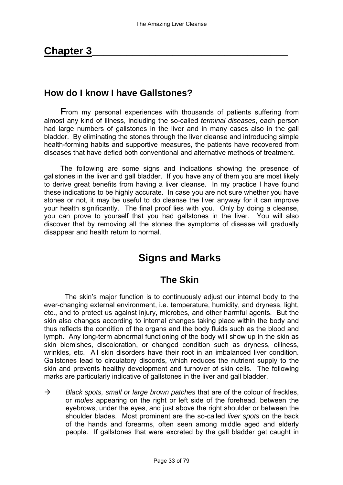# **Chapter 3\_\_\_\_\_\_\_\_\_\_\_\_\_\_\_\_\_\_\_\_\_\_\_\_\_\_\_\_\_\_\_\_\_\_**

#### **How do I know I have Gallstones?**

**F**rom my personal experiences with thousands of patients suffering from almost any kind of illness, including the so-called *terminal diseases*, each person had large numbers of gallstones in the liver and in many cases also in the gall bladder. By eliminating the stones through the liver cleanse and introducing simple health-forming habits and supportive measures, the patients have recovered from diseases that have defied both conventional and alternative methods of treatment.

The following are some signs and indications showing the presence of gallstones in the liver and gall bladder. If you have any of them you are most likely to derive great benefits from having a liver cleanse. In my practice I have found these indications to be highly accurate. In case you are not sure whether you have stones or not, it may be useful to do cleanse the liver anyway for it can improve your health significantly. The final proof lies with you. Only by doing a cleanse, you can prove to yourself that you had gallstones in the liver. You will also discover that by removing all the stones the symptoms of disease will gradually disappear and health return to normal.

# **Signs and Marks**

# **The Skin**

The skin's major function is to continuously adjust our internal body to the ever-changing external environment, i.e. temperature, humidity, and dryness, light, etc., and to protect us against injury, microbes, and other harmful agents. But the skin also changes according to internal changes taking place within the body and thus reflects the condition of the organs and the body fluids such as the blood and lymph. Any long-term abnormal functioning of the body will show up in the skin as skin blemishes, discoloration, or changed condition such as dryness, oiliness, wrinkles, etc. All skin disorders have their root in an imbalanced liver condition. Gallstones lead to circulatory discords, which reduces the nutrient supply to the skin and prevents healthy development and turnover of skin cells. The following marks are particularly indicative of gallstones in the liver and gall bladder.

 $\rightarrow$  *Black spots, small or large brown patches that are of the colour of freckles,* or *moles* appearing on the right or left side of the forehead, between the eyebrows, under the eyes, and just above the right shoulder or between the shoulder blades. Most prominent are the so-called *liver spots* on the back of the hands and forearms, often seen among middle aged and elderly people. If gallstones that were excreted by the gall bladder get caught in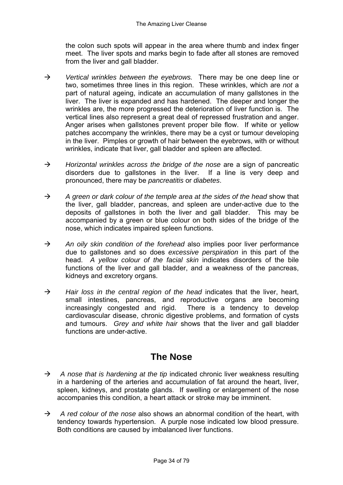the colon such spots will appear in the area where thumb and index finger meet. The liver spots and marks begin to fade after all stones are removed from the liver and gall bladder.

- $\rightarrow$  *Vertical wrinkles between the eyebrows.* There may be one deep line or two, sometimes three lines in this region. These wrinkles, which are *not* a part of natural ageing, indicate an accumulation of many gallstones in the liver. The liver is expanded and has hardened. The deeper and longer the wrinkles are, the more progressed the deterioration of liver function is. The vertical lines also represent a great deal of repressed frustration and anger. Anger arises when gallstones prevent proper bile flow. If white or yellow patches accompany the wrinkles, there may be a cyst or tumour developing in the liver. Pimples or growth of hair between the eyebrows, with or without wrinkles, indicate that liver, gall bladder and spleen are affected.
- → *Horizontal wrinkles across the bridge of the nose are a sign of pancreatic* disorders due to gallstones in the liver. If a line is very deep and pronounced, there may be *pancreatitis* or *diabetes*.
- $\rightarrow$  A green or dark colour of the temple area at the sides of the head show that the liver, gall bladder, pancreas, and spleen are under-active due to the deposits of gallstones in both the liver and gall bladder. This may be accompanied by a green or blue colour on both sides of the bridge of the nose, which indicates impaired spleen functions.
- $\rightarrow$  An oily skin condition of the forehead also implies poor liver performance due to gallstones and so does *excessive perspiration* in this part of the head. *A yellow colour of the facial skin* indicates disorders of the bile functions of the liver and gall bladder, and a weakness of the pancreas, kidneys and excretory organs.
- $\rightarrow$  *Hair loss in the central region of the head* indicates that the liver, heart, small intestines, pancreas, and reproductive organs are becoming increasingly congested and rigid. There is a tendency to develop cardiovascular disease, chronic digestive problems, and formation of cysts and tumours. *Grey and white hair* shows that the liver and gall bladder functions are under-active.

# **The Nose**

- → A nose that is hardening at the tip indicated chronic liver weakness resulting in a hardening of the arteries and accumulation of fat around the heart, liver, spleen, kidneys, and prostate glands. If swelling or enlargement of the nose accompanies this condition, a heart attack or stroke may be imminent.
- A *red colour of the nose* also shows an abnormal condition of the heart, with tendency towards hypertension. A purple nose indicated low blood pressure. Both conditions are caused by imbalanced liver functions.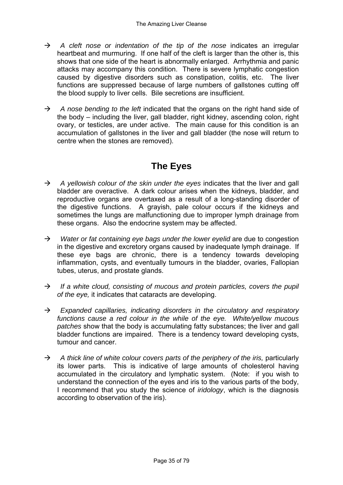- $\rightarrow$  A cleft nose or indentation of the tip of the nose indicates an irregular heartbeat and murmuring. If one half of the cleft is larger than the other is, this shows that one side of the heart is abnormally enlarged. Arrhythmia and panic attacks may accompany this condition. There is severe lymphatic congestion caused by digestive disorders such as constipation, colitis, etc. The liver functions are suppressed because of large numbers of gallstones cutting off the blood supply to liver cells. Bile secretions are insufficient.
- $\rightarrow$  A nose bending to the left indicated that the organs on the right hand side of the body – including the liver, gall bladder, right kidney, ascending colon, right ovary, or testicles, are under active. The main cause for this condition is an accumulation of gallstones in the liver and gall bladder (the nose will return to centre when the stones are removed).

# **The Eyes**

- $\rightarrow$  A yellowish colour of the skin under the eyes indicates that the liver and gall bladder are overactive. A dark colour arises when the kidneys, bladder, and reproductive organs are overtaxed as a result of a long-standing disorder of the digestive functions. A grayish, pale colour occurs if the kidneys and sometimes the lungs are malfunctioning due to improper lymph drainage from these organs. Also the endocrine system may be affected.
- $\rightarrow$  *Water or fat containing eye bags under the lower eyelid are due to congestion* in the digestive and excretory organs caused by inadequate lymph drainage. If these eye bags are chronic, there is a tendency towards developing inflammation, cysts, and eventually tumours in the bladder, ovaries, Fallopian tubes, uterus, and prostate glands.
- $\rightarrow$  If a white cloud, consisting of mucous and protein particles, covers the pupil *of the eye,* it indicates that cataracts are developing.
- → Expanded capillaries, indicating disorders in the circulatory and respiratory *functions cause a red colour in the while of the eye. White/yellow mucous patches* show that the body is accumulating fatty substances; the liver and gall bladder functions are impaired. There is a tendency toward developing cysts, tumour and cancer.
- $\rightarrow$  A thick line of white colour covers parts of the periphery of the iris, particularly its lower parts. This is indicative of large amounts of cholesterol having accumulated in the circulatory and lymphatic system. (Note: if you wish to understand the connection of the eyes and iris to the various parts of the body, I recommend that you study the science of *iridology*, which is the diagnosis according to observation of the iris).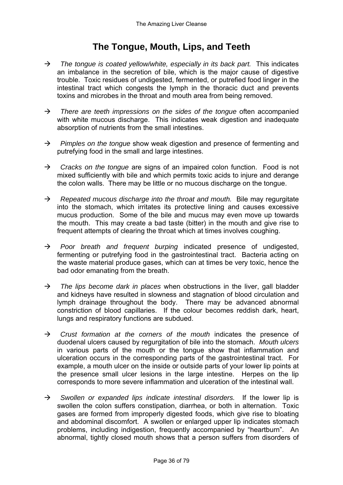# **The Tongue, Mouth, Lips, and Teeth**

- $\rightarrow$  The tongue is coated yellow/white, especially in its back part. This indicates an imbalance in the secretion of bile, which is the major cause of digestive trouble. Toxic residues of undigested, fermented, or putrefied food linger in the intestinal tract which congests the lymph in the thoracic duct and prevents toxins and microbes in the throat and mouth area from being removed.
- $\rightarrow$  There are teeth impressions on the sides of the tongue often accompanied with white mucous discharge. This indicates weak digestion and inadequate absorption of nutrients from the small intestines.
- A *Pimples on the tongue* show weak digestion and presence of fermenting and putrefying food in the small and large intestines.
- A *Cracks on the tongue* are signs of an impaired colon function. Food is not mixed sufficiently with bile and which permits toxic acids to injure and derange the colon walls. There may be little or no mucous discharge on the tongue.
- $\rightarrow$  Repeated mucous discharge into the throat and mouth. Bile may regurgitate into the stomach, which irritates its protective lining and causes excessive mucus production. Some of the bile and mucus may even move up towards the mouth. This may create a bad taste (bitter) in the mouth and give rise to frequent attempts of clearing the throat which at times involves coughing.
- $\rightarrow$  *Poor breath and frequent burping* indicated presence of undigested, fermenting or putrefying food in the gastrointestinal tract. Bacteria acting on the waste material produce gases, which can at times be very toxic, hence the bad odor emanating from the breath.
- $\rightarrow$  The lips become dark in places when obstructions in the liver, gall bladder and kidneys have resulted in slowness and stagnation of blood circulation and lymph drainage throughout the body. There may be advanced abnormal constriction of blood capillaries. If the colour becomes reddish dark, heart, lungs and respiratory functions are subdued.
- $\rightarrow$  *Crust formation at the corners of the mouth indicates the presence of* duodenal ulcers caused by regurgitation of bile into the stomach. *Mouth ulcers* in various parts of the mouth or the tongue show that inflammation and ulceration occurs in the corresponding parts of the gastrointestinal tract. For example, a mouth ulcer on the inside or outside parts of your lower lip points at the presence small ulcer lesions in the large intestine. Herpes on the lip corresponds to more severe inflammation and ulceration of the intestinal wall.
- $\rightarrow$  Swollen or expanded lips indicate intestinal disorders. If the lower lip is swollen the colon suffers constipation, diarrhea, or both in alternation. Toxic gases are formed from improperly digested foods, which give rise to bloating and abdominal discomfort. A swollen or enlarged upper lip indicates stomach problems, including indigestion, frequently accompanied by "heartburn". An abnormal, tightly closed mouth shows that a person suffers from disorders of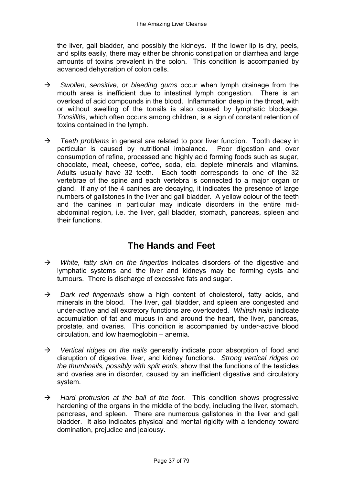the liver, gall bladder, and possibly the kidneys. If the lower lip is dry, peels, and splits easily, there may either be chronic constipation or diarrhea and large amounts of toxins prevalent in the colon. This condition is accompanied by advanced dehydration of colon cells.

- $\rightarrow$  Swollen, sensitive, or bleeding gums occur when lymph drainage from the mouth area is inefficient due to intestinal lymph congestion. There is an overload of acid compounds in the blood. Inflammation deep in the throat, with or without swelling of the tonsils is also caused by lymphatic blockage. *Tonsillitis*, which often occurs among children, is a sign of constant retention of toxins contained in the lymph.
- $\rightarrow$  *Teeth problems* in general are related to poor liver function. Tooth decay in particular is caused by nutritional imbalance. Poor digestion and over consumption of refine, processed and highly acid forming foods such as sugar, chocolate, meat, cheese, coffee, soda, etc. deplete minerals and vitamins. Adults usually have 32 teeth. Each tooth corresponds to one of the 32 vertebrae of the spine and each vertebra is connected to a major organ or gland. If any of the 4 canines are decaying, it indicates the presence of large numbers of gallstones in the liver and gall bladder. A yellow colour of the teeth and the canines in particular may indicate disorders in the entire midabdominal region, i.e. the liver, gall bladder, stomach, pancreas, spleen and their functions.

# **The Hands and Feet**

- $\rightarrow$  *White, fatty skin on the fingertips* indicates disorders of the digestive and lymphatic systems and the liver and kidneys may be forming cysts and tumours. There is discharge of excessive fats and sugar.
- → *Dark red fingernails* show a high content of cholesterol, fatty acids, and minerals in the blood. The liver, gall bladder, and spleen are congested and under-active and all excretory functions are overloaded. *Whitish nails* indicate accumulation of fat and mucus in and around the heart, the liver, pancreas, prostate, and ovaries. This condition is accompanied by under-active blood circulation, and low haemoglobin – anemia.
- → Vertical ridges on the nails generally indicate poor absorption of food and disruption of digestive, liver, and kidney functions. *Strong vertical ridges on the thumbnails, possibly with split ends*, show that the functions of the testicles and ovaries are in disorder, caused by an inefficient digestive and circulatory system.
- $\rightarrow$  *Hard protrusion at the ball of the foot.* This condition shows progressive hardening of the organs in the middle of the body, including the liver, stomach, pancreas, and spleen. There are numerous gallstones in the liver and gall bladder. It also indicates physical and mental rigidity with a tendency toward domination, prejudice and jealousy.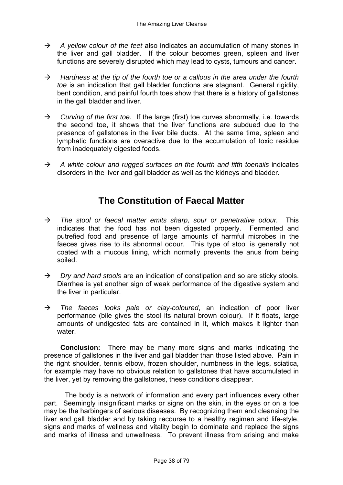- $\rightarrow$  A yellow colour of the feet also indicates an accumulation of many stones in the liver and gall bladder. If the colour becomes green, spleen and liver functions are severely disrupted which may lead to cysts, tumours and cancer.
- $\rightarrow$  Hardness at the tip of the fourth toe or a callous in the area under the fourth *toe* is an indication that gall bladder functions are stagnant. General rigidity, bent condition, and painful fourth toes show that there is a history of gallstones in the gall bladder and liver.
- $\rightarrow$  *Curving of the first toe.* If the large (first) toe curves abnormally, i.e. towards the second toe, it shows that the liver functions are subdued due to the presence of gallstones in the liver bile ducts. At the same time, spleen and lymphatic functions are overactive due to the accumulation of toxic residue from inadequately digested foods.
- A white colour and rugged surfaces on the fourth and fifth toenails indicates disorders in the liver and gall bladder as well as the kidneys and bladder.

## **The Constitution of Faecal Matter**

- $\rightarrow$  The stool or faecal matter emits sharp, sour or penetrative odour. This indicates that the food has not been digested properly. Fermented and putrefied food and presence of large amounts of harmful microbes in the faeces gives rise to its abnormal odour. This type of stool is generally not coated with a mucous lining, which normally prevents the anus from being soiled.
- $\rightarrow$  *Dry and hard stools* are an indication of constipation and so are sticky stools. Diarrhea is yet another sign of weak performance of the digestive system and the liver in particular.
- $\rightarrow$  *The faeces looks pale or clay-coloured*, an indication of poor liver performance (bile gives the stool its natural brown colour). If it floats, large amounts of undigested fats are contained in it, which makes it lighter than water

**Conclusion:** There may be many more signs and marks indicating the presence of gallstones in the liver and gall bladder than those listed above. Pain in the right shoulder, tennis elbow, frozen shoulder, numbness in the legs, sciatica, for example may have no obvious relation to gallstones that have accumulated in the liver, yet by removing the gallstones, these conditions disappear.

The body is a network of information and every part influences every other part. Seemingly insignificant marks or signs on the skin, in the eyes or on a toe may be the harbingers of serious diseases. By recognizing them and cleansing the liver and gall bladder and by taking recourse to a healthy regimen and life-style, signs and marks of wellness and vitality begin to dominate and replace the signs and marks of illness and unwellness. To prevent illness from arising and make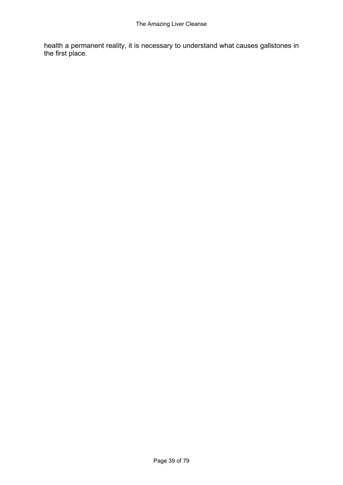health a permanent reality, it is necessary to understand what causes gallstones in the first place.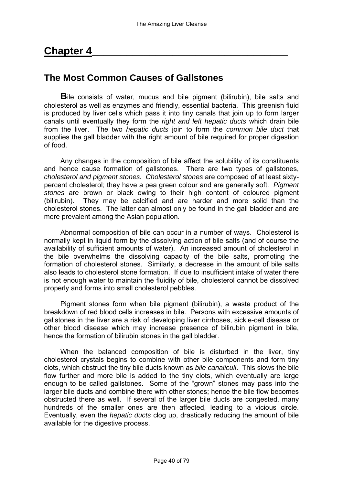# **Chapter 4\_\_\_\_\_\_\_\_\_\_\_\_\_\_\_\_\_\_\_\_\_\_\_\_\_\_\_\_\_\_\_\_\_\_**

## **The Most Common Causes of Gallstones**

**B**ile consists of water, mucus and bile pigment (bilirubin), bile salts and cholesterol as well as enzymes and friendly, essential bacteria. This greenish fluid is produced by liver cells which pass it into tiny canals that join up to form larger canals until eventually they form the *right and left hepatic ducts* which drain bile from the liver. The two *hepatic ducts* join to form the *common bile duct* that supplies the gall bladder with the right amount of bile required for proper digestion of food.

Any changes in the composition of bile affect the solubility of its constituents and hence cause formation of gallstones. There are two types of gallstones, *cholesterol and pigment stones. Cholesterol stones* are composed of at least sixtypercent cholesterol; they have a pea green colour and are generally soft. *Pigment stones* are brown or black owing to their high content of coloured pigment (bilirubin). They may be calcified and are harder and more solid than the cholesterol stones. The latter can almost only be found in the gall bladder and are more prevalent among the Asian population.

Abnormal composition of bile can occur in a number of ways. Cholesterol is normally kept in liquid form by the dissolving action of bile salts (and of course the availability of sufficient amounts of water). An increased amount of cholesterol in the bile overwhelms the dissolving capacity of the bile salts, promoting the formation of cholesterol stones. Similarly, a decrease in the amount of bile salts also leads to cholesterol stone formation. If due to insufficient intake of water there is not enough water to maintain the fluidity of bile, cholesterol cannot be dissolved properly and forms into small cholesterol pebbles.

Pigment stones form when bile pigment (bilirubin), a waste product of the breakdown of red blood cells increases in bile. Persons with excessive amounts of gallstones in the liver are a risk of developing liver cirrhoses, sickle-cell disease or other blood disease which may increase presence of bilirubin pigment in bile, hence the formation of bilirubin stones in the gall bladder.

When the balanced composition of bile is disturbed in the liver, tiny cholesterol crystals begins to combine with other bile components and form tiny clots, which obstruct the tiny bile ducts known as *bile canaliculi*. This slows the bile flow further and more bile is added to the tiny clots, which eventually are large enough to be called gallstones. Some of the "grown" stones may pass into the larger bile ducts and combine there with other stones; hence the bile flow becomes obstructed there as well. If several of the larger bile ducts are congested, many hundreds of the smaller ones are then affected, leading to a vicious circle. Eventually, even the *hepatic ducts* clog up, drastically reducing the amount of bile available for the digestive process.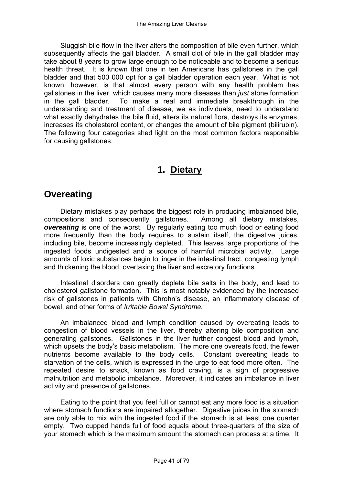Sluggish bile flow in the liver alters the composition of bile even further, which subsequently affects the gall bladder. A small clot of bile in the gall bladder may take about 8 years to grow large enough to be noticeable and to become a serious health threat. It is known that one in ten Americans has gallstones in the gall bladder and that 500 000 opt for a gall bladder operation each year. What is not known, however, is that almost every person with any health problem has gallstones in the liver, which causes many more diseases than *just* stone formation in the gall bladder. To make a real and immediate breakthrough in the understanding and treatment of disease, we as individuals, need to understand what exactly dehydrates the bile fluid, alters its natural flora, destroys its enzymes, increases its cholesterol content, or changes the amount of bile pigment (bilirubin). The following four categories shed light on the most common factors responsible for causing gallstones.

# **1. Dietary**

## **Overeating**

Dietary mistakes play perhaps the biggest role in producing imbalanced bile, compositions and consequently gallstones. Among all dietary mistakes, **overeating** is one of the worst. By regularly eating too much food or eating food more frequently than the body requires to sustain itself, the digestive juices, including bile, become increasingly depleted. This leaves large proportions of the ingested foods undigested and a source of harmful microbial activity. Large amounts of toxic substances begin to linger in the intestinal tract, congesting lymph and thickening the blood, overtaxing the liver and excretory functions.

Intestinal disorders can greatly deplete bile salts in the body, and lead to cholesterol gallstone formation. This is most notably evidenced by the increased risk of gallstones in patients with Chrohn's disease, an inflammatory disease of bowel, and other forms of *Irritable Bowel Syndrome.*

An imbalanced blood and lymph condition caused by overeating leads to congestion of blood vessels in the liver, thereby altering bile composition and generating gallstones. Gallstones in the liver further congest blood and lymph, which upsets the body's basic metabolism. The more one overeats food, the fewer nutrients become available to the body cells. Constant overeating leads to starvation of the cells, which is expressed in the urge to eat food more often. The repeated desire to snack, known as food craving, is a sign of progressive malnutrition and metabolic imbalance. Moreover, it indicates an imbalance in liver activity and presence of gallstones.

Eating to the point that you feel full or cannot eat any more food is a situation where stomach functions are impaired altogether. Digestive juices in the stomach are only able to mix with the ingested food if the stomach is at least one quarter empty. Two cupped hands full of food equals about three-quarters of the size of your stomach which is the maximum amount the stomach can process at a time. It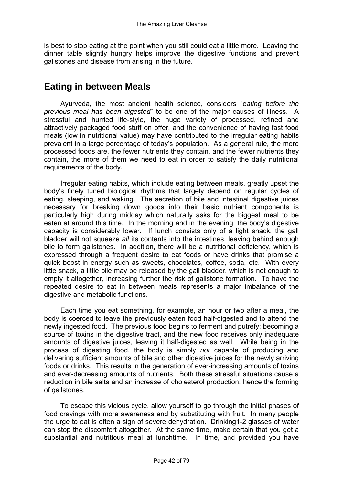is best to stop eating at the point when you still could eat a little more. Leaving the dinner table slightly hungry helps improve the digestive functions and prevent gallstones and disease from arising in the future.

# **Eating in between Meals**

Ayurveda, the most ancient health science, considers "e*ating before the previous meal has been digested*" to be one of the major causes of illness. A stressful and hurried life-style, the huge variety of processed, refined and attractively packaged food stuff on offer, and the convenience of having fast food meals (low in nutritional value) may have contributed to the irregular eating habits prevalent in a large percentage of today's population. As a general rule, the more processed foods are, the fewer nutrients they contain, and the fewer nutrients they contain, the more of them we need to eat in order to satisfy the daily nutritional requirements of the body.

Irregular eating habits, which include eating between meals, greatly upset the body's finely tuned biological rhythms that largely depend on regular cycles of eating, sleeping, and waking. The secretion of bile and intestinal digestive juices necessary for breaking down goods into their basic nutrient components is particularly high during midday which naturally asks for the biggest meal to be eaten at around this time. In the morning and in the evening, the body's digestive capacity is considerably lower. If lunch consists only of a light snack, the gall bladder will not squeeze *all* its contents into the intestines, leaving behind enough bile to form gallstones. In addition, there will be a nutritional deficiency, which is expressed through a frequent desire to eat foods or have drinks that promise a quick boost in energy such as sweets, chocolates, coffee, soda, etc. With every little snack, a little bile may be released by the gall bladder, which is not enough to empty it altogether, increasing further the risk of gallstone formation. To have the repeated desire to eat in between meals represents a major imbalance of the digestive and metabolic functions.

Each time you eat something, for example, an hour or two after a meal, the body is coerced to leave the previously eaten food half-digested and to attend the newly ingested food. The previous food begins to ferment and putrefy; becoming a source of toxins in the digestive tract, and the new food receives only inadequate amounts of digestive juices, leaving it half-digested as well. While being in the process of digesting food, the body is simply *not* capable of producing and delivering sufficient amounts of bile and other digestive juices for the newly arriving foods or drinks. This results in the generation of ever-increasing amounts of toxins and ever-decreasing amounts of nutrients. Both these stressful situations cause a reduction in bile salts and an increase of cholesterol production; hence the forming of gallstones.

To escape this vicious cycle, allow yourself to go through the initial phases of food cravings with more awareness and by substituting with fruit. In many people the urge to eat is often a sign of severe dehydration. Drinking1-2 glasses of water can stop the discomfort altogether. At the same time, make certain that you get a substantial and nutritious meal at lunchtime. In time, and provided you have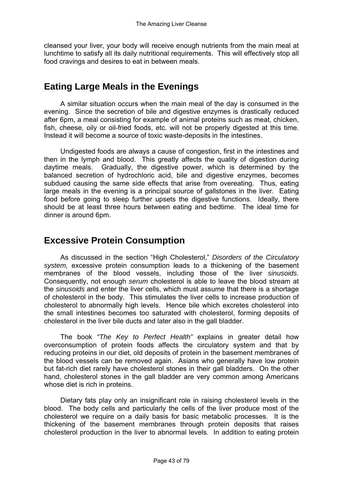cleansed your liver, your body will receive enough nutrients from the main meal at lunchtime to satisfy all its daily nutritional requirements. This will effectively stop all food cravings and desires to eat in between meals.

# **Eating Large Meals in the Evenings**

A similar situation occurs when the main meal of the day is consumed in the evening. Since the secretion of bile and digestive enzymes is drastically reduced after 6pm, a meal consisting for example of animal proteins such as meat, chicken, fish, cheese, oily or oil-fried foods, etc. will not be properly digested at this time. Instead it will become a source of toxic waste-deposits in the intestines.

Undigested foods are always a cause of congestion, first in the intestines and then in the lymph and blood. This greatly affects the quality of digestion during daytime meals. Gradually, the digestive power, which is determined by the balanced secretion of hydrochloric acid, bile and digestive enzymes, becomes subdued causing the same side effects that arise from overeating. Thus, eating large meals in the evening is a principal source of gallstones in the liver. Eating food before going to sleep further upsets the digestive functions. Ideally, there should be at least three hours between eating and bedtime. The ideal time for dinner is around 6pm.

## **Excessive Protein Consumption**

As discussed in the section "High Cholesterol," *Disorders of the Circulatory system,* excessive protein consumption leads to a thickening of the basement membranes of the blood vessels, including those of the liver *sinusoids.* Consequently, not enough *serum* cholesterol is able to leave the blood stream at the *sinusoids* and enter the liver cells, which must assume that there is a shortage of cholesterol in the body. This stimulates the liver cells to increase production of cholesterol to abnormally high levels. Hence bile which excretes cholesterol into the small intestines becomes too saturated with cholesterol, forming deposits of cholesterol in the liver bile ducts and later also in the gall bladder.

The book *"The Key to Perfect Health"* explains in greater detail how overconsumption of protein foods affects the circulatory system and that by reducing proteins in our diet, old deposits of protein in the basement membranes of the blood vessels can be removed again. Asians who generally have low protein but fat-rich diet rarely have cholesterol stones in their gall bladders. On the other hand, cholesterol stones in the gall bladder are very common among Americans whose diet is rich in proteins.

Dietary fats play only an insignificant role in raising cholesterol levels in the blood. The body cells and particularly the cells of the liver produce most of the cholesterol we require on a daily basis for basic metabolic processes. It is the thickening of the basement membranes through protein deposits that raises cholesterol production in the liver to abnormal levels. In addition to eating protein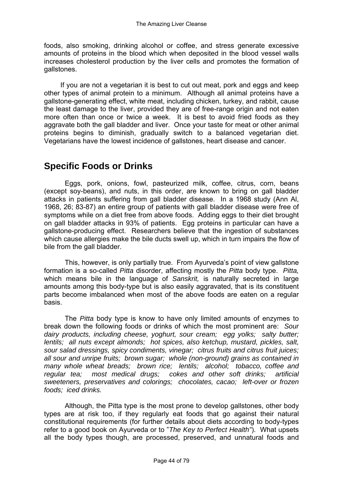foods, also smoking, drinking alcohol or coffee, and stress generate excessive amounts of proteins in the blood which when deposited in the blood vessel walls increases cholesterol production by the liver cells and promotes the formation of gallstones.

If you are not a vegetarian it is best to cut out meat, pork and eggs and keep other types of animal protein to a minimum. Although all animal proteins have a gallstone-generating effect, white meat, including chicken, turkey, and rabbit, cause the least damage to the liver, provided they are of free-range origin and not eaten more often than once or twice a week. It is best to avoid fried foods as they aggravate both the gall bladder and liver. Once your taste for meat or other animal proteins begins to diminish, gradually switch to a balanced vegetarian diet. Vegetarians have the lowest incidence of gallstones, heart disease and cancer.

### **Specific Foods or Drinks**

Eggs, pork, onions, fowl, pasteurized milk, coffee, citrus, corn, beans (except soy-beans), and nuts, in this order, are known to bring on gall bladder attacks in patients suffering from gall bladder disease. In a 1968 study (Ann Al, 1968, 26; 83-87) an entire group of patients with gall bladder disease were free of symptoms while on a diet free from above foods. Adding eggs to their diet brought on gall bladder attacks in 93% of patients. Egg proteins in particular can have a gallstone-producing effect. Researchers believe that the ingestion of substances which cause allergies make the bile ducts swell up, which in turn impairs the flow of bile from the gall bladder.

This, however, is only partially true. From Ayurveda's point of view gallstone formation is a so-called *Pitta* disorder, affecting mostly the *Pitta* body type. *Pitta,* which means bile in the language of *Sanskrit,* is naturally secreted in large amounts among this body-type but is also easily aggravated, that is its constituent parts become imbalanced when most of the above foods are eaten on a regular basis.

The *Pitta* body type is know to have only limited amounts of enzymes to break down the following foods or drinks of which the most prominent are: *Sour dairy products, including cheese, yoghurt, sour cream; egg yolks; salty butter; lentils; all nuts except almonds; hot spices, also ketchup, mustard, pickles, salt, sour salad dressings, spicy condiments, vinegar; citrus fruits and citrus fruit juices; all sour and unripe fruits; brown sugar; whole (non-ground) grains as contained in many whole wheat breads; brown rice; lentils; alcohol; tobacco, coffee and regular tea; most medical drugs; cokes and other soft drinks; artificial sweeteners, preservatives and colorings; chocolates, cacao; left-over or frozen foods; iced drinks.*

Although, the Pitta type is the most prone to develop gallstones, other body types are at risk too, if they regularly eat foods that go against their natural constitutional requirements (for further details about diets according to body-types refer to a good book on Ayurveda or to "*The Key to Perfect Health"*). What upsets all the body types though, are processed, preserved, and unnatural foods and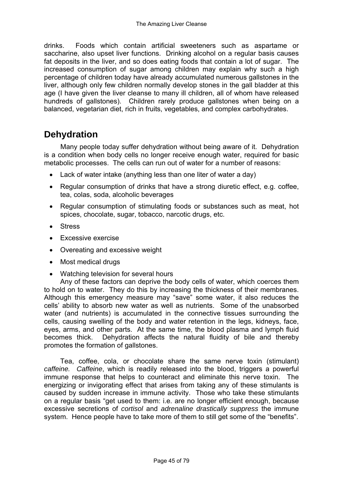drinks. Foods which contain artificial sweeteners such as aspartame or saccharine, also upset liver functions. Drinking alcohol on a regular basis causes fat deposits in the liver, and so does eating foods that contain a lot of sugar. The increased consumption of sugar among children may explain why such a high percentage of children today have already accumulated numerous gallstones in the liver, although only few children normally develop stones in the gall bladder at this age (I have given the liver cleanse to many ill children, all of whom have released hundreds of gallstones). Children rarely produce gallstones when being on a balanced, vegetarian diet, rich in fruits, vegetables, and complex carbohydrates.

## **Dehydration**

Many people today suffer dehydration without being aware of it. Dehydration is a condition when body cells no longer receive enough water, required for basic metabolic processes. The cells can run out of water for a number of reasons:

- Lack of water intake (anything less than one liter of water a day)
- Regular consumption of drinks that have a strong diuretic effect, e.g. coffee, tea, colas, soda, alcoholic beverages
- Regular consumption of stimulating foods or substances such as meat, hot spices, chocolate, sugar, tobacco, narcotic drugs, etc.
- Stress
- Excessive exercise
- Overeating and excessive weight
- Most medical drugs
- Watching television for several hours

Any of these factors can deprive the body cells of water, which coerces them to hold on to water. They do this by increasing the thickness of their membranes. Although this emergency measure may "save" some water, it also reduces the cells' ability to absorb new water as well as nutrients. Some of the unabsorbed water (and nutrients) is accumulated in the connective tissues surrounding the cells, causing swelling of the body and water retention in the legs, kidneys, face, eyes, arms, and other parts. At the same time, the blood plasma and lymph fluid becomes thick. Dehydration affects the natural fluidity of bile and thereby promotes the formation of gallstones.

Tea, coffee, cola, or chocolate share the same nerve toxin (stimulant) *caffeine. Caffeine*, which is readily released into the blood, triggers a powerful immune response that helps to counteract and eliminate this nerve toxin. The energizing or invigorating effect that arises from taking any of these stimulants is caused by sudden increase in immune activity. Those who take these stimulants on a regular basis "get used to them: i.e. are no longer efficient enough, because excessive secretions of *cortisol* and *adrenaline drastically suppress* the immune system. Hence people have to take more of them to still get some of the "benefits".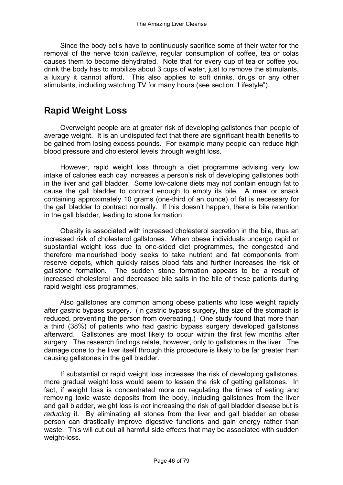Since the body cells have to continuously sacrifice some of their water for the removal of the nerve toxin *caffeine*, regular consumption of coffee, tea or colas causes them to become dehydrated. Note that for every cup of tea or coffee you drink the body has to mobilize about 3 cups of water, just to remove the stimulants, a luxury it cannot afford. This also applies to soft drinks, drugs or any other stimulants, including watching TV for many hours (see section "Lifestyle").

## **Rapid Weight Loss**

Overweight people are at greater risk of developing gallstones than people of average weight. It is an undisputed fact that there are significant health benefits to be gained from losing excess pounds. For example many people can reduce high blood pressure and cholesterol levels through weight loss.

However, rapid weight loss through a diet programme advising very low intake of calories each day increases a person's risk of developing gallstones both in the liver and gall bladder. Some low-calorie diets may not contain enough fat to cause the gall bladder to contract enough to empty its bile. A meal or snack containing approximately 10 grams (one-third of an ounce) of fat is necessary for the gall bladder to contract normally. If this doesn't happen, there is bile retention in the gall bladder, leading to stone formation.

Obesity is associated with increased cholesterol secretion in the bile, thus an increased risk of cholesterol gallstones. When obese individuals undergo rapid or substantial weight loss due to one-sided diet programmes, the congested and therefore malnourished body seeks to take nutrient and fat components from reserve depots, which quickly raises blood fats and further increases the risk of gallstone formation. The sudden stone formation appears to be a result of increased cholesterol and decreased bile salts in the bile of these patients during rapid weight loss programmes.

Also gallstones are common among obese patients who lose weight rapidly after gastric bypass surgery. (In gastric bypass surgery, the size of the stomach is reduced, preventing the person from overeating.) One study found that more than a third (38%) of patients who had gastric bypass surgery developed gallstones afterward. Gallstones are most likely to occur within the first few months after surgery. The research findings relate, however, only to gallstones in the liver. The damage done to the liver itself through this procedure is likely to be far greater than causing gallstones in the gall bladder.

If substantial or rapid weight loss increases the risk of developing gallstones, more gradual weight loss would seem to lessen the risk of getting gallstones. In fact, if weight loss is concentrated more on regulating the times of eating and removing toxic waste deposits from the body, including gallstones from the liver and gall bladder, weight loss is *not* increasing the risk of gall bladder disease but is *reducing* it. By eliminating all stones from the liver and gall bladder an obese person can drastically improve digestive functions and gain energy rather than waste. This will cut out all harmful side effects that may be associated with sudden weight-loss.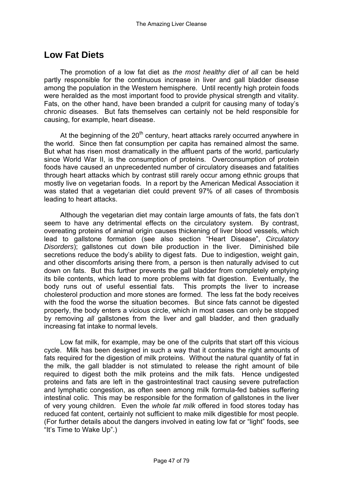### **Low Fat Diets**

The promotion of a low fat diet as *the most healthy diet of all* can be held partly responsible for the continuous increase in liver and gall bladder disease among the population in the Western hemisphere. Until recently high protein foods were heralded as the most important food to provide physical strength and vitality. Fats, on the other hand, have been branded a culprit for causing many of today's chronic diseases. But fats themselves can certainly not be held responsible for causing, for example, heart disease.

At the beginning of the  $20<sup>th</sup>$  century, heart attacks rarely occurred anywhere in the world. Since then fat consumption per capita has remained almost the same. But what has risen most dramatically in the affluent parts of the world, particularly since World War II, is the consumption of proteins. Overconsumption of protein foods have caused an unprecedented number of circulatory diseases and fatalities through heart attacks which by contrast still rarely occur among ethnic groups that mostly live on vegetarian foods. In a report by the American Medical Association it was stated that a vegetarian diet could prevent 97% of all cases of thrombosis leading to heart attacks.

Although the vegetarian diet may contain large amounts of fats, the fats don't seem to have any detrimental effects on the circulatory system. By contrast, overeating proteins of animal origin causes thickening of liver blood vessels, which lead to gallstone formation (see also section "Heart Disease", *Circulatory Disorders*); gallstones cut down bile production in the liver. Diminished bile secretions reduce the body's ability to digest fats. Due to indigestion, weight gain, and other discomforts arising there from, a person is then naturally advised to cut down on fats. But this further prevents the gall bladder from completely emptying its bile contents, which lead to more problems with fat digestion. Eventually, the body runs out of useful essential fats. This prompts the liver to increase cholesterol production and more stones are formed. The less fat the body receives with the food the worse the situation becomes. But since fats cannot be digested properly, the body enters a vicious circle, which in most cases can only be stopped by removing *all* gallstones from the liver and gall bladder, and then gradually increasing fat intake to normal levels.

Low fat milk, for example, may be one of the culprits that start off this vicious cycle. Milk has been designed in such a way that it contains the right amounts of fats required for the digestion of milk proteins. Without the natural quantity of fat in the milk, the gall bladder is not stimulated to release the right amount of bile required to digest both the milk proteins and the milk fats. Hence undigested proteins and fats are left in the gastrointestinal tract causing severe putrefaction and lymphatic congestion, as often seen among milk formula-fed babies suffering intestinal colic. This may be responsible for the formation of gallstones in the liver of very young children. Even the *whole fat milk* offered in food stores today has reduced fat content, certainly not sufficient to make milk digestible for most people. (For further details about the dangers involved in eating low fat or "light" foods, see "It's Time to Wake Up".)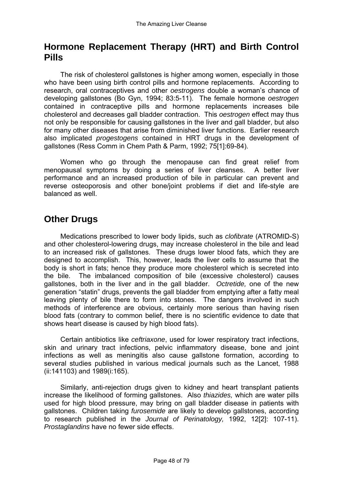## **Hormone Replacement Therapy (HRT) and Birth Control Pills**

The risk of cholesterol gallstones is higher among women, especially in those who have been using birth control pills and hormone replacements. According to research, oral contraceptives and other *oestrogens* double a woman's chance of developing gallstones (Bo Gyn, 1994; 83:5-11). The female hormone *oestrogen* contained in contraceptive pills and hormone replacements increases bile cholesterol and decreases gall bladder contraction. This *oestrogen* effect may thus not only be responsible for causing gallstones in the liver and gall bladder, but also for many other diseases that arise from diminished liver functions. Earlier research also implicated *progestogens* contained in HRT drugs in the development of gallstones (Ress Comm in Chem Path & Parm, 1992; 75[1]:69-84).

Women who go through the menopause can find great relief from menopausal symptoms by doing a series of liver cleanses. A better liver performance and an increased production of bile in particular can prevent and reverse osteoporosis and other bone/joint problems if diet and life-style are balanced as well.

# **Other Drugs**

Medications prescribed to lower body lipids, such as *clofibrate* (ATROMID-S) and other cholesterol-lowering drugs, may increase cholesterol in the bile and lead to an increased risk of gallstones. These drugs lower blood fats, which they are designed to accomplish. This, however, leads the liver cells to assume that the body is short in fats; hence they produce more cholesterol which is secreted into the bile. The imbalanced composition of bile (excessive cholesterol) causes gallstones, both in the liver and in the gall bladder. *Octretide,* one of the new generation "statin" drugs, prevents the gall bladder from emptying after a fatty meal leaving plenty of bile there to form into stones. The dangers involved in such methods of interference are obvious, certainly more serious than having risen blood fats (contrary to common belief, there is no scientific evidence to date that shows heart disease is caused by high blood fats).

Certain antibiotics like *ceftriaxone*, used for lower respiratory tract infections, skin and urinary tract infections, pelvic inflammatory disease, bone and joint infections as well as meningitis also cause gallstone formation, according to several studies published in various medical journals such as the Lancet, 1988 (ii:141103) and 1989(i:165).

Similarly, anti-rejection drugs given to kidney and heart transplant patients increase the likelihood of forming gallstones. Also *thiazides,* which are water pills used for high blood pressure, may bring on gall bladder disease in patients with gallstones. Children taking *furosemide* are likely to develop gallstones, according to research published in the *Journal of Perinatology,* 1992, 12[2]: 107-11). *Prostaglandins* have no fewer side effects.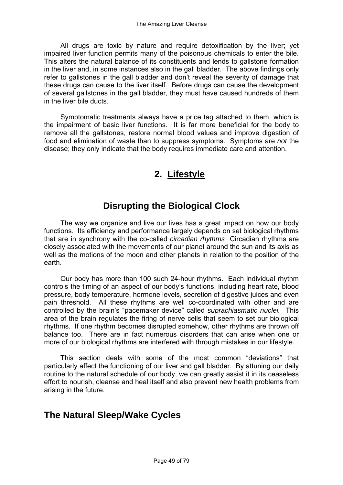All drugs are toxic by nature and require detoxification by the liver; yet impaired liver function permits many of the poisonous chemicals to enter the bile. This alters the natural balance of its constituents and lends to gallstone formation in the liver and, in some instances also in the gall bladder. The above findings only refer to gallstones in the gall bladder and don't reveal the severity of damage that these drugs can cause to the liver itself. Before drugs can cause the development of several gallstones in the gall bladder, they must have caused hundreds of them in the liver bile ducts.

Symptomatic treatments always have a price tag attached to them, which is the impairment of basic liver functions. It is far more beneficial for the body to remove all the gallstones, restore normal blood values and improve digestion of food and elimination of waste than to suppress symptoms. Symptoms are *not* the disease; they only indicate that the body requires immediate care and attention.

# **2. Lifestyle**

# **Disrupting the Biological Clock**

The way we organize and live our lives has a great impact on how our body functions. Its efficiency and performance largely depends on set biological rhythms that are in synchrony with the co-called *circadian rhythms* Circadian rhythms are closely associated with the movements of our planet around the sun and its axis as well as the motions of the moon and other planets in relation to the position of the earth.

Our body has more than 100 such 24-hour rhythms. Each individual rhythm controls the timing of an aspect of our body's functions, including heart rate, blood pressure, body temperature, hormone levels, secretion of digestive juices and even pain threshold. All these rhythms are well co-coordinated with other and are controlled by the brain's "pacemaker device" called *suprachiasmatic nuclei.* This area of the brain regulates the firing of nerve cells that seem to set our biological rhythms. If one rhythm becomes disrupted somehow, other rhythms are thrown off balance too. There are in fact numerous disorders that can arise when one or more of our biological rhythms are interfered with through mistakes in our lifestyle.

This section deals with some of the most common "deviations" that particularly affect the functioning of our liver and gall bladder. By attuning our daily routine to the natural schedule of our body, we can greatly assist it in its ceaseless effort to nourish, cleanse and heal itself and also prevent new health problems from arising in the future.

## **The Natural Sleep/Wake Cycles**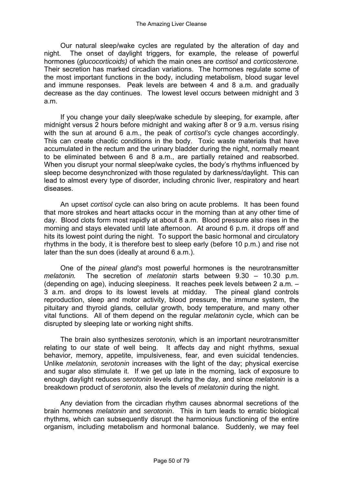Our natural sleep/wake cycles are regulated by the alteration of day and night. The onset of daylight triggers, for example, the release of powerful hormones (*glucocorticoids)* of which the main ones are *cortisol* and *corticosterone.* Their secretion has marked circadian variations. The hormones regulate some of the most important functions in the body, including metabolism, blood sugar level and immune responses. Peak levels are between 4 and 8 a.m. and gradually decrease as the day continues. The lowest level occurs between midnight and 3 a.m.

If you change your daily sleep/wake schedule by sleeping, for example, after midnight versus 2 hours before midnight and waking after 8 or 9 a.m. versus rising with the sun at around 6 a.m., the peak of *cortisol's* cycle changes accordingly. This can create chaotic conditions in the body. Toxic waste materials that have accumulated in the rectum and the urinary bladder during the night, normally meant to be eliminated between 6 and 8 a.m., are partially retained and reabsorbed. When you disrupt your normal sleep/wake cycles, the body's rhythms influenced by sleep become desynchronized with those regulated by darkness/daylight. This can lead to almost every type of disorder, including chronic liver, respiratory and heart diseases.

An upset *cortisol* cycle can also bring on acute problems. It has been found that more strokes and heart attacks occur in the morning than at any other time of day. Blood clots form most rapidly at about 8 a.m. Blood pressure also rises in the morning and stays elevated until late afternoon. At around 6 p.m. it drops off and hits its lowest point during the night. To support the basic hormonal and circulatory rhythms in the body, it is therefore best to sleep early (before 10 p.m.) and rise not later than the sun does (ideally at around 6 a.m.).

One of the *pineal gland's* most powerful hormones is the neurotransmitter *melatonin.* The secretion of *melatonin* starts between 9.30 – 10.30 p.m. (depending on age), inducing sleepiness. It reaches peek levels between 2 a.m. – 3 a.m. and drops to its lowest levels at midday. The pineal gland controls reproduction, sleep and motor activity, blood pressure, the immune system, the pituitary and thyroid glands, cellular growth, body temperature, and many other vital functions. All of them depend on the regular *melatonin* cycle, which can be disrupted by sleeping late or working night shifts.

The brain also synthesizes *serotonin,* which is an important neurotransmitter relating to our state of well being. It affects day and night rhythms, sexual behavior, memory, appetite, impulsiveness, fear, and even suicidal tendencies. Unlike *melatonin, serotonin* increases with the light of the day; physical exercise and sugar also stimulate it. If we get up late in the morning, lack of exposure to enough daylight reduces *serotonin* levels during the day, and since *melatonin* is a breakdown product of *serotonin,* also the levels of *melatonin* during the night.

Any deviation from the circadian rhythm causes abnormal secretions of the brain hormones *melatonin* and *serotonin*. This in turn leads to erratic biological rhythms, which can subsequently disrupt the harmonious functioning of the entire organism, including metabolism and hormonal balance. Suddenly, we may feel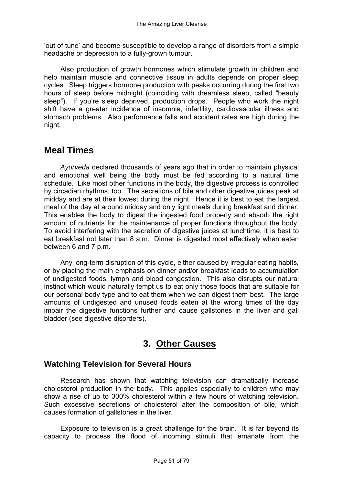'out of tune' and become susceptible to develop a range of disorders from a simple headache or depression to a fully-grown tumour.

Also production of growth hormones which stimulate growth in children and help maintain muscle and connective tissue in adults depends on proper sleep cycles. Sleep triggers hormone production with peaks occurring during the first two hours of sleep before midnight (coinciding with dreamless sleep, called "beauty sleep"). If you're sleep deprived, production drops. People who work the night shift have a greater incidence of insomnia, infertility, cardiovascular illness and stomach problems. Also performance falls and accident rates are high during the night.

## **Meal Times**

*Ayurveda* declared thousands of years ago that in order to maintain physical and emotional well being the body must be fed according to a natural time schedule. Like most other functions in the body, the digestive process is controlled by circadian rhythms, too. The secretions of bile and other digestive juices peak at midday and are at their lowest during the night. Hence it is best to eat the largest meal of the day at around midday and only light meals during breakfast and dinner. This enables the body to digest the ingested food properly and absorb the right amount of nutrients for the maintenance of proper functions throughout the body. To avoid interfering with the secretion of digestive juices at lunchtime, it is best to eat breakfast not later than 8 a.m. Dinner is digested most effectively when eaten between 6 and 7 p.m.

Any long-term disruption of this cycle, either caused by irregular eating habits, or by placing the main emphasis on dinner and/or breakfast leads to accumulation of undigested foods, lymph and blood congestion. This also disrupts our natural instinct which would naturally tempt us to eat only those foods that are suitable for our personal body type and to eat them when we can digest them best. The large amounts of undigested and unused foods eaten at the wrong times of the day impair the digestive functions further and cause gallstones in the liver and gall bladder (see digestive disorders).

## **3. Other Causes**

#### **Watching Television for Several Hours**

Research has shown that watching television can dramatically increase cholesterol production in the body. This applies especially to children who may show a rise of up to 300% cholesterol within a few hours of watching television. Such excessive secretions of cholesterol alter the composition of bile, which causes formation of gallstones in the liver.

Exposure to television is a great challenge for the brain. It is far beyond its capacity to process the flood of incoming stimuli that emanate from the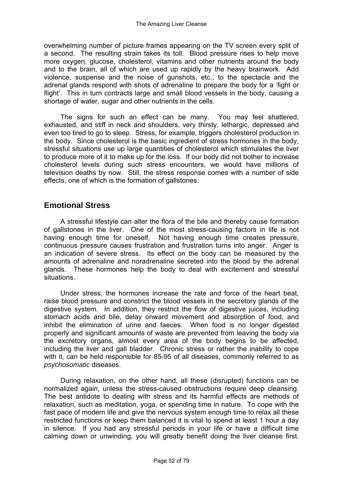overwhelming number of picture frames appearing on the TV screen every split of a second. The resulting strain takes its toll. Blood pressure rises to help move more oxygen, glucose, cholesterol, vitamins and other nutrients around the body and to the brain, all of which are used up rapidly by the heavy brainwork. Add violence, suspense and the noise of gunshots, etc., to the spectacle and the adrenal glands respond with shots of adrenaline to prepare the body for a 'fight or flight'. This in turn contracts large and small blood vessels in the body, causing a shortage of water, sugar and other nutrients in the cells.

The signs for such an effect can be many. You may feel shattered, exhausted, and stiff in neck and shoulders, very thirsty, lethargic, depressed and even too tired to go to sleep. Stress, for example, triggers cholesterol production in the body. Since cholesterol is the basic ingredient of stress hormones in the body, stressful situations use up large quantities of cholesterol which stimulates the liver to produce more of it to make up for the loss. If our body did not bother to increase cholesterol levels during such stress encounters, we would have millions of television deaths by now. Still, the stress response comes with a number of side effects, one of which is the formation of gallstones.

#### **Emotional Stress**

A stressful lifestyle can alter the flora of the bile and thereby cause formation of gallstones in the liver. One of the most stress-causing factors in life is not having enough time for oneself. Not having enough time creates pressure, continuous pressure causes frustration and frustration turns into anger. Anger is an indication of severe stress. Its effect on the body can be measured by the amounts of adrenaline and noradrenaline secreted into the blood by the adrenal glands. These hormones help the body to deal with excitement and stressful situations.

Under stress, the hormones increase the rate and force of the heart beat, raise blood pressure and constrict the blood vessels in the secretory glands of the digestive system. In addition, they restrict the flow of digestive juices, including stomach acids and bile, delay onward movement and absorption of food, and inhibit the elimination of urine and faeces. When food is no longer digested properly and significant amounts of waste are prevented from leaving the body via the excretory organs, almost every area of the body begins to be affected, including the liver and gall bladder. Chronic stress or rather the inability to cope with it, can be held responsible for 85-95 of all diseases, commonly referred to as *psychosomatic* diseases.

During relaxation, on the other hand, all these (disrupted) functions can be normalized again, unless the stress-caused obstructions require deep cleansing. The best antidote to dealing with stress and its harmful effects are methods of relaxation, such as meditation, yoga, or spending time in nature. To cope with the fast pace of modern life and give the nervous system enough time to relax all these restricted functions or keep them balanced it is vital to spend at least 1 hour a day in silence. If you had any stressful periods in your life or have a difficult time calming down or unwinding, you will greatly benefit doing the liver cleanse first.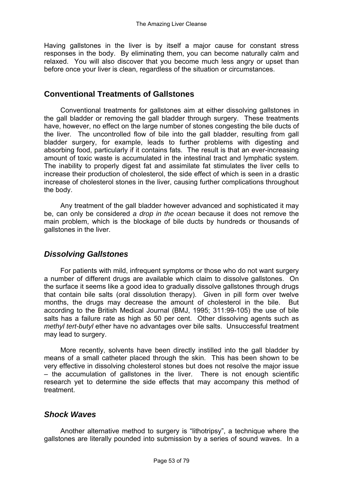Having gallstones in the liver is by itself a major cause for constant stress responses in the body. By eliminating them, you can become naturally calm and relaxed. You will also discover that you become much less angry or upset than before once your liver is clean, regardless of the situation or circumstances.

#### **Conventional Treatments of Gallstones**

Conventional treatments for gallstones aim at either dissolving gallstones in the gall bladder or removing the gall bladder through surgery. These treatments have, however, no effect on the large number of stones congesting the bile ducts of the liver. The uncontrolled flow of bile into the gall bladder, resulting from gall bladder surgery, for example, leads to further problems with digesting and absorbing food, particularly if it contains fats. The result is that an ever-increasing amount of toxic waste is accumulated in the intestinal tract and lymphatic system. The inability to properly digest fat and assimilate fat stimulates the liver cells to increase their production of cholesterol, the side effect of which is seen in a drastic increase of cholesterol stones in the liver, causing further complications throughout the body.

Any treatment of the gall bladder however advanced and sophisticated it may be, can only be considered *a drop in the ocean* because it does not remove the main problem, which is the blockage of bile ducts by hundreds or thousands of gallstones in the liver.

#### *Dissolving Gallstones*

For patients with mild, infrequent symptoms or those who do not want surgery a number of different drugs are available which claim to dissolve gallstones. On the surface it seems like a good idea to gradually dissolve gallstones through drugs that contain bile salts (oral dissolution therapy). Given in pill form over twelve months, the drugs may decrease the amount of cholesterol in the bile. But according to the British Medical Journal (BMJ, 1995; 311:99-105) the use of bile salts has a failure rate as high as 50 per cent. Other dissolving agents such as *methyl tert-butyl* ether have no advantages over bile salts. Unsuccessful treatment may lead to surgery.

More recently, solvents have been directly instilled into the gall bladder by means of a small catheter placed through the skin. This has been shown to be very effective in dissolving cholesterol stones but does not resolve the major issue – the accumulation of gallstones in the liver. There is not enough scientific research yet to determine the side effects that may accompany this method of treatment.

#### *Shock Waves*

Another alternative method to surgery is "lithotripsy", a technique where the gallstones are literally pounded into submission by a series of sound waves. In a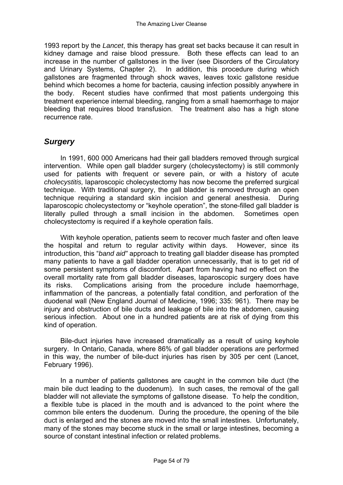1993 report by the *Lancet*, this therapy has great set backs because it can result in kidney damage and raise blood pressure. Both these effects can lead to an increase in the number of gallstones in the liver (see Disorders of the Circulatory and Urinary Systems, Chapter 2). In addition, this procedure during which gallstones are fragmented through shock waves, leaves toxic gallstone residue behind which becomes a home for bacteria, causing infection possibly anywhere in the body. Recent studies have confirmed that most patients undergoing this treatment experience internal bleeding, ranging from a small haemorrhage to major bleeding that requires blood transfusion. The treatment also has a high stone recurrence rate.

#### *Surgery*

In 1991, 600 000 Americans had their gall bladders removed through surgical intervention. While open gall bladder surgery (cholecystectomy) is still commonly used for patients with frequent or severe pain, or with a history of acute *cholecystitis,* laparoscopic cholecystectomy has now become the preferred surgical technique. With traditional surgery, the gall bladder is removed through an open technique requiring a standard skin incision and general anesthesia. During laparoscopic cholecystectomy or "keyhole operation", the stone-filled gall bladder is literally pulled through a small incision in the abdomen. Sometimes open cholecystectomy is required if a keyhole operation fails.

With keyhole operation, patients seem to recover much faster and often leave the hospital and return to regular activity within days. However, since its introduction, this "*band aid"* approach to treating gall bladder disease has prompted many patients to have a gall bladder operation unnecessarily, that is to get rid of some persistent symptoms of discomfort. Apart from having had no effect on the overall mortality rate from gall bladder diseases, laparoscopic surgery does have its risks. Complications arising from the procedure include haemorrhage, inflammation of the pancreas, a potentially fatal condition, and perforation of the duodenal wall (New England Journal of Medicine, 1996; 335: 961). There may be injury and obstruction of bile ducts and leakage of bile into the abdomen, causing serious infection. About one in a hundred patients are at risk of dying from this kind of operation.

Bile-duct injuries have increased dramatically as a result of using keyhole surgery. In Ontario, Canada, where 86% of gall bladder operations are performed in this way, the number of bile-duct injuries has risen by 305 per cent (Lancet, February 1996).

In a number of patients gallstones are caught in the common bile duct (the main bile duct leading to the duodenum). In such cases, the removal of the gall bladder will not alleviate the symptoms of gallstone disease. To help the condition, a flexible tube is placed in the mouth and is advanced to the point where the common bile enters the duodenum. During the procedure, the opening of the bile duct is enlarged and the stones are moved into the small intestines. Unfortunately, many of the stones may become stuck in the small or large intestines, becoming a source of constant intestinal infection or related problems.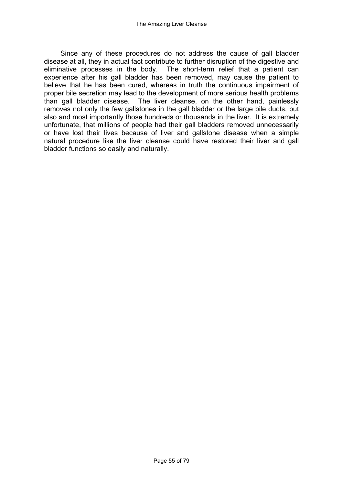Since any of these procedures do not address the cause of gall bladder disease at all, they in actual fact contribute to further disruption of the digestive and eliminative processes in the body. The short-term relief that a patient can experience after his gall bladder has been removed, may cause the patient to believe that he has been cured, whereas in truth the continuous impairment of proper bile secretion may lead to the development of more serious health problems than gall bladder disease. The liver cleanse, on the other hand, painlessly removes not only the few gallstones in the gall bladder or the large bile ducts, but also and most importantly those hundreds or thousands in the liver. It is extremely unfortunate, that millions of people had their gall bladders removed unnecessarily or have lost their lives because of liver and gallstone disease when a simple natural procedure like the liver cleanse could have restored their liver and gall bladder functions so easily and naturally.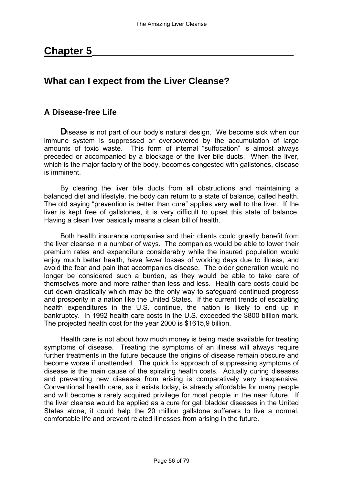# **What can I expect from the Liver Cleanse?**

#### **A Disease-free Life**

**D**isease is not part of our body's natural design. We become sick when our immune system is suppressed or overpowered by the accumulation of large amounts of toxic waste. This form of internal "suffocation" is almost always preceded or accompanied by a blockage of the liver bile ducts. When the liver, which is the major factory of the body, becomes congested with gallstones, disease is imminent.

By clearing the liver bile ducts from all obstructions and maintaining a balanced diet and lifestyle, the body can return to a state of balance, called health. The old saying "prevention is better than cure" applies very well to the liver. If the liver is kept free of gallstones, it is very difficult to upset this state of balance. Having a clean liver basically means a clean bill of health.

Both health insurance companies and their clients could greatly benefit from the liver cleanse in a number of ways. The companies would be able to lower their premium rates and expenditure considerably while the insured population would enjoy much better health, have fewer losses of working days due to illness, and avoid the fear and pain that accompanies disease. The older generation would no longer be considered such a burden, as they would be able to take care of themselves more and more rather than less and less. Health care costs could be cut down drastically which may be the only way to safeguard continued progress and prosperity in a nation like the United States. If the current trends of escalating health expenditures in the U.S. continue, the nation is likely to end up in bankruptcy. In 1992 health care costs in the U.S. exceeded the \$800 billion mark. The projected health cost for the year 2000 is \$1615,9 billion.

Health care is not about how much money is being made available for treating symptoms of disease. Treating the symptoms of an illness will always require further treatments in the future because the origins of disease remain obscure and become worse if unattended. The quick fix approach of suppressing symptoms of disease is the main cause of the spiraling health costs. Actually curing diseases and preventing new diseases from arising is comparatively very inexpensive. Conventional health care, as it exists today, is already affordable for many people and will become a rarely acquired privilege for most people in the near future. If the liver cleanse would be applied as a cure for gall bladder diseases in the United States alone, it could help the 20 million gallstone sufferers to live a normal, comfortable life and prevent related illnesses from arising in the future.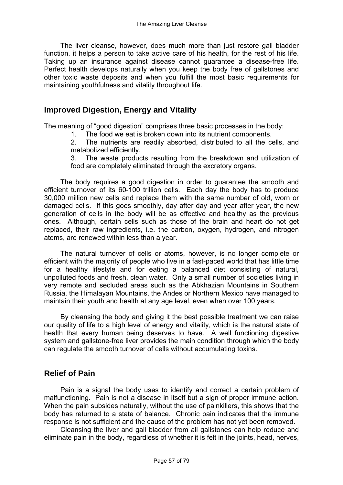The liver cleanse, however, does much more than just restore gall bladder function, it helps a person to take active care of his health, for the rest of his life. Taking up an insurance against disease cannot guarantee a disease-free life. Perfect health develops naturally when you keep the body free of gallstones and other toxic waste deposits and when you fulfill the most basic requirements for maintaining youthfulness and vitality throughout life.

#### **Improved Digestion, Energy and Vitality**

The meaning of "good digestion" comprises three basic processes in the body:

1. The food we eat is broken down into its nutrient components.

2. The nutrients are readily absorbed, distributed to all the cells, and metabolized efficiently.

3. The waste products resulting from the breakdown and utilization of food are completely eliminated through the excretory organs.

The body requires a good digestion in order to guarantee the smooth and efficient turnover of its 60-100 trillion cells. Each day the body has to produce 30,000 million new cells and replace them with the same number of old, worn or damaged cells. If this goes smoothly, day after day and year after year, the new generation of cells in the body will be as effective and healthy as the previous ones. Although, certain cells such as those of the brain and heart do not get replaced, their raw ingredients, i.e. the carbon, oxygen, hydrogen, and nitrogen atoms, are renewed within less than a year.

The natural turnover of cells or atoms, however, is no longer complete or efficient with the majority of people who live in a fast-paced world that has little time for a healthy lifestyle and for eating a balanced diet consisting of natural, unpolluted foods and fresh, clean water. Only a small number of societies living in very remote and secluded areas such as the Abkhazian Mountains in Southern Russia, the Himalayan Mountains, the Andes or Northern Mexico have managed to maintain their youth and health at any age level, even when over 100 years.

By cleansing the body and giving it the best possible treatment we can raise our quality of life to a high level of energy and vitality, which is the natural state of health that every human being deserves to have. A well functioning digestive system and gallstone-free liver provides the main condition through which the body can regulate the smooth turnover of cells without accumulating toxins.

#### **Relief of Pain**

Pain is a signal the body uses to identify and correct a certain problem of malfunctioning. Pain is not a disease in itself but a sign of proper immune action. When the pain subsides naturally, without the use of painkillers, this shows that the body has returned to a state of balance. Chronic pain indicates that the immune response is not sufficient and the cause of the problem has not yet been removed.

Cleansing the liver and gall bladder from all gallstones can help reduce and eliminate pain in the body, regardless of whether it is felt in the joints, head, nerves,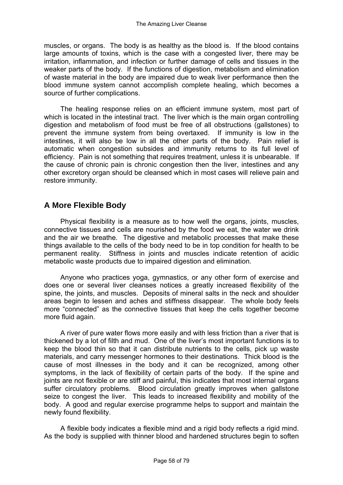muscles, or organs. The body is as healthy as the blood is. If the blood contains large amounts of toxins, which is the case with a congested liver, there may be irritation, inflammation, and infection or further damage of cells and tissues in the weaker parts of the body. If the functions of digestion, metabolism and elimination of waste material in the body are impaired due to weak liver performance then the blood immune system cannot accomplish complete healing, which becomes a source of further complications.

The healing response relies on an efficient immune system, most part of which is located in the intestinal tract. The liver which is the main organ controlling digestion and metabolism of food must be free of all obstructions (gallstones) to prevent the immune system from being overtaxed. If immunity is low in the intestines, it will also be low in all the other parts of the body. Pain relief is automatic when congestion subsides and immunity returns to its full level of efficiency. Pain is not something that requires treatment, unless it is unbearable. If the cause of chronic pain is chronic congestion then the liver, intestines and any other excretory organ should be cleansed which in most cases will relieve pain and restore immunity.

### **A More Flexible Body**

Physical flexibility is a measure as to how well the organs, joints, muscles, connective tissues and cells are nourished by the food we eat, the water we drink and the air we breathe. The digestive and metabolic processes that make these things available to the cells of the body need to be in top condition for health to be permanent reality. Stiffness in joints and muscles indicate retention of acidic metabolic waste products due to impaired digestion and elimination.

Anyone who practices yoga, gymnastics, or any other form of exercise and does one or several liver cleanses notices a greatly increased flexibility of the spine, the joints, and muscles. Deposits of mineral salts in the neck and shoulder areas begin to lessen and aches and stiffness disappear. The whole body feels more "connected" as the connective tissues that keep the cells together become more fluid again.

A river of pure water flows more easily and with less friction than a river that is thickened by a lot of filth and mud. One of the liver's most important functions is to keep the blood thin so that it can distribute nutrients to the cells, pick up waste materials, and carry messenger hormones to their destinations. Thick blood is the cause of most illnesses in the body and it can be recognized, among other symptoms, in the lack of flexibility of certain parts of the body. If the spine and joints are not flexible or are stiff and painful, this indicates that most internal organs suffer circulatory problems. Blood circulation greatly improves when gallstone seize to congest the liver. This leads to increased flexibility and mobility of the body. A good and regular exercise programme helps to support and maintain the newly found flexibility.

A flexible body indicates a flexible mind and a rigid body reflects a rigid mind. As the body is supplied with thinner blood and hardened structures begin to soften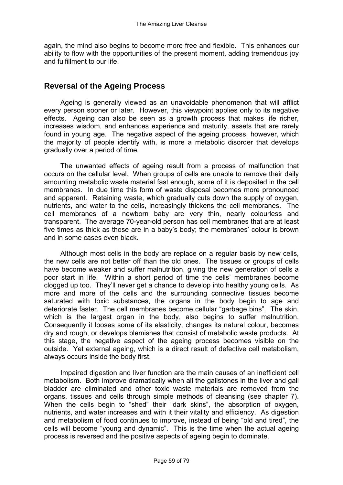again, the mind also begins to become more free and flexible. This enhances our ability to flow with the opportunities of the present moment, adding tremendous joy and fulfillment to our life.

#### **Reversal of the Ageing Process**

Ageing is generally viewed as an unavoidable phenomenon that will afflict every person sooner or later. However, this viewpoint applies only to its negative effects. Ageing can also be seen as a growth process that makes life richer, increases wisdom, and enhances experience and maturity, assets that are rarely found in young age. The negative aspect of the ageing process, however, which the majority of people identify with, is more a metabolic disorder that develops gradually over a period of time.

The unwanted effects of ageing result from a process of malfunction that occurs on the cellular level. When groups of cells are unable to remove their daily amounting metabolic waste material fast enough, some of it is deposited in the cell membranes. In due time this form of waste disposal becomes more pronounced and apparent. Retaining waste, which gradually cuts down the supply of oxygen, nutrients, and water to the cells, increasingly thickens the cell membranes. The cell membranes of a newborn baby are very thin, nearly colourless and transparent. The average 70-year-old person has cell membranes that are at least five times as thick as those are in a baby's body; the membranes' colour is brown and in some cases even black.

Although most cells in the body are replace on a regular basis by new cells, the new cells are not better off than the old ones. The tissues or groups of cells have become weaker and suffer malnutrition, giving the new generation of cells a poor start in life. Within a short period of time the cells' membranes become clogged up too. They'll never get a chance to develop into healthy young cells. As more and more of the cells and the surrounding connective tissues become saturated with toxic substances, the organs in the body begin to age and deteriorate faster. The cell membranes become cellular "garbage bins". The skin, which is the largest organ in the body, also begins to suffer malnutrition. Consequently it looses some of its elasticity, changes its natural colour, becomes dry and rough, or develops blemishes that consist of metabolic waste products. At this stage, the negative aspect of the ageing process becomes visible on the outside. Yet external ageing, which is a direct result of defective cell metabolism, always occurs inside the body first.

Impaired digestion and liver function are the main causes of an inefficient cell metabolism. Both improve dramatically when all the gallstones in the liver and gall bladder are eliminated and other toxic waste materials are removed from the organs, tissues and cells through simple methods of cleansing (see chapter 7). When the cells begin to "shed" their "dark skins", the absorption of oxygen, nutrients, and water increases and with it their vitality and efficiency. As digestion and metabolism of food continues to improve, instead of being "old and tired", the cells will become "young and dynamic". This is the time when the actual ageing process is reversed and the positive aspects of ageing begin to dominate.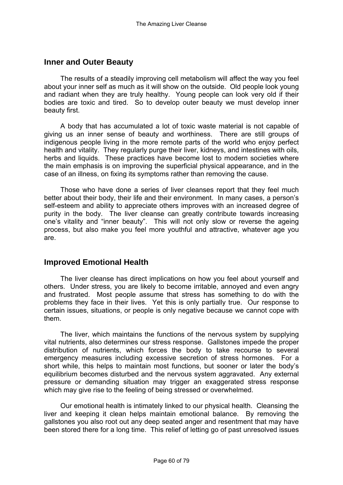#### **Inner and Outer Beauty**

The results of a steadily improving cell metabolism will affect the way you feel about your inner self as much as it will show on the outside. Old people look young and radiant when they are truly healthy. Young people can look very old if their bodies are toxic and tired. So to develop outer beauty we must develop inner beauty first.

A body that has accumulated a lot of toxic waste material is not capable of giving us an inner sense of beauty and worthiness. There are still groups of indigenous people living in the more remote parts of the world who enjoy perfect health and vitality. They regularly purge their liver, kidneys, and intestines with oils, herbs and liquids. These practices have become lost to modern societies where the main emphasis is on improving the superficial physical appearance, and in the case of an illness, on fixing its symptoms rather than removing the cause.

Those who have done a series of liver cleanses report that they feel much better about their body, their life and their environment. In many cases, a person's self-esteem and ability to appreciate others improves with an increased degree of purity in the body. The liver cleanse can greatly contribute towards increasing one's vitality and "inner beauty". This will not only slow or reverse the ageing process, but also make you feel more youthful and attractive, whatever age you are.

#### **Improved Emotional Health**

The liver cleanse has direct implications on how you feel about yourself and others. Under stress, you are likely to become irritable, annoyed and even angry and frustrated. Most people assume that stress has something to do with the problems they face in their lives. Yet this is only partially true. Our response to certain issues, situations, or people is only negative because we cannot cope with them.

The liver, which maintains the functions of the nervous system by supplying vital nutrients, also determines our stress response. Gallstones impede the proper distribution of nutrients, which forces the body to take recourse to several emergency measures including excessive secretion of stress hormones. For a short while, this helps to maintain most functions, but sooner or later the body's equilibrium becomes disturbed and the nervous system aggravated. Any external pressure or demanding situation may trigger an exaggerated stress response which may give rise to the feeling of being stressed or overwhelmed.

Our emotional health is intimately linked to our physical health. Cleansing the liver and keeping it clean helps maintain emotional balance. By removing the gallstones you also root out any deep seated anger and resentment that may have been stored there for a long time. This relief of letting go of past unresolved issues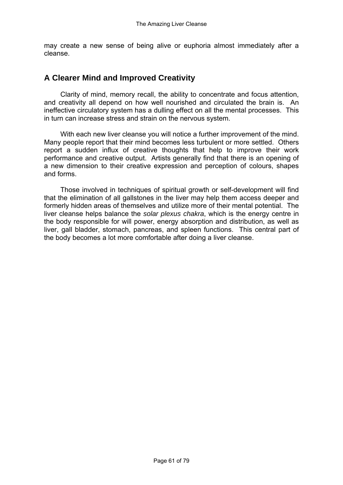may create a new sense of being alive or euphoria almost immediately after a cleanse.

### **A Clearer Mind and Improved Creativity**

Clarity of mind, memory recall, the ability to concentrate and focus attention, and creativity all depend on how well nourished and circulated the brain is. An ineffective circulatory system has a dulling effect on all the mental processes. This in turn can increase stress and strain on the nervous system.

With each new liver cleanse you will notice a further improvement of the mind. Many people report that their mind becomes less turbulent or more settled. Others report a sudden influx of creative thoughts that help to improve their work performance and creative output. Artists generally find that there is an opening of a new dimension to their creative expression and perception of colours, shapes and forms.

Those involved in techniques of spiritual growth or self-development will find that the elimination of all gallstones in the liver may help them access deeper and formerly hidden areas of themselves and utilize more of their mental potential. The liver cleanse helps balance the *solar plexus chakra*, which is the energy centre in the body responsible for will power, energy absorption and distribution, as well as liver, gall bladder, stomach, pancreas, and spleen functions. This central part of the body becomes a lot more comfortable after doing a liver cleanse.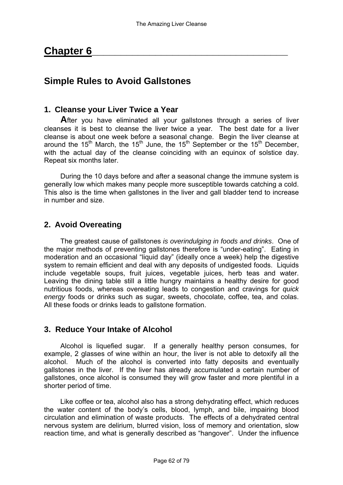# **Simple Rules to Avoid Gallstones**

#### **1. Cleanse your Liver Twice a Year**

**A**fter you have eliminated all your gallstones through a series of liver cleanses it is best to cleanse the liver twice a year. The best date for a liver cleanse is about one week before a seasonal change. Begin the liver cleanse at around the 15<sup>th</sup> March, the 15<sup>th</sup> June, the 15<sup>th</sup> September or the 15<sup>th</sup> December, with the actual day of the cleanse coinciding with an equinox of solstice day. Repeat six months later.

During the 10 days before and after a seasonal change the immune system is generally low which makes many people more susceptible towards catching a cold. This also is the time when gallstones in the liver and gall bladder tend to increase in number and size.

#### **2. Avoid Overeating**

The greatest cause of gallstones *is overindulging in foods and drinks*. One of the major methods of preventing gallstones therefore is "under-eating". Eating in moderation and an occasional "liquid day" (ideally once a week) help the digestive system to remain efficient and deal with any deposits of undigested foods. Liquids include vegetable soups, fruit juices, vegetable juices, herb teas and water. Leaving the dining table still a little hungry maintains a healthy desire for good nutritious foods, whereas overeating leads to congestion and cravings for *quick energy* foods or drinks such as sugar, sweets, chocolate, coffee, tea, and colas. All these foods or drinks leads to gallstone formation.

#### **3. Reduce Your Intake of Alcohol**

Alcohol is liquefied sugar. If a generally healthy person consumes, for example, 2 glasses of wine within an hour, the liver is not able to detoxify all the alcohol. Much of the alcohol is converted into fatty deposits and eventually gallstones in the liver. If the liver has already accumulated a certain number of gallstones, once alcohol is consumed they will grow faster and more plentiful in a shorter period of time.

Like coffee or tea, alcohol also has a strong dehydrating effect, which reduces the water content of the body's cells, blood, lymph, and bile, impairing blood circulation and elimination of waste products. The effects of a dehydrated central nervous system are delirium, blurred vision, loss of memory and orientation, slow reaction time, and what is generally described as "hangover". Under the influence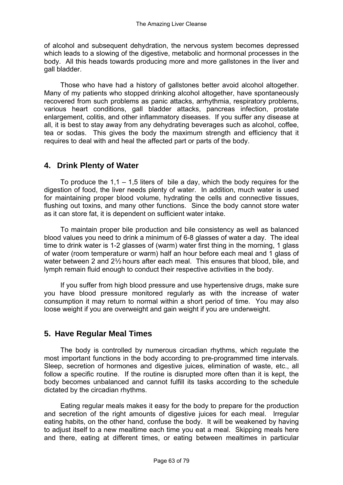of alcohol and subsequent dehydration, the nervous system becomes depressed which leads to a slowing of the digestive, metabolic and hormonal processes in the body. All this heads towards producing more and more gallstones in the liver and gall bladder.

Those who have had a history of gallstones better avoid alcohol altogether. Many of my patients who stopped drinking alcohol altogether, have spontaneously recovered from such problems as panic attacks, arrhythmia, respiratory problems, various heart conditions, gall bladder attacks, pancreas infection, prostate enlargement, colitis, and other inflammatory diseases. If you suffer any disease at all, it is best to stay away from any dehydrating beverages such as alcohol, coffee, tea or sodas. This gives the body the maximum strength and efficiency that it requires to deal with and heal the affected part or parts of the body.

#### **4. Drink Plenty of Water**

To produce the  $1.1 - 1.5$  liters of bile a day, which the body requires for the digestion of food, the liver needs plenty of water. In addition, much water is used for maintaining proper blood volume, hydrating the cells and connective tissues, flushing out toxins, and many other functions. Since the body cannot store water as it can store fat, it is dependent on sufficient water intake.

To maintain proper bile production and bile consistency as well as balanced blood values you need to drink a minimum of 6-8 glasses of water a day. The ideal time to drink water is 1-2 glasses of (warm) water first thing in the morning, 1 glass of water (room temperature or warm) half an hour before each meal and 1 glass of water between 2 and 2½ hours after each meal. This ensures that blood, bile, and lymph remain fluid enough to conduct their respective activities in the body.

If you suffer from high blood pressure and use hypertensive drugs, make sure you have blood pressure monitored regularly as with the increase of water consumption it may return to normal within a short period of time. You may also loose weight if you are overweight and gain weight if you are underweight.

### **5. Have Regular Meal Times**

The body is controlled by numerous circadian rhythms, which regulate the most important functions in the body according to pre-programmed time intervals. Sleep, secretion of hormones and digestive juices, elimination of waste, etc., all follow a specific routine. If the routine is disrupted more often than it is kept, the body becomes unbalanced and cannot fulfill its tasks according to the schedule dictated by the circadian rhythms.

Eating regular meals makes it easy for the body to prepare for the production and secretion of the right amounts of digestive juices for each meal. Irregular eating habits, on the other hand, confuse the body. It will be weakened by having to adjust itself to a new mealtime each time you eat a meal. Skipping meals here and there, eating at different times, or eating between mealtimes in particular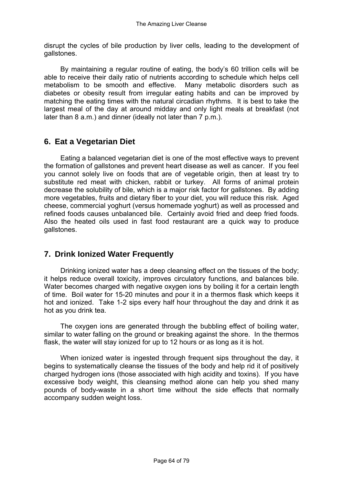disrupt the cycles of bile production by liver cells, leading to the development of gallstones.

By maintaining a regular routine of eating, the body's 60 trillion cells will be able to receive their daily ratio of nutrients according to schedule which helps cell metabolism to be smooth and effective. Many metabolic disorders such as diabetes or obesity result from irregular eating habits and can be improved by matching the eating times with the natural circadian rhythms. It is best to take the largest meal of the day at around midday and only light meals at breakfast (not later than 8 a.m.) and dinner (ideally not later than 7 p.m.).

### **6. Eat a Vegetarian Diet**

Eating a balanced vegetarian diet is one of the most effective ways to prevent the formation of gallstones and prevent heart disease as well as cancer. If you feel you cannot solely live on foods that are of vegetable origin, then at least try to substitute red meat with chicken, rabbit or turkey. All forms of animal protein decrease the solubility of bile, which is a major risk factor for gallstones. By adding more vegetables, fruits and dietary fiber to your diet, you will reduce this risk. Aged cheese, commercial yoghurt (versus homemade yoghurt) as well as processed and refined foods causes unbalanced bile. Certainly avoid fried and deep fried foods. Also the heated oils used in fast food restaurant are a quick way to produce gallstones.

### **7. Drink Ionized Water Frequently**

Drinking ionized water has a deep cleansing effect on the tissues of the body; it helps reduce overall toxicity, improves circulatory functions, and balances bile. Water becomes charged with negative oxygen ions by boiling it for a certain length of time. Boil water for 15-20 minutes and pour it in a thermos flask which keeps it hot and ionized. Take 1-2 sips every half hour throughout the day and drink it as hot as you drink tea.

The oxygen ions are generated through the bubbling effect of boiling water, similar to water falling on the ground or breaking against the shore. In the thermos flask, the water will stay ionized for up to 12 hours or as long as it is hot.

When ionized water is ingested through frequent sips throughout the day, it begins to systematically cleanse the tissues of the body and help rid it of positively charged hydrogen ions (those associated with high acidity and toxins). If you have excessive body weight, this cleansing method alone can help you shed many pounds of body-waste in a short time without the side effects that normally accompany sudden weight loss.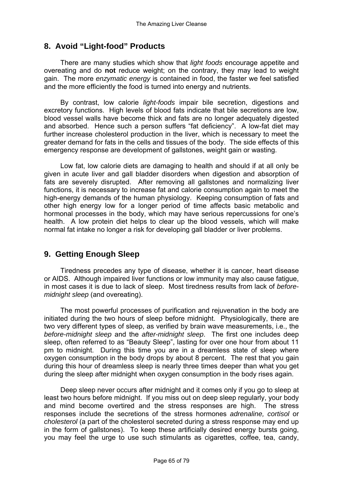### **8. Avoid "Light-food" Products**

There are many studies which show that *light foods* encourage appetite and overeating and do **not** reduce weight; on the contrary, they may lead to weight gain. The more *enzymatic energy* is contained in food, the faster we feel satisfied and the more efficiently the food is turned into energy and nutrients.

By contrast, low calorie *light-foods* impair bile secretion, digestions and excretory functions. High levels of blood fats indicate that bile secretions are low, blood vessel walls have become thick and fats are no longer adequately digested and absorbed. Hence such a person suffers "fat deficiency". A low-fat diet may further increase cholesterol production in the liver, which is necessary to meet the greater demand for fats in the cells and tissues of the body. The side effects of this emergency response are development of gallstones, weight gain or wasting.

Low fat, low calorie diets are damaging to health and should if at all only be given in acute liver and gall bladder disorders when digestion and absorption of fats are severely disrupted. After removing all gallstones and normalizing liver functions, it is necessary to increase fat and calorie consumption again to meet the high-energy demands of the human physiology. Keeping consumption of fats and other high energy low for a longer period of time affects basic metabolic and hormonal processes in the body, which may have serious repercussions for one's health. A low protein diet helps to clear up the blood vessels, which will make normal fat intake no longer a risk for developing gall bladder or liver problems.

#### **9. Getting Enough Sleep**

Tiredness precedes any type of disease, whether it is cancer, heart disease or AIDS. Although impaired liver functions or low immunity may also cause fatigue, in most cases it is due to lack of sleep. Most tiredness results from lack of *beforemidnight sleep* (and overeating).

The most powerful processes of purification and rejuvenation in the body are initiated during the two hours of sleep before midnight. Physiologically, there are two very different types of sleep, as verified by brain wave measurements, i.e., the *before-midnight sleep* and the *after-midnight sleep*. The first one includes deep sleep, often referred to as "Beauty Sleep", lasting for over one hour from about 11 pm to midnight. During this time you are in a dreamless state of sleep where oxygen consumption in the body drops by about 8 percent. The rest that you gain during this hour of dreamless sleep is nearly three times deeper than what you get during the sleep after midnight when oxygen consumption in the body rises again.

Deep sleep never occurs after midnight and it comes only if you go to sleep at least two hours before midnight. If you miss out on deep sleep regularly, your body and mind become overtired and the stress responses are high. The stress responses include the secretions of the stress hormones *adrenaline, cortisol* or *cholesterol* (a part of the cholesterol secreted during a stress response may end up in the form of gallstones). To keep these artificially desired energy bursts going, you may feel the urge to use such stimulants as cigarettes, coffee, tea, candy,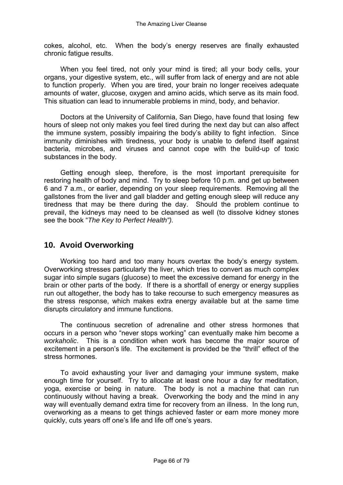cokes, alcohol, etc. When the body's energy reserves are finally exhausted chronic fatigue results.

When you feel tired, not only your mind is tired; all your body cells, your organs, your digestive system, etc., will suffer from lack of energy and are not able to function properly. When you are tired, your brain no longer receives adequate amounts of water, glucose, oxygen and amino acids, which serve as its main food. This situation can lead to innumerable problems in mind, body, and behavior.

Doctors at the University of California, San Diego, have found that losing few hours of sleep not only makes you feel tired during the next day but can also affect the immune system, possibly impairing the body's ability to fight infection. Since immunity diminishes with tiredness, your body is unable to defend itself against bacteria, microbes, and viruses and cannot cope with the build-up of toxic substances in the body.

Getting enough sleep, therefore, is the most important prerequisite for restoring health of body and mind. Try to sleep before 10 p.m. and get up between 6 and 7 a.m., or earlier, depending on your sleep requirements. Removing all the gallstones from the liver and gall bladder and getting enough sleep will reduce any tiredness that may be there during the day. Should the problem continue to prevail, the kidneys may need to be cleansed as well (to dissolve kidney stones see the book "*The Key to Perfect Health").* 

#### **10. Avoid Overworking**

Working too hard and too many hours overtax the body's energy system. Overworking stresses particularly the liver, which tries to convert as much complex sugar into simple sugars (glucose) to meet the excessive demand for energy in the brain or other parts of the body. If there is a shortfall of energy or energy supplies run out altogether, the body has to take recourse to such emergency measures as the stress response, which makes extra energy available but at the same time disrupts circulatory and immune functions.

The continuous secretion of adrenaline and other stress hormones that occurs in a person who "never stops working" can eventually make him become a *workaholic*. This is a condition when work has become the major source of excitement in a person's life. The excitement is provided be the "thrill" effect of the stress hormones.

To avoid exhausting your liver and damaging your immune system, make enough time for yourself. Try to allocate at least one hour a day for meditation, yoga, exercise or being in nature. The body is not a machine that can run continuously without having a break. Overworking the body and the mind in any way will eventually demand extra time for recovery from an illness. In the long run, overworking as a means to get things achieved faster or earn more money more quickly, cuts years off one's life and life off one's years.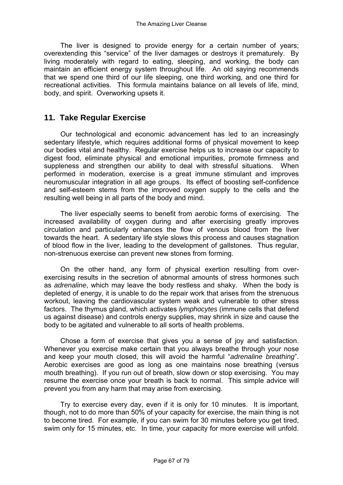The liver is designed to provide energy for a certain number of years; overextending this "service" of the liver damages or destroys it prematurely. By living moderately with regard to eating, sleeping, and working, the body can maintain an efficient energy system throughout life. An old saying recommends that we spend one third of our life sleeping, one third working, and one third for recreational activities. This formula maintains balance on all levels of life, mind, body, and spirit. Overworking upsets it.

#### **11. Take Regular Exercise**

Our technological and economic advancement has led to an increasingly sedentary lifestyle, which requires additional forms of physical movement to keep our bodies vital and healthy. Regular exercise helps us to increase our capacity to digest food, eliminate physical and emotional impurities, promote firmness and suppleness and strengthen our ability to deal with stressful situations. When performed in moderation, exercise is a great immune stimulant and improves neuromuscular integration in all age groups. Its effect of boosting self-confidence and self-esteem stems from the improved oxygen supply to the cells and the resulting well being in all parts of the body and mind.

The liver especially seems to benefit from aerobic forms of exercising. The increased availability of oxygen during and after exercising greatly improves circulation and particularly enhances the flow of venous blood from the liver towards the heart. A sedentary life style slows this process and causes stagnation of blood flow in the liver, leading to the development of gallstones. Thus regular, non-strenuous exercise can prevent new stones from forming.

On the other hand, any form of physical exertion resulting from overexercising results in the secretion of abnormal amounts of stress hormones such as *adrenaline*, which may leave the body restless and shaky. When the body is depleted of energy, it is unable to do the repair work that arises from the strenuous workout, leaving the cardiovascular system weak and vulnerable to other stress factors. The thymus gland, which activates *lymphocytes* (immune cells that defend us against disease) and controls energy supplies, may shrink in size and cause the body to be agitated and vulnerable to all sorts of health problems.

Chose a form of exercise that gives you a sense of joy and satisfaction. Whenever you exercise make certain that you always breathe through your nose and keep your mouth closed, this will avoid the harmful "*adrenaline breathing*". Aerobic exercises are good as long as one maintains nose breathing (versus mouth breathing). If you run out of breath, slow down or stop exercising. You may resume the exercise once your breath is back to normal. This simple advice will prevent you from any harm that may arise from exercising.

Try to exercise every day, even if it is only for 10 minutes. It is important, though, not to do more than 50% of your capacity for exercise, the main thing is not to become tired. For example, if you can swim for 30 minutes before you get tired, swim only for 15 minutes, etc. In time, your capacity for more exercise will unfold.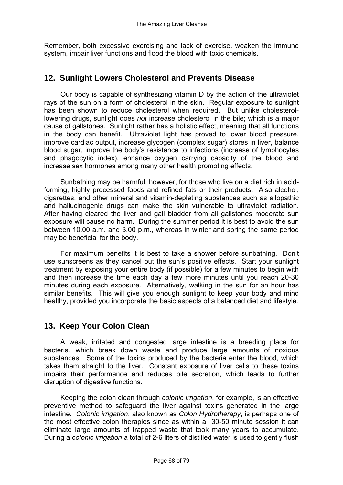Remember, both excessive exercising and lack of exercise, weaken the immune system, impair liver functions and flood the blood with toxic chemicals.

#### **12. Sunlight Lowers Cholesterol and Prevents Disease**

Our body is capable of synthesizing vitamin D by the action of the ultraviolet rays of the sun on a form of cholesterol in the skin. Regular exposure to sunlight has been shown to reduce cholesterol when required. But unlike cholesterollowering drugs, sunlight does *not* increase cholesterol in the bile; which is a major cause of gallstones. Sunlight rather has a holistic effect, meaning that all functions in the body can benefit. Ultraviolet light has proved to lower blood pressure, improve cardiac output, increase glycogen (complex sugar) stores in liver, balance blood sugar, improve the body's resistance to infections (increase of lymphocytes and phagocytic index), enhance oxygen carrying capacity of the blood and increase sex hormones among many other health promoting effects.

Sunbathing may be harmful, however, for those who live on a diet rich in acidforming, highly processed foods and refined fats or their products. Also alcohol, cigarettes, and other mineral and vitamin-depleting substances such as allopathic and hallucinogenic drugs can make the skin vulnerable to ultraviolet radiation. After having cleared the liver and gall bladder from all gallstones moderate sun exposure will cause no harm. During the summer period it is best to avoid the sun between 10.00 a.m. and 3.00 p.m., whereas in winter and spring the same period may be beneficial for the body.

For maximum benefits it is best to take a shower before sunbathing. Don't use sunscreens as they cancel out the sun's positive effects. Start your sunlight treatment by exposing your entire body (if possible) for a few minutes to begin with and then increase the time each day a few more minutes until you reach 20-30 minutes during each exposure. Alternatively, walking in the sun for an hour has similar benefits. This will give you enough sunlight to keep your body and mind healthy, provided you incorporate the basic aspects of a balanced diet and lifestyle.

### **13. Keep Your Colon Clean**

A weak, irritated and congested large intestine is a breeding place for bacteria, which break down waste and produce large amounts of noxious substances. Some of the toxins produced by the bacteria enter the blood, which takes them straight to the liver. Constant exposure of liver cells to these toxins impairs their performance and reduces bile secretion, which leads to further disruption of digestive functions.

Keeping the colon clean through *colonic irrigation*, for example, is an effective preventive method to safeguard the liver against toxins generated in the large intestine. *Colonic irrigation*, also known as *Colon Hydrotherapy*, is perhaps one of the most effective colon therapies since as within a 30-50 minute session it can eliminate large amounts of trapped waste that took many years to accumulate. During a *colonic irrigation* a total of 2-6 liters of distilled water is used to gently flush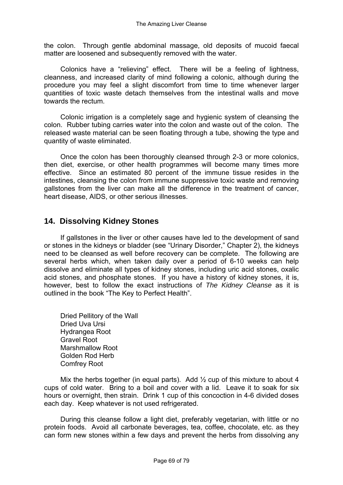the colon. Through gentle abdominal massage, old deposits of mucoid faecal matter are loosened and subsequently removed with the water.

Colonics have a "relieving" effect. There will be a feeling of lightness, cleanness, and increased clarity of mind following a colonic, although during the procedure you may feel a slight discomfort from time to time whenever larger quantities of toxic waste detach themselves from the intestinal walls and move towards the rectum.

Colonic irrigation is a completely sage and hygienic system of cleansing the colon. Rubber tubing carries water into the colon and waste out of the colon. The released waste material can be seen floating through a tube, showing the type and quantity of waste eliminated.

Once the colon has been thoroughly cleansed through 2-3 or more colonics, then diet, exercise, or other health programmes will become many times more effective. Since an estimated 80 percent of the immune tissue resides in the intestines, cleansing the colon from immune suppressive toxic waste and removing gallstones from the liver can make all the difference in the treatment of cancer, heart disease, AIDS, or other serious illnesses.

#### **14. Dissolving Kidney Stones**

If gallstones in the liver or other causes have led to the development of sand or stones in the kidneys or bladder (see "Urinary Disorder," Chapter 2), the kidneys need to be cleansed as well before recovery can be complete. The following are several herbs which, when taken daily over a period of 6-10 weeks can help dissolve and eliminate all types of kidney stones, including uric acid stones, oxalic acid stones, and phosphate stones. If you have a history of kidney stones, it is, however, best to follow the exact instructions of *The Kidney Cleanse* as it is outlined in the book "The Key to Perfect Health".

Dried Pellitory of the Wall Dried Uva Ursi Hydrangea Root Gravel Root Marshmallow Root Golden Rod Herb Comfrey Root

Mix the herbs together (in equal parts). Add  $\frac{1}{2}$  cup of this mixture to about 4 cups of cold water. Bring to a boil and cover with a lid. Leave it to soak for six hours or overnight, then strain. Drink 1 cup of this concoction in 4-6 divided doses each day. Keep whatever is not used refrigerated.

During this cleanse follow a light diet, preferably vegetarian, with little or no protein foods. Avoid all carbonate beverages, tea, coffee, chocolate, etc. as they can form new stones within a few days and prevent the herbs from dissolving any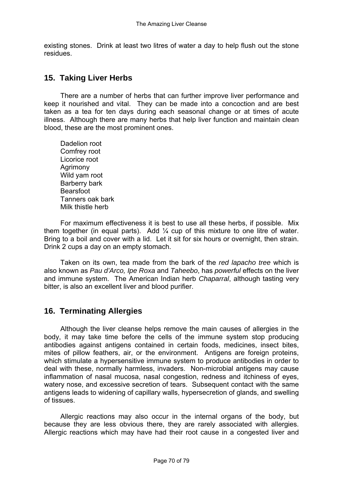existing stones. Drink at least two litres of water a day to help flush out the stone residues.

### **15. Taking Liver Herbs**

There are a number of herbs that can further improve liver performance and keep it nourished and vital. They can be made into a concoction and are best taken as a tea for ten days during each seasonal change or at times of acute illness. Although there are many herbs that help liver function and maintain clean blood, these are the most prominent ones.

Dadelion root Comfrey root Licorice root Agrimony Wild yam root Barberry bark Bearsfoot Tanners oak bark Milk thistle herb

For maximum effectiveness it is best to use all these herbs, if possible. Mix them together (in equal parts). Add  $\frac{1}{4}$  cup of this mixture to one litre of water. Bring to a boil and cover with a lid. Let it sit for six hours or overnight, then strain. Drink 2 cups a day on an empty stomach.

Taken on its own, tea made from the bark of the *red lapacho tree* which is also known as *Pau d'Arco, Ipe Roxa* and *Taheebo*, has *powerful* effects on the liver and immune system. The American Indian herb *Chaparral*, although tasting very bitter, is also an excellent liver and blood purifier.

### **16. Terminating Allergies**

Although the liver cleanse helps remove the main causes of allergies in the body, it may take time before the cells of the immune system stop producing antibodies against antigens contained in certain foods, medicines, insect bites, mites of pillow feathers, air, or the environment. Antigens are foreign proteins, which stimulate a hypersensitive immune system to produce antibodies in order to deal with these, normally harmless, invaders. Non-microbial antigens may cause inflammation of nasal mucosa, nasal congestion, redness and itchiness of eyes, watery nose, and excessive secretion of tears. Subsequent contact with the same antigens leads to widening of capillary walls, hypersecretion of glands, and swelling of tissues.

Allergic reactions may also occur in the internal organs of the body, but because they are less obvious there, they are rarely associated with allergies. Allergic reactions which may have had their root cause in a congested liver and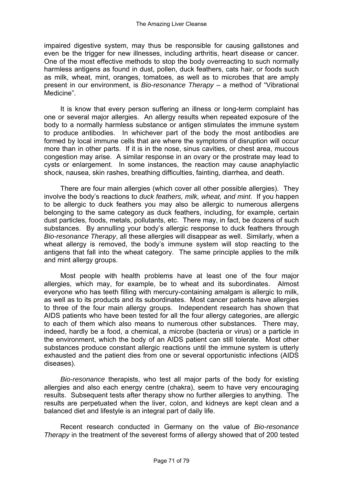impaired digestive system, may thus be responsible for causing gallstones and even be the trigger for new illnesses, including arthritis, heart disease or cancer. One of the most effective methods to stop the body overreacting to such normally harmless antigens as found in dust, pollen, duck feathers, cats hair, or foods such as milk, wheat, mint, oranges, tomatoes, as well as to microbes that are amply present in our environment, is *Bio-resonance Therapy* – a method of "Vibrational Medicine".

It is know that every person suffering an illness or long-term complaint has one or several major allergies. An allergy results when repeated exposure of the body to a normally harmless substance or antigen stimulates the immune system to produce antibodies. In whichever part of the body the most antibodies are formed by local immune cells that are where the symptoms of disruption will occur more than in other parts. If it is in the nose, sinus cavities, or chest area, mucous congestion may arise. A similar response in an ovary or the prostrate may lead to cysts or enlargement. In some instances, the reaction may cause anaphylactic shock, nausea, skin rashes, breathing difficulties, fainting, diarrhea, and death.

There are four main allergies (which cover all other possible allergies). They involve the body's reactions to *duck feathers, milk, wheat, and mint*. If you happen to be allergic to duck feathers you may also be allergic to numerous allergens belonging to the same category as duck feathers, including, for example, certain dust particles, foods, metals, pollutants, etc. There may, in fact, be dozens of such substances. By annulling your body's allergic response to duck feathers through *Bio-resonance Therapy*, all these allergies will disappear as well. Similarly, when a wheat allergy is removed, the body's immune system will stop reacting to the antigens that fall into the wheat category. The same principle applies to the milk and mint allergy groups.

Most people with health problems have at least one of the four major allergies, which may, for example, be to wheat and its subordinates. Almost everyone who has teeth filling with mercury-containing amalgam is allergic to milk, as well as to its products and its subordinates. Most cancer patients have allergies to three of the four main allergy groups. Independent research has shown that AIDS patients who have been tested for all the four allergy categories, are allergic to each of them which also means to numerous other substances. There may, indeed, hardly be a food, a chemical, a microbe (bacteria or virus) or a particle in the environment, which the body of an AIDS patient can still tolerate. Most other substances produce constant allergic reactions until the immune system is utterly exhausted and the patient dies from one or several opportunistic infections (AIDS diseases).

*Bio-resonance* therapists, who test all major parts of the body for existing allergies and also each energy centre (chakra), seem to have very encouraging results. Subsequent tests after therapy show no further allergies to anything. The results are perpetuated when the liver, colon, and kidneys are kept clean and a balanced diet and lifestyle is an integral part of daily life.

Recent research conducted in Germany on the value of *Bio-resonance Therapy* in the treatment of the severest forms of allergy showed that of 200 tested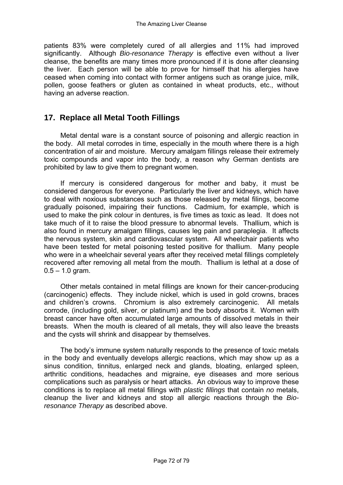patients 83% were completely cured of all allergies and 11% had improved significantly. Although *Bio-resonance Therapy* is effective even without a liver cleanse, the benefits are many times more pronounced if it is done after cleansing the liver. Each person will be able to prove for himself that his allergies have ceased when coming into contact with former antigens such as orange juice, milk, pollen, goose feathers or gluten as contained in wheat products, etc., without having an adverse reaction.

### **17. Replace all Metal Tooth Fillings**

Metal dental ware is a constant source of poisoning and allergic reaction in the body. All metal corrodes in time, especially in the mouth where there is a high concentration of air and moisture. Mercury amalgam fillings release their extremely toxic compounds and vapor into the body, a reason why German dentists are prohibited by law to give them to pregnant women.

If mercury is considered dangerous for mother and baby, it must be considered dangerous for everyone. Particularly the liver and kidneys, which have to deal with noxious substances such as those released by metal filings, become gradually poisoned, impairing their functions. Cadmium, for example, which is used to make the pink colour in dentures, is five times as toxic as lead. It does not take much of it to raise the blood pressure to abnormal levels. Thallium, which is also found in mercury amalgam fillings, causes leg pain and paraplegia. It affects the nervous system, skin and cardiovascular system. All wheelchair patients who have been tested for metal poisoning tested positive for thallium. Many people who were in a wheelchair several years after they received metal fillings completely recovered after removing all metal from the mouth. Thallium is lethal at a dose of  $0.5 - 1.0$  gram.

Other metals contained in metal fillings are known for their cancer-producing (carcinogenic) effects. They include nickel, which is used in gold crowns, braces and children's crowns. Chromium is also extremely carcinogenic. All metals corrode, (including gold, silver, or platinum) and the body absorbs it. Women with breast cancer have often accumulated large amounts of dissolved metals in their breasts. When the mouth is cleared of all metals, they will also leave the breasts and the cysts will shrink and disappear by themselves.

The body's immune system naturally responds to the presence of toxic metals in the body and eventually develops allergic reactions, which may show up as a sinus condition, tinnitus, enlarged neck and glands, bloating, enlarged spleen, arthritic conditions, headaches and migraine, eye diseases and more serious complications such as paralysis or heart attacks. An obvious way to improve these conditions is to replace all metal fillings with *plastic fillings* that contain *no* metals, cleanup the liver and kidneys and stop all allergic reactions through the *Bioresonance Therapy* as described above.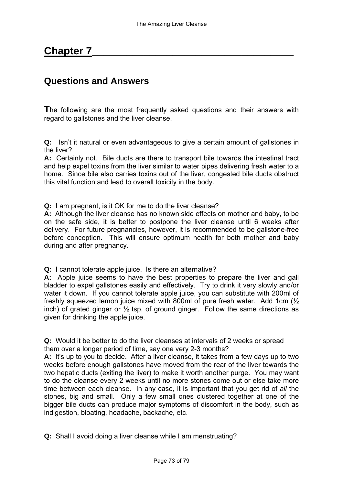# **Chapter 7\_\_\_\_\_\_\_\_\_\_\_\_\_\_\_\_\_\_\_\_\_\_\_\_\_\_\_\_\_\_\_\_\_\_\_**

### **Questions and Answers**

**T**he following are the most frequently asked questions and their answers with regard to gallstones and the liver cleanse.

**Q:** Isn't it natural or even advantageous to give a certain amount of gallstones in the liver?

**A:** Certainly not. Bile ducts are there to transport bile towards the intestinal tract and help expel toxins from the liver similar to water pipes delivering fresh water to a home. Since bile also carries toxins out of the liver, congested bile ducts obstruct this vital function and lead to overall toxicity in the body.

**Q:** I am pregnant, is it OK for me to do the liver cleanse?

**A:** Although the liver cleanse has no known side effects on mother and baby, to be on the safe side, it is better to postpone the liver cleanse until 6 weeks after delivery. For future pregnancies, however, it is recommended to be gallstone-free before conception. This will ensure optimum health for both mother and baby during and after pregnancy.

**Q:** I cannot tolerate apple juice. Is there an alternative?

**A:** Apple juice seems to have the best properties to prepare the liver and gall bladder to expel gallstones easily and effectively. Try to drink it very slowly and/or water it down. If you cannot tolerate apple juice, you can substitute with 200ml of freshly squeezed lemon juice mixed with 800ml of pure fresh water. Add 1cm (½ inch) of grated ginger or  $\frac{1}{2}$  tsp. of ground ginger. Follow the same directions as given for drinking the apple juice.

**Q:** Would it be better to do the liver cleanses at intervals of 2 weeks or spread them over a longer period of time, say one very 2-3 months?

**A:** It's up to you to decide. After a liver cleanse, it takes from a few days up to two weeks before enough gallstones have moved from the rear of the liver towards the two hepatic ducts (exiting the liver) to make it worth another purge. You may want to do the cleanse every 2 weeks until no more stones come out or else take more time between each cleanse. In any case, it is important that you get rid of *all* the stones, big and small. Only a few small ones clustered together at one of the bigger bile ducts can produce major symptoms of discomfort in the body, such as indigestion, bloating, headache, backache, etc.

**Q:** Shall I avoid doing a liver cleanse while I am menstruating?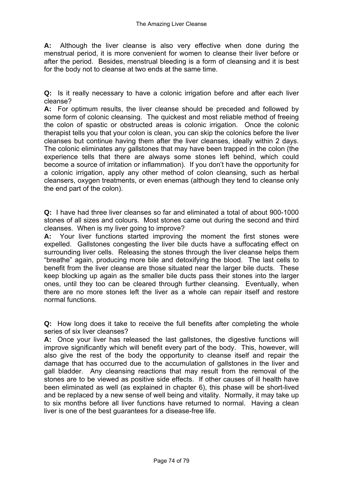**A:** Although the liver cleanse is also very effective when done during the menstrual period, it is more convenient for women to cleanse their liver before or after the period. Besides, menstrual bleeding is a form of cleansing and it is best for the body not to cleanse at two ends at the same time.

**Q:** Is it really necessary to have a colonic irrigation before and after each liver cleanse?

**A:** For optimum results, the liver cleanse should be preceded and followed by some form of colonic cleansing. The quickest and most reliable method of freeing the colon of spastic or obstructed areas is colonic irrigation. Once the colonic therapist tells you that your colon is clean, you can skip the colonics before the liver cleanses but continue having them after the liver cleanses, ideally within 2 days. The colonic eliminates any gallstones that may have been trapped in the colon (the experience tells that there are always some stones left behind, which could become a source of irritation or inflammation). If you don't have the opportunity for a colonic irrigation, apply any other method of colon cleansing, such as herbal cleansers, oxygen treatments, or even enemas (although they tend to cleanse only the end part of the colon).

**Q:** I have had three liver cleanses so far and eliminated a total of about 900-1000 stones of all sizes and colours. Most stones came out during the second and third cleanses. When is my liver going to improve?

**A:** Your liver functions started improving the moment the first stones were expelled. Gallstones congesting the liver bile ducts have a suffocating effect on surrounding liver cells. Releasing the stones through the liver cleanse helps them "breathe" again, producing more bile and detoxifying the blood. The last cells to benefit from the liver cleanse are those situated near the larger bile ducts. These keep blocking up again as the smaller bile ducts pass their stones into the larger ones, until they too can be cleared through further cleansing. Eventually, when there are no more stones left the liver as a whole can repair itself and restore normal functions.

**Q:** How long does it take to receive the full benefits after completing the whole series of six liver cleanses?

**A:** Once your liver has released the last gallstones, the digestive functions will improve significantly which will benefit every part of the body. This, however, will also give the rest of the body the opportunity to cleanse itself and repair the damage that has occurred due to the accumulation of gallstones in the liver and gall bladder. Any cleansing reactions that may result from the removal of the stones are to be viewed as positive side effects. If other causes of ill health have been eliminated as well (as explained in chapter 6), this phase will be short-lived and be replaced by a new sense of well being and vitality. Normally, it may take up to six months before all liver functions have returned to normal. Having a clean liver is one of the best guarantees for a disease-free life.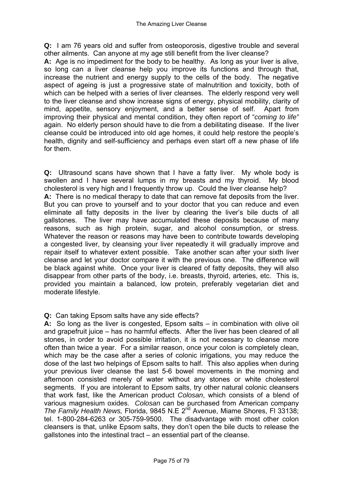**Q:** I am 76 years old and suffer from osteoporosis, digestive trouble and several other ailments. Can anyone at my age still benefit from the liver cleanse?

**A:** Age is no impediment for the body to be healthy. As long as your liver is alive, so long can a liver cleanse help you improve its functions and through that, increase the nutrient and energy supply to the cells of the body. The negative aspect of ageing is just a progressive state of malnutrition and toxicity, both of which can be helped with a series of liver cleanses. The elderly respond very well to the liver cleanse and show increase signs of energy, physical mobility, clarity of mind, appetite, sensory enjoyment, and a better sense of self. Apart from improving their physical and mental condition, they often report of "*coming to life"*  again. No elderly person should have to die from a debilitating disease. If the liver cleanse could be introduced into old age homes, it could help restore the people's health, dignity and self-sufficiency and perhaps even start off a new phase of life for them.

**Q:** Ultrasound scans have shown that I have a fatty liver. My whole body is swollen and I have several lumps in my breasts and my thyroid. My blood cholesterol is very high and I frequently throw up. Could the liver cleanse help? **A:** There is no medical therapy to date that can remove fat deposits from the liver. But you can prove to yourself and to your doctor that you can reduce and even eliminate all fatty deposits in the liver by clearing the liver's bile ducts of all gallstones. The liver may have accumulated these deposits because of many reasons, such as high protein, sugar, and alcohol consumption, or stress. Whatever the reason or reasons may have been to contribute towards developing a congested liver, by cleansing your liver repeatedly it will gradually improve and repair itself to whatever extent possible. Take another scan after your sixth liver cleanse and let your doctor compare it with the previous one. The difference will be black against white. Once your liver is cleared of fatty deposits, they will also disappear from other parts of the body, i.e. breasts, thyroid, arteries, etc. This is, provided you maintain a balanced, low protein, preferably vegetarian diet and moderate lifestyle.

#### **Q:** Can taking Epsom salts have any side effects?

**A:** So long as the liver is congested, Epsom salts – in combination with olive oil and grapefruit juice – has no harmful effects. After the liver has been cleared of all stones, in order to avoid possible irritation, it is not necessary to cleanse more often than twice a year. For a similar reason, once your colon is completely clean, which may be the case after a series of colonic irrigations, you may reduce the dose of the last two helpings of Epsom salts to half. This also applies when during your previous liver cleanse the last 5-6 bowel movements in the morning and afternoon consisted merely of water without any stones or white cholesterol segments. If you are intolerant to Epsom salts, try other natural colonic cleansers that work fast, like the American product *Colosan*, which consists of a blend of various magnesium oxides. *Colosan* can be purchased from American company *The Family Health News,* Florida, 9845 N.E 2nd Avenue, Miame Shores, Fl 33138; tel. 1-800-284-6263 or 305-759-9500. The disadvantage with most other colon cleansers is that, unlike Epsom salts, they don't open the bile ducts to release the gallstones into the intestinal tract – an essential part of the cleanse.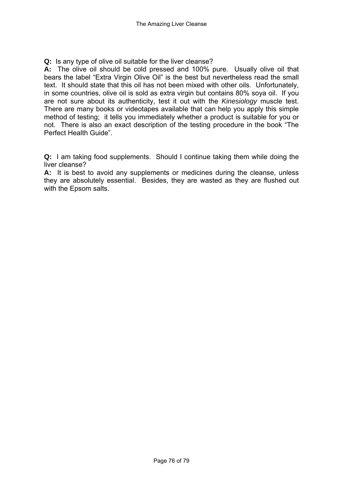**Q:** Is any type of olive oil suitable for the liver cleanse?

**A:** The olive oil should be cold pressed and 100% pure. Usually olive oil that bears the label "Extra Virgin Olive Oil" is the best but nevertheless read the small text. It should state that this oil has not been mixed with other oils. Unfortunately, in some countries, olive oil is sold as extra virgin but contains 80% soya oil. If you are not sure about its authenticity, test it out with the *Kinesiology* muscle test. There are many books or videotapes available that can help you apply this simple method of testing; it tells you immediately whether a product is suitable for you or not. There is also an exact description of the testing procedure in the book "The Perfect Health Guide".

**Q:** I am taking food supplements. Should I continue taking them while doing the liver cleanse?

**A:** It is best to avoid any supplements or medicines during the cleanse, unless they are absolutely essential. Besides, they are wasted as they are flushed out with the Epsom salts.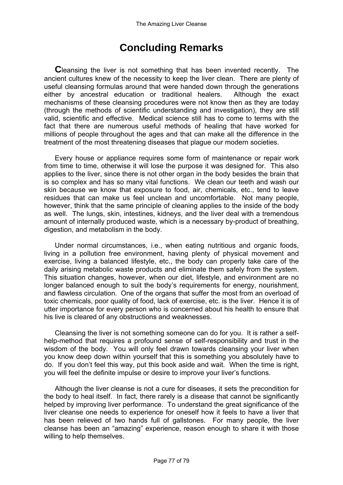# **Concluding Remarks**

**C**leansing the liver is not something that has been invented recently. The ancient cultures knew of the necessity to keep the liver clean. There are plenty of useful cleansing formulas around that were handed down through the generations either by ancestral education or traditional healers. Although the exact mechanisms of these cleansing procedures were not know then as they are today (through the methods of scientific understanding and investigation), they are still valid, scientific and effective. Medical science still has to come to terms with the fact that there are numerous useful methods of healing that have worked for millions of people throughout the ages and that can make all the difference in the treatment of the most threatening diseases that plague our modern societies.

Every house or appliance requires some form of maintenance or repair work from time to time, otherwise it will lose the purpose it was designed for. This also applies to the liver, since there is not other organ in the body besides the brain that is so complex and has so many vital functions. We clean our teeth and wash our skin because we know that exposure to food, air, chemicals, etc., tend to leave residues that can make us feel unclean and uncomfortable. Not many people, however, think that the same principle of cleaning applies to the inside of the body as well. The lungs, skin, intestines, kidneys, and the liver deal with a tremendous amount of internally produced waste, which is a necessary by-product of breathing, digestion, and metabolism in the body.

Under normal circumstances, i.e., when eating nutritious and organic foods, living in a pollution free environment, having plenty of physical movement and exercise, living a balanced lifestyle, etc., the body can properly take care of the daily arising metabolic waste products and eliminate them safely from the system. This situation changes, however, when our diet, lifestyle, and environment are no longer balanced enough to suit the body's requirements for energy, nourishment, and flawless circulation. One of the organs that suffer the most from an overload of toxic chemicals, poor quality of food, lack of exercise, etc. is the liver. Hence it is of utter importance for every person who is concerned about his health to ensure that his live is cleared of any obstructions and weaknesses.

Cleansing the liver is not something someone can do for you. It is rather a selfhelp-method that requires a profound sense of self-responsibility and trust in the wisdom of the body. You will only feel drawn towards cleansing your liver when you know deep down within yourself that this is something you absolutely have to do. If you don't feel this way, put this book aside and wait. When the time is right, you will feel the definite impulse or desire to improve your liver's functions.

Although the liver cleanse is not a cure for diseases, it sets the precondition for the body to heal itself. In fact, there rarely is a disease that cannot be significantly helped by improving liver performance. To understand the great significance of the liver cleanse one needs to experience for oneself how it feels to have a liver that has been relieved of two hands full of gallstones. For many people, the liver cleanse has been an "amazing" experience, reason enough to share it with those willing to help themselves.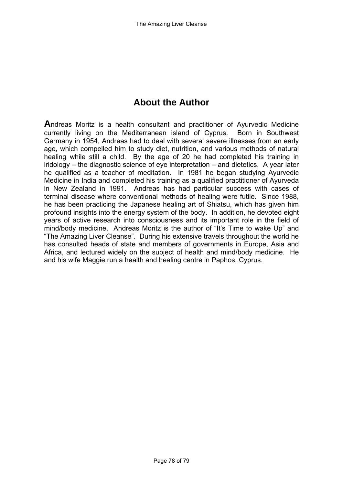# **About the Author**

**A**ndreas Moritz is a health consultant and practitioner of Ayurvedic Medicine currently living on the Mediterranean island of Cyprus. Born in Southwest Germany in 1954, Andreas had to deal with several severe illnesses from an early age, which compelled him to study diet, nutrition, and various methods of natural healing while still a child. By the age of 20 he had completed his training in iridology – the diagnostic science of eye interpretation – and dietetics. A year later he qualified as a teacher of meditation. In 1981 he began studying Ayurvedic Medicine in India and completed his training as a qualified practitioner of Ayurveda in New Zealand in 1991. Andreas has had particular success with cases of terminal disease where conventional methods of healing were futile. Since 1988, he has been practicing the Japanese healing art of Shiatsu, which has given him profound insights into the energy system of the body. In addition, he devoted eight years of active research into consciousness and its important role in the field of mind/body medicine. Andreas Moritz is the author of "It's Time to wake Up" and "The Amazing Liver Cleanse". During his extensive travels throughout the world he has consulted heads of state and members of governments in Europe, Asia and Africa, and lectured widely on the subject of health and mind/body medicine. He and his wife Maggie run a health and healing centre in Paphos, Cyprus.